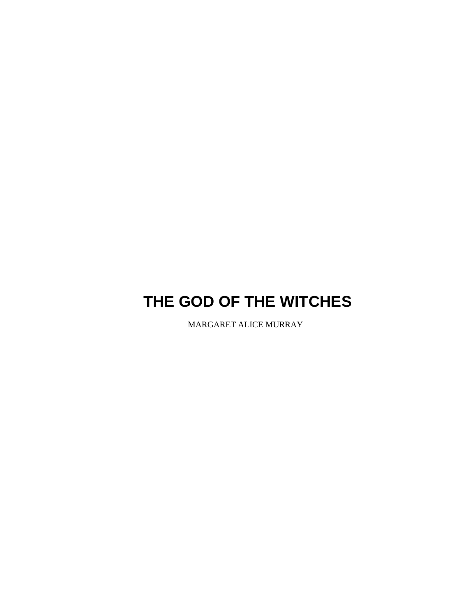MARGARET ALICE MURRAY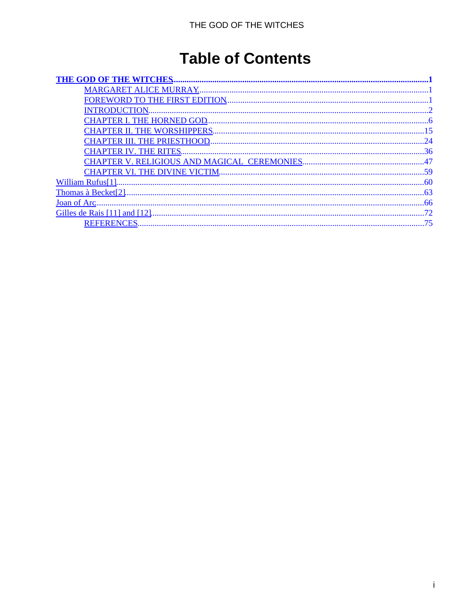# **Table of Contents**

|                   | 24  |
|-------------------|-----|
|                   |     |
|                   |     |
|                   |     |
|                   | -60 |
|                   |     |
|                   | .66 |
|                   | 72  |
| <b>REFERENCES</b> | 75  |
|                   |     |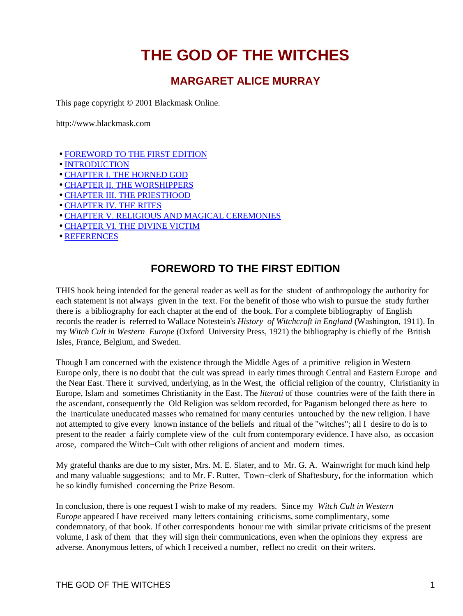## **MARGARET ALICE MURRAY**

<span id="page-2-0"></span>This page copyright © 2001 Blackmask Online.

http://www.blackmask.com

- FOREWORD TO THE FIRST EDITION
- [INTRODUCTION](#page-3-0)
- [CHAPTER I. THE HORNED GOD](#page-7-0)
- [CHAPTER II. THE WORSHIPPERS](#page-16-0)
- [CHAPTER III. THE PRIESTHOOD](#page-25-0)
- [CHAPTER IV. THE RITES](#page-37-0)
- [CHAPTER V. RELIGIOUS AND MAGICAL CEREMONIES](#page-48-0)
- [CHAPTER VI. THE DIVINE VICTIM](#page-60-0)
- [REFERENCES](#page-76-0)

# **FOREWORD TO THE FIRST EDITION**

THIS book being intended for the general reader as well as for the student of anthropology the authority for each statement is not always given in the text. For the benefit of those who wish to pursue the study further there is a bibliography for each chapter at the end of the book. For a complete bibliography of English records the reader is referred to Wallace Notestein's *History of Witchcraft in England* (Washington, 1911). In my *Witch Cult in Western Europe* (Oxford University Press, 1921) the bibliography is chiefly of the British Isles, France, Belgium, and Sweden.

Though I am concerned with the existence through the Middle Ages of a primitive religion in Western Europe only, there is no doubt that the cult was spread in early times through Central and Eastern Europe and the Near East. There it survived, underlying, as in the West, the official religion of the country, Christianity in Europe, Islam and sometimes Christianity in the East. The *literati* of those countries were of the faith there in the ascendant, consequently the Old Religion was seldom recorded, for Paganism belonged there as here to the inarticulate uneducated masses who remained for many centuries untouched by the new religion. I have not attempted to give every known instance of the beliefs and ritual of the "witches"; all I desire to do is to present to the reader a fairly complete view of the cult from contemporary evidence. I have also, as occasion arose, compared the Witch−Cult with other religions of ancient and modern times.

My grateful thanks are due to my sister, Mrs. M. E. Slater, and to Mr. G. A. Wainwright for much kind help and many valuable suggestions; and to Mr. F. Rutter, Town−clerk of Shaftesbury, for the information which he so kindly furnished concerning the Prize Besom.

In conclusion, there is one request I wish to make of my readers. Since my *Witch Cult in Western Europe* appeared I have received many letters containing criticisms, some complimentary, some condemnatory, of that book. If other correspondents honour me with similar private criticisms of the present volume, I ask of them that they will sign their communications, even when the opinions they express are adverse. Anonymous letters, of which I received a number, reflect no credit on their writers.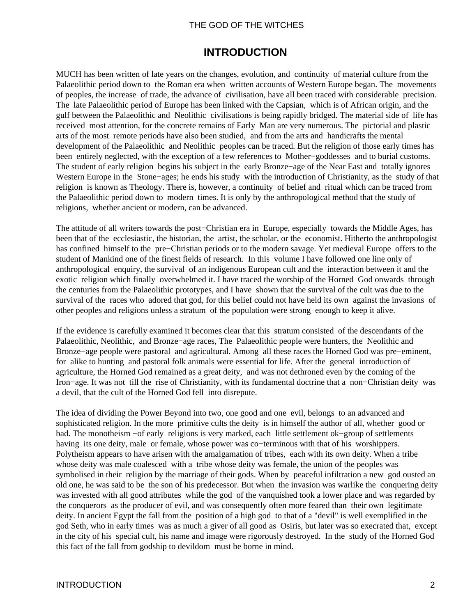## **INTRODUCTION**

<span id="page-3-0"></span>MUCH has been written of late years on the changes, evolution, and continuity of material culture from the Palaeolithic period down to the Roman era when written accounts of Western Europe began. The movements of peoples, the increase of trade, the advance of civilisation, have all been traced with considerable precision. The late Palaeolithic period of Europe has been linked with the Capsian, which is of African origin, and the gulf between the Palaeolithic and Neolithic civilisations is being rapidly bridged. The material side of life has received most attention, for the concrete remains of Early Man are very numerous. The pictorial and plastic arts of the most remote periods have also been studied, and from the arts and handicrafts the mental development of the Palaeolithic and Neolithic peoples can be traced. But the religion of those early times has been entirely neglected, with the exception of a few references to Mother−goddesses and to burial customs. The student of early religion begins his subject in the early Bronze−age of the Near East and totally ignores Western Europe in the Stone−ages; he ends his study with the introduction of Christianity, as the study of that religion is known as Theology. There is, however, a continuity of belief and ritual which can be traced from the Palaeolithic period down to modern times. It is only by the anthropological method that the study of religions, whether ancient or modern, can be advanced.

The attitude of all writers towards the post−Christian era in Europe, especially towards the Middle Ages, has been that of the ecclesiastic, the historian, the artist, the scholar, or the economist. Hitherto the anthropologist has confined himself to the pre−Christian periods or to the modern savage. Yet medieval Europe offers to the student of Mankind one of the finest fields of research. In this volume I have followed one line only of anthropological enquiry, the survival of an indigenous European cult and the interaction between it and the exotic religion which finally overwhelmed it. I have traced the worship of the Horned God onwards through the centuries from the Palaeolithic prototypes, and I have shown that the survival of the cult was due to the survival of the races who adored that god, for this belief could not have held its own against the invasions of other peoples and religions unless a stratum of the population were strong enough to keep it alive.

If the evidence is carefully examined it becomes clear that this stratum consisted of the descendants of the Palaeolithic, Neolithic, and Bronze−age races, The Palaeolithic people were hunters, the Neolithic and Bronze−age people were pastoral and agricultural. Among all these races the Horned God was pre−eminent, for alike to hunting and pastoral folk animals were essential for life. After the general introduction of agriculture, the Horned God remained as a great deity, and was not dethroned even by the coming of the Iron−age. It was not till the rise of Christianity, with its fundamental doctrine that a non−Christian deity was a devil, that the cult of the Horned God fell into disrepute.

The idea of dividing the Power Beyond into two, one good and one evil, belongs to an advanced and sophisticated religion. In the more primitive cults the deity is in himself the author of all, whether good or bad. The monotheism −of early religions is very marked, each little settlement ok−group of settlements having its one deity, male or female, whose power was co−terminous with that of his worshippers. Polytheism appears to have arisen with the amalgamation of tribes, each with its own deity. When a tribe whose deity was male coalesced with a tribe whose deity was female, the union of the peoples was symbolised in their religion by the marriage of their gods. When by peaceful infiltration a new god ousted an old one, he was said to be the son of his predecessor. But when the invasion was warlike the conquering deity was invested with all good attributes while the god of the vanquished took a lower place and was regarded by the conquerors as the producer of evil, and was consequently often more feared than their own legitimate deity. In ancient Egypt the fall from the position of a high god to that of a "devil" is well exemplified in the god Seth, who in early times was as much a giver of all good as Osiris, but later was so execrated that, except in the city of his special cult, his name and image were rigorously destroyed. In the study of the Horned God this fact of the fall from godship to devildom must be borne in mind.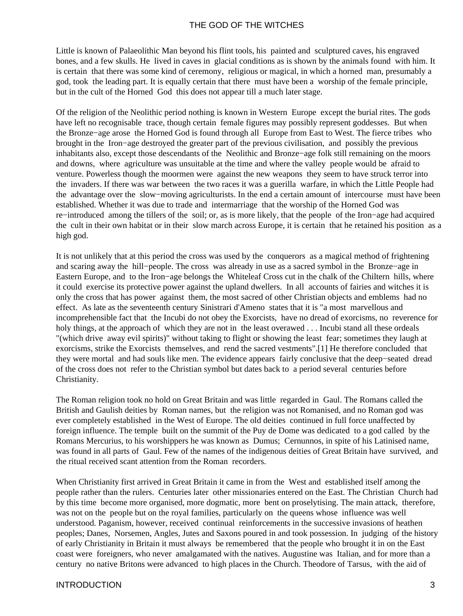Little is known of Palaeolithic Man beyond his flint tools, his painted and sculptured caves, his engraved bones, and a few skulls. He lived in caves in glacial conditions as is shown by the animals found with him. It is certain that there was some kind of ceremony, religious or magical, in which a horned man, presumably a god, took the leading part. It is equally certain that there must have been a worship of the female principle, but in the cult of the Horned God this does not appear till a much later stage.

Of the religion of the Neolithic period nothing is known in Western Europe except the burial rites. The gods have left no recognisable trace, though certain female figures may possibly represent goddesses. But when the Bronze−age arose the Horned God is found through all Europe from East to West. The fierce tribes who brought in the Iron−age destroyed the greater part of the previous civilisation, and possibly the previous inhabitants also, except those descendants of the Neolithic and Bronze−age folk still remaining on the moors and downs, where agriculture was unsuitable at the time and where the valley people would be afraid to venture. Powerless though the moormen were against the new weapons they seem to have struck terror into the invaders. If there was war between the two races it was a guerilla warfare, in which the Little People had the advantage over the slow−moving agriculturists. In the end a certain amount of intercourse must have been established. Whether it was due to trade and intermarriage that the worship of the Horned God was re−introduced among the tillers of the soil; or, as is more likely, that the people of the Iron−age had acquired the cult in their own habitat or in their slow march across Europe, it is certain that he retained his position as a high god.

It is not unlikely that at this period the cross was used by the conquerors as a magical method of frightening and scaring away the hill−people. The cross was already in use as a sacred symbol in the Bronze−age in Eastern Europe, and to the Iron−age belongs the Whiteleaf Cross cut in the chalk of the Chiltern hills, where it could exercise its protective power against the upland dwellers. In all accounts of fairies and witches it is only the cross that has power against them, the most sacred of other Christian objects and emblems had no effect. As late as the seventeenth century Sinistrari d'Ameno states that it is "a most marvellous and incomprehensible fact that the Incubi do not obey the Exorcists, have no dread of exorcisms, no reverence for holy things, at the approach of which they are not in the least overawed . . . Incubi stand all these ordeals "(which drive away evil spirits)" without taking to flight or showing the least fear; sometimes they laugh at exorcisms, strike the Exorcists themselves, and rend the sacred vestments".[1] He therefore concluded that they were mortal and had souls like men. The evidence appears fairly conclusive that the deep−seated dread of the cross does not refer to the Christian symbol but dates back to a period several centuries before Christianity.

The Roman religion took no hold on Great Britain and was little regarded in Gaul. The Romans called the British and Gaulish deities by Roman names, but the religion was not Romanised, and no Roman god was ever completely established in the West of Europe. The old deities continued in full force unaffected by foreign influence. The temple built on the summit of the Puy de Dome was dedicated to a god called by the Romans Mercurius, to his worshippers he was known as Dumus; Cernunnos, in spite of his Latinised name, was found in all parts of Gaul. Few of the names of the indigenous deities of Great Britain have survived, and the ritual received scant attention from the Roman recorders.

When Christianity first arrived in Great Britain it came in from the West and established itself among the people rather than the rulers. Centuries later other missionaries entered on the East. The Christian Church had by this time become more organised, more dogmatic, more bent on proselytising. The main attack, therefore, was not on the people but on the royal families, particularly on the queens whose influence was well understood. Paganism, however, received continual reinforcements in the successive invasions of heathen peoples; Danes, Norsemen, Angles, Jutes and Saxons poured in and took possession. In judging of the history of early Christianity in Britain it must always be remembered that the people who brought it in on the East coast were foreigners, who never amalgamated with the natives. Augustine was Italian, and for more than a century no native Britons were advanced to high places in the Church. Theodore of Tarsus, with the aid of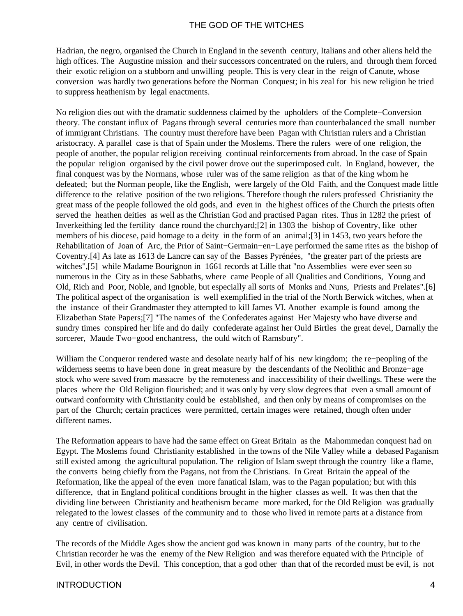Hadrian, the negro, organised the Church in England in the seventh century, Italians and other aliens held the high offices. The Augustine mission and their successors concentrated on the rulers, and through them forced their exotic religion on a stubborn and unwilling people. This is very clear in the reign of Canute, whose conversion was hardly two generations before the Norman Conquest; in his zeal for his new religion he tried to suppress heathenism by legal enactments.

No religion dies out with the dramatic suddenness claimed by the upholders of the Complete−Conversion theory. The constant influx of Pagans through several centuries more than counterbalanced the small number of immigrant Christians. The country must therefore have been Pagan with Christian rulers and a Christian aristocracy. A parallel case is that of Spain under the Moslems. There the rulers were of one religion, the people of another, the popular religion receiving continual reinforcements from abroad. In the case of Spain the popular religion organised by the civil power drove out the superimposed cult. In England, however, the final conquest was by the Normans, whose ruler was of the same religion as that of the king whom he defeated; but the Norman people, like the English, were largely of the Old Faith, and the Conquest made little difference to the relative position of the two religions. Therefore though the rulers professed Christianity the great mass of the people followed the old gods, and even in the highest offices of the Church the priests often served the heathen deities as well as the Christian God and practised Pagan rites. Thus in 1282 the priest of Inverkeithing led the fertility dance round the churchyard;[2] in 1303 the bishop of Coventry, like other members of his diocese, paid homage to a deity in the form of an animal;[3] in 1453, two years before the Rehabilitation of Joan of Arc, the Prior of Saint−Germain−en−Laye performed the same rites as the bishop of Coventry.[4] As late as 1613 de Lancre can say of the Basses Pyrénées, "the greater part of the priests are witches",[5] while Madame Bourignon in 1661 records at Lille that "no Assemblies were ever seen so numerous in the City as in these Sabbaths, where came People of all Qualities and Conditions, Young and Old, Rich and Poor, Noble, and Ignoble, but especially all sorts of Monks and Nuns, Priests and Prelates".[6] The political aspect of the organisation is well exemplified in the trial of the North Berwick witches, when at the instance of their Grandmaster they attempted to kill James VI. Another example is found among the Elizabethan State Papers;[7] "The names of the Confederates against Her Majesty who have diverse and sundry times conspired her life and do daily confederate against her Ould Birtles the great devel, Darnally the sorcerer, Maude Two−good enchantress, the ould witch of Ramsbury".

William the Conqueror rendered waste and desolate nearly half of his new kingdom; the re−peopling of the wilderness seems to have been done in great measure by the descendants of the Neolithic and Bronze−age stock who were saved from massacre by the remoteness and inaccessibility of their dwellings. These were the places where the Old Religion flourished; and it was only by very slow degrees that even a small amount of outward conformity with Christianity could be established, and then only by means of compromises on the part of the Church; certain practices were permitted, certain images were retained, though often under different names.

The Reformation appears to have had the same effect on Great Britain as the Mahommedan conquest had on Egypt. The Moslems found Christianity established in the towns of the Nile Valley while a debased Paganism still existed among the agricultural population. The religion of Islam swept through the country like a flame, the converts being chiefly from the Pagans, not from the Christians. In Great Britain the appeal of the Reformation, like the appeal of the even more fanatical Islam, was to the Pagan population; but with this difference, that in England political conditions brought in the higher classes as well. It was then that the dividing line between Christianity and heathenism became more marked, for the Old Religion was gradually relegated to the lowest classes of the community and to those who lived in remote parts at a distance from any centre of civilisation.

The records of the Middle Ages show the ancient god was known in many parts of the country, but to the Christian recorder he was the enemy of the New Religion and was therefore equated with the Principle of Evil, in other words the Devil. This conception, that a god other than that of the recorded must be evil, is not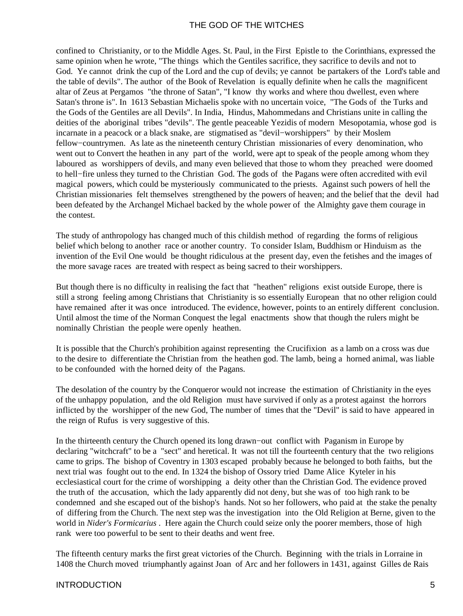confined to Christianity, or to the Middle Ages. St. Paul, in the First Epistle to the Corinthians, expressed the same opinion when he wrote, "The things which the Gentiles sacrifice, they sacrifice to devils and not to God. Ye cannot drink the cup of the Lord and the cup of devils; ye cannot be partakers of the Lord's table and the table of devils". The author of the Book of Revelation is equally definite when he calls the magnificent altar of Zeus at Pergamos "the throne of Satan", "I know thy works and where thou dwellest, even where Satan's throne is". In 1613 Sebastian Michaelis spoke with no uncertain voice, "The Gods of the Turks and the Gods of the Gentiles are all Devils". In India, Hindus, Mahommedans and Christians unite in calling the deities of the aboriginal tribes "devils". The gentle peaceable Yezidis of modern Mesopotamia, whose god is incarnate in a peacock or a black snake, are stigmatised as "devil−worshippers" by their Moslem fellow−countrymen. As late as the nineteenth century Christian missionaries of every denomination, who went out to Convert the heathen in any part of the world, were apt to speak of the people among whom they laboured as worshippers of devils, and many even believed that those to whom they preached were doomed to hell−fire unless they turned to the Christian God. The gods of the Pagans were often accredited with evil magical powers, which could be mysteriously communicated to the priests. Against such powers of hell the Christian missionaries felt themselves strengthened by the powers of heaven; and the belief that the devil had been defeated by the Archangel Michael backed by the whole power of the Almighty gave them courage in the contest.

The study of anthropology has changed much of this childish method of regarding the forms of religious belief which belong to another race or another country. To consider Islam, Buddhism or Hinduism as the invention of the Evil One would be thought ridiculous at the present day, even the fetishes and the images of the more savage races are treated with respect as being sacred to their worshippers.

But though there is no difficulty in realising the fact that "heathen" religions exist outside Europe, there is still a strong feeling among Christians that Christianity is so essentially European that no other religion could have remained after it was once introduced. The evidence, however, points to an entirely different conclusion. Until almost the time of the Norman Conquest the legal enactments show that though the rulers might be nominally Christian the people were openly heathen.

It is possible that the Church's prohibition against representing the Crucifixion as a lamb on a cross was due to the desire to differentiate the Christian from the heathen god. The lamb, being a horned animal, was liable to be confounded with the horned deity of the Pagans.

The desolation of the country by the Conqueror would not increase the estimation of Christianity in the eyes of the unhappy population, and the old Religion must have survived if only as a protest against the horrors inflicted by the worshipper of the new God, The number of times that the "Devil" is said to have appeared in the reign of Rufus is very suggestive of this.

In the thirteenth century the Church opened its long drawn−out conflict with Paganism in Europe by declaring "witchcraft" to be a "sect" and heretical. It was not till the fourteenth century that the two religions came to grips. The bishop of Coventry in 1303 escaped probably because he belonged to both faiths, but the next trial was fought out to the end. In 1324 the bishop of Ossory tried Dame Alice Kyteler in his ecclesiastical court for the crime of worshipping a deity other than the Christian God. The evidence proved the truth of the accusation, which the lady apparently did not deny, but she was of too high rank to be condemned and she escaped out of the bishop's hands. Not so her followers, who paid at the stake the penalty of differing from the Church. The next step was the investigation into the Old Religion at Berne, given to the world in *Nider's Formicarius* . Here again the Church could seize only the poorer members, those of high rank were too powerful to be sent to their deaths and went free.

The fifteenth century marks the first great victories of the Church. Beginning with the trials in Lorraine in 1408 the Church moved triumphantly against Joan of Arc and her followers in 1431, against Gilles de Rais

#### INTRODUCTION 5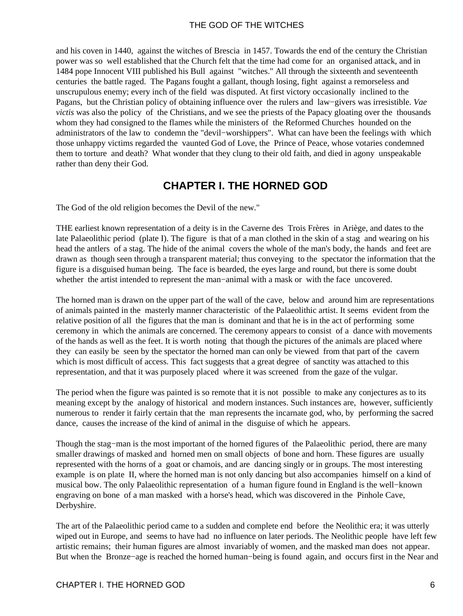<span id="page-7-0"></span>and his coven in 1440, against the witches of Brescia in 1457. Towards the end of the century the Christian power was so well established that the Church felt that the time had come for an organised attack, and in 1484 pope Innocent VIII published his Bull against "witches." All through the sixteenth and seventeenth centuries the battle raged. The Pagans fought a gallant, though losing, fight against a remorseless and unscrupulous enemy; every inch of the field was disputed. At first victory occasionally inclined to the Pagans, but the Christian policy of obtaining influence over the rulers and law−givers was irresistible. *Vae victis* was also the policy of the Christians, and we see the priests of the Papacy gloating over the thousands whom they had consigned to the flames while the ministers of the Reformed Churches hounded on the administrators of the law to condemn the "devil−worshippers". What can have been the feelings with which those unhappy victims regarded the vaunted God of Love, the Prince of Peace, whose votaries condemned them to torture and death? What wonder that they clung to their old faith, and died in agony unspeakable rather than deny their God.

## **CHAPTER I. THE HORNED GOD**

The God of the old religion becomes the Devil of the new."

THE earliest known representation of a deity is in the Caverne des Trois Frères in Ariège, and dates to the late Palaeolithic period (plate I). The figure is that of a man clothed in the skin of a stag and wearing on his head the antlers of a stag. The hide of the animal covers the whole of the man's body, the hands and feet are drawn as though seen through a transparent material; thus conveying to the spectator the information that the figure is a disguised human being. The face is bearded, the eyes large and round, but there is some doubt whether the artist intended to represent the man−animal with a mask or with the face uncovered.

The horned man is drawn on the upper part of the wall of the cave, below and around him are representations of animals painted in the masterly manner characteristic of the Palaeolithic artist. It seems evident from the relative position of all the figures that the man is dominant and that he is in the act of performing some ceremony in which the animals are concerned. The ceremony appears to consist of a dance with movements of the hands as well as the feet. It is worth noting that though the pictures of the animals are placed where they can easily be seen by the spectator the horned man can only be viewed from that part of the cavern which is most difficult of access. This fact suggests that a great degree of sanctity was attached to this representation, and that it was purposely placed where it was screened from the gaze of the vulgar.

The period when the figure was painted is so remote that it is not possible to make any conjectures as to its meaning except by the analogy of historical and modern instances. Such instances are, however, sufficiently numerous to render it fairly certain that the man represents the incarnate god, who, by performing the sacred dance, causes the increase of the kind of animal in the disguise of which he appears.

Though the stag−man is the most important of the horned figures of the Palaeolithic period, there are many smaller drawings of masked and horned men on small objects of bone and horn. These figures are usually represented with the horns of a goat or chamois, and are dancing singly or in groups. The most interesting example is on plate II, where the horned man is not only dancing but also accompanies himself on a kind of musical bow. The only Palaeolithic representation of a human figure found in England is the well−known engraving on bone of a man masked with a horse's head, which was discovered in the Pinhole Cave, Derbyshire.

The art of the Palaeolithic period came to a sudden and complete end before the Neolithic era; it was utterly wiped out in Europe, and seems to have had no influence on later periods. The Neolithic people have left few artistic remains; their human figures are almost invariably of women, and the masked man does not appear. But when the Bronze−age is reached the horned human−being is found again, and occurs first in the Near and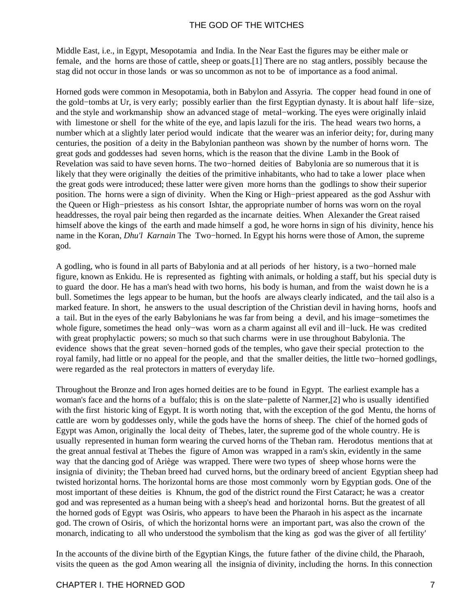Middle East, i.e., in Egypt, Mesopotamia and India. In the Near East the figures may be either male or female, and the horns are those of cattle, sheep or goats.[1] There are no stag antlers, possibly because the stag did not occur in those lands or was so uncommon as not to be of importance as a food animal.

Horned gods were common in Mesopotamia, both in Babylon and Assyria. The copper head found in one of the gold−tombs at Ur, is very early; possibly earlier than the first Egyptian dynasty. It is about half life−size, and the style and workmanship show an advanced stage of metal−working. The eyes were originally inlaid with limestone or shell for the white of the eye, and lapis lazuli for the iris. The head wears two horns, a number which at a slightly later period would indicate that the wearer was an inferior deity; for, during many centuries, the position of a deity in the Babylonian pantheon was shown by the number of horns worn. The great gods and goddesses had seven horns, which is the reason that the divine Lamb in the Book of Revelation was said to have seven horns. The two−horned deities of Babylonia are so numerous that it is likely that they were originally the deities of the primitive inhabitants, who had to take a lower place when the great gods were introduced; these latter were given more horns than the godlings to show their superior position. The horns were a sign of divinity. When the King or High−priest appeared as the god Asshur with the Queen or High−priestess as his consort Ishtar, the appropriate number of horns was worn on the royal headdresses, the royal pair being then regarded as the incarnate deities. When Alexander the Great raised himself above the kings of the earth and made himself a god, he wore horns in sign of his divinity, hence his name in the Koran, *Dhu'l Karnain* The Two−horned. In Egypt his horns were those of Amon, the supreme god.

A godling, who is found in all parts of Babylonia and at all periods of her history, is a two−horned male figure, known as Enkidu. He is represented as fighting with animals, or holding a staff, but his special duty is to guard the door. He has a man's head with two horns, his body is human, and from the waist down he is a bull. Sometimes the legs appear to be human, but the hoofs are always clearly indicated, and the tail also is a marked feature. In short, he answers to the usual description of the Christian devil in having horns, hoofs and a tail. But in the eyes of the early Babylonians he was far from being a devil, and his image−sometimes the whole figure, sometimes the head only−was worn as a charm against all evil and ill−luck. He was credited with great prophylactic powers; so much so that such charms were in use throughout Babylonia. The evidence shows that the great seven−horned gods of the temples, who gave their special protection to the royal family, had little or no appeal for the people, and that the smaller deities, the little two−horned godlings, were regarded as the real protectors in matters of everyday life.

Throughout the Bronze and Iron ages horned deities are to be found in Egypt. The earliest example has a woman's face and the horns of a buffalo; this is on the slate−palette of Narmer,[2] who is usually identified with the first historic king of Egypt. It is worth noting that, with the exception of the god Mentu, the horns of cattle are worn by goddesses only, while the gods have the horns of sheep. The chief of the horned gods of Egypt was Amon, originally the local deity of Thebes, later, the supreme god of the whole country. He is usually represented in human form wearing the curved horns of the Theban ram. Herodotus mentions that at the great annual festival at Thebes the figure of Amon was wrapped in a ram's skin, evidently in the same way that the dancing god of Ariège was wrapped. There were two types of sheep whose horns were the insignia of divinity; the Theban breed had curved horns, but the ordinary breed of ancient Egyptian sheep had twisted horizontal horns. The horizontal horns are those most commonly worn by Egyptian gods. One of the most important of these deities is Khnum, the god of the district round the First Cataract; he was a creator god and was represented as a human being with a sheep's head and horizontal horns. But the greatest of all the horned gods of Egypt was Osiris, who appears to have been the Pharaoh in his aspect as the incarnate god. The crown of Osiris, of which the horizontal horns were an important part, was also the crown of the monarch, indicating to all who understood the symbolism that the king as god was the giver of all fertility'

In the accounts of the divine birth of the Egyptian Kings, the future father of the divine child, the Pharaoh, visits the queen as the god Amon wearing all the insignia of divinity, including the horns. In this connection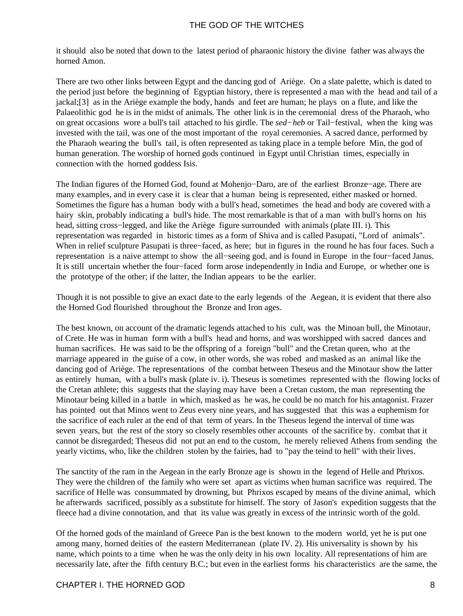it should also be noted that down to the latest period of pharaonic history the divine father was always the horned Amon.

There are two other links between Egypt and the dancing god of Ariège. On a slate palette, which is dated to the period just before the beginning of Egyptian history, there is represented a man with the head and tail of a jackal;[3] as in the Ariège example the body, hands and feet are human; he plays on a flute, and like the Palaeolithic god he is in the midst of animals. The other link is in the ceremonial dress of the Pharaoh, who on great occasions wore a bull's tail attached to his girdle. The *sed−heb* or Tail−festival, when the king was invested with the tail, was one of the most important of the royal ceremonies. A sacred dance, performed by the Pharaoh wearing the bull's tail, is often represented as taking place in a temple before Min, the god of human generation. The worship of horned gods continued in Egypt until Christian times, especially in connection with the horned goddess Isis.

The Indian figures of the Horned God, found at Mohenjo−Daro, are of the earliest Bronze−age. There are many examples, and in every case it is clear that a human being is represented, either masked or horned. Sometimes the figure has a human body with a bull's head, sometimes the head and body are covered with a hairy skin, probably indicating a bull's hide. The most remarkable is that of a man with bull's horns on his head, sitting cross−legged, and like the Ariège figure surrounded with animals (plate III. i). This representation was regarded in historic times as a form of Shiva and is called Pasupati, "Lord of animals". When in relief sculpture Pasupati is three−faced, as here; but in figures in the round he has four faces. Such a representation is a naive attempt to show the all−seeing god, and is found in Europe in the four−faced Janus. It is still uncertain whether the four−faced form arose independently in India and Europe, or whether one is the prototype of the other; if the latter, the Indian appears to be the earlier.

Though it is not possible to give an exact date to the early legends of the Aegean, it is evident that there also the Horned God flourished throughout the Bronze and Iron ages.

The best known, on account of the dramatic legends attached to his cult, was the Minoan bull, the Minotaur, of Crete. He was in human form with a bull's head and horns, and was worshipped with sacred dances and human sacrifices. He was said to be the offspring of a foreign "bull" and the Cretan queen, who at the marriage appeared in the guise of a cow, in other words, she was robed and masked as an animal like the dancing god of Ariège. The representations of the combat between Theseus and the Minotaur show the latter as entirely human, with a bull's mask (plate iv. i). Theseus is sometimes represented with the flowing locks of the Cretan athlete; this suggests that the slaying may have been a Cretan custom, the man representing the Minotaur being killed in a battle in which, masked as he was, he could be no match for his antagonist. Frazer has pointed out that Minos went to Zeus every nine years, and has suggested that this was a euphemism for the sacrifice of each ruler at the end of that term of years. In the Theseus legend the interval of time was seven years, but the rest of the story so closely resembles other accounts of the sacrifice by. combat that it cannot be disregarded; Theseus did not put an end to the custom, he merely relieved Athens from sending the yearly victims, who, like the children stolen by the fairies, had to "pay the teind to hell" with their lives.

The sanctity of the ram in the Aegean in the early Bronze age is shown in the legend of Helle and Phrixos. They were the children of the family who were set apart as victims when human sacrifice was required. The sacrifice of Helle was consummated by drowning, but Phrixos escaped by means of the divine animal, which he afterwards sacrificed, possibly as a substitute for himself. The story of Jason's expedition suggests that the fleece had a divine connotation, and that its value was greatly in excess of the intrinsic worth of the gold.

Of the horned gods of the mainland of Greece Pan is the best known to the modern world, yet he is put one among many, horned deities of the eastern Mediterranean (plate IV. 2). His universality is shown by his name, which points to a time when he was the only deity in his own locality. All representations of him are necessarily late, after the fifth century B.C.; but even in the earliest forms his characteristics are the same, the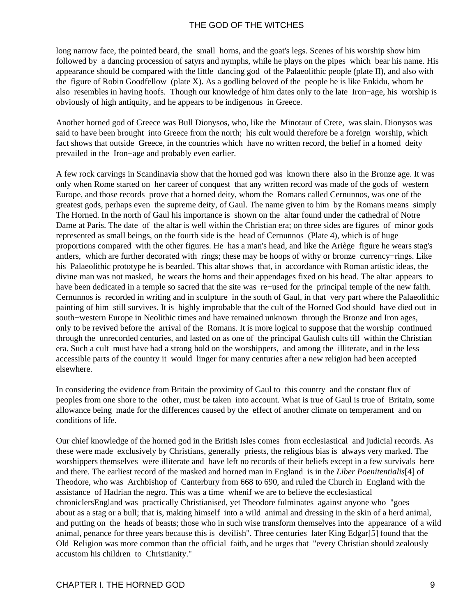long narrow face, the pointed beard, the small horns, and the goat's legs. Scenes of his worship show him followed by a dancing procession of satyrs and nymphs, while he plays on the pipes which bear his name. His appearance should be compared with the little dancing god of the Palaeolithic people (plate II), and also with the figure of Robin Goodfellow (plate X). As a godling beloved of the people he is like Enkidu, whom he also resembles in having hoofs. Though our knowledge of him dates only to the late Iron−age, his worship is obviously of high antiquity, and he appears to be indigenous in Greece.

Another horned god of Greece was Bull Dionysos, who, like the Minotaur of Crete, was slain. Dionysos was said to have been brought into Greece from the north; his cult would therefore be a foreign worship, which fact shows that outside Greece, in the countries which have no written record, the belief in a homed deity prevailed in the Iron−age and probably even earlier.

A few rock carvings in Scandinavia show that the horned god was known there also in the Bronze age. It was only when Rome started on her career of conquest that any written record was made of the gods of western Europe, and those records prove that a horned deity, whom the Romans called Cernunnos, was one of the greatest gods, perhaps even the supreme deity, of Gaul. The name given to him by the Romans means simply The Horned. In the north of Gaul his importance is shown on the altar found under the cathedral of Notre Dame at Paris. The date of the altar is well within the Christian era; on three sides are figures of minor gods represented as small beings, on the fourth side is the head of Cernunnos (Plate 4), which is of huge proportions compared with the other figures. He has a man's head, and like the Ariège figure he wears stag's antlers, which are further decorated with rings; these may be hoops of withy or bronze currency−rings. Like his Palaeolithic prototype he is bearded. This altar shows that, in accordance with Roman artistic ideas, the divine man was not masked, he wears the horns and their appendages fixed on his head. The altar appears to have been dedicated in a temple so sacred that the site was re−used for the principal temple of the new faith. Cernunnos is recorded in writing and in sculpture in the south of Gaul, in that very part where the Palaeolithic painting of him still survives. It is highly improbable that the cult of the Horned God should have died out in south−western Europe in Neolithic times and have remained unknown through the Bronze and Iron ages, only to be revived before the arrival of the Romans. It is more logical to suppose that the worship continued through the unrecorded centuries, and lasted on as one of the principal Gaulish cults till within the Christian era. Such a cult must have had a strong hold on the worshippers, and among the illiterate, and in the less accessible parts of the country it would linger for many centuries after a new religion had been accepted elsewhere.

In considering the evidence from Britain the proximity of Gaul to this country and the constant flux of peoples from one shore to the other, must be taken into account. What is true of Gaul is true of Britain, some allowance being made for the differences caused by the effect of another climate on temperament and on conditions of life.

Our chief knowledge of the horned god in the British Isles comes from ecclesiastical and judicial records. As these were made exclusively by Christians, generally priests, the religious bias is always very marked. The worshippers themselves were illiterate and have left no records of their beliefs except in a few survivals here and there. The earliest record of the masked and horned man in England is in the *Liber Poenitentialis*[4] of Theodore, who was Archbishop of Canterbury from 668 to 690, and ruled the Church in England with the assistance of Hadrian the negro. This was a time when if we are to believe the ecclesiastical chroniclers England was practically Christianised, yet Theodore fulminates against anyone who "goes" about as a stag or a bull; that is, making himself into a wild animal and dressing in the skin of a herd animal, and putting on the heads of beasts; those who in such wise transform themselves into the appearance of a wild animal, penance for three years because this is devilish". Three centuries later King Edgar[5] found that the Old Religion was more common than the official faith, and he urges that "every Christian should zealously accustom his children to Christianity."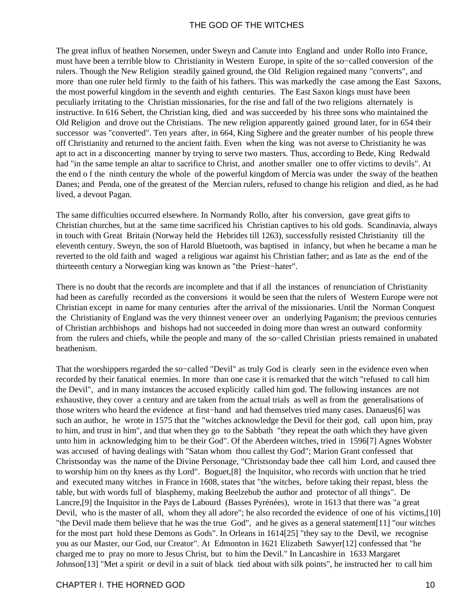The great influx of heathen Norsemen, under Sweyn and Canute into England and under Rollo into France, must have been a terrible blow to Christianity in Western Europe, in spite of the so−called conversion of the rulers. Though the New Religion steadily gained ground, the Old Religion regained many "converts", and more than one ruler held firmly to the faith of his fathers. This was markedly the case among the East Saxons, the most powerful kingdom in the seventh and eighth centuries. The East Saxon kings must have been peculiarly irritating to the Christian missionaries, for the rise and fall of the two religions alternately is instructive. In 616 Sebert, the Christian king, died and was succeeded by his three sons who maintained the Old Religion and drove out the Christians. The new religion apparently gained ground later, for in 654 their successor was "converted". Ten years after, in 664, King Sighere and the greater number of his people threw off Christianity and returned to the ancient faith. Even when the king was not averse to Christianity he was apt to act in a disconcerting manner by trying to serve two masters. Thus, according to Bede, King Redwald had "in the same temple an altar to sacrifice to Christ, and another smaller one to offer victims to devils". At the end o f the ninth century the whole of the powerful kingdom of Mercia was under the sway of the heathen Danes; and Penda, one of the greatest of the Mercian rulers, refused to change his religion and died, as he had lived, a devout Pagan.

The same difficulties occurred elsewhere. In Normandy Rollo, after his conversion, gave great gifts to Christian churches, but at the same time sacrificed his Christian captives to his old gods. Scandinavia, always in touch with Great Britain (Norway held the Hebrides till 1263), successfully resisted Christianity till the eleventh century. Sweyn, the son of Harold Bluetooth, was baptised in infancy, but when he became a man he reverted to the old faith and waged a religious war against his Christian father; and as late as the end of the thirteenth century a Norwegian king was known as "the Priest−hater".

There is no doubt that the records are incomplete and that if all the instances of renunciation of Christianity had been as carefully recorded as the conversions it would be seen that the rulers of Western Europe were not Christian except in name for many centuries after the arrival of the missionaries. Until the Norman Conquest the Christianity of England was the very thinnest veneer over an underlying Paganism; the previous centuries of Christian archbishops and bishops had not succeeded in doing more than wrest an outward conformity from the rulers and chiefs, while the people and many of the so−called Christian priests remained in unabated heathenism.

That the worshippers regarded the so−called "Devil" as truly God is clearly seen in the evidence even when recorded by their fanatical enemies. In more than one case it is remarked that the witch "refused to call him the Devil", and in many instances the accused explicitly called him god. The following instances are not exhaustive, they cover a century and are taken from the actual trials as well as from the generalisations of those writers who heard the evidence at first−hand and had themselves tried many cases. Danaeus[6] was such an author, he wrote in 1575 that the "witches acknowledge the Devil for their god, call upon him, pray to him, and trust in him", and that when they go to the Sabbath "they repeat the oath which they have given unto him in acknowledging him to be their God". Of the Aberdeen witches, tried in 1596[7] Agnes Wobster was accused of having dealings with "Satan whom thou callest thy God"; Marion Grant confessed that Christsonday was the name of the Divine Personage, "Christsonday bade thee call him Lord, and caused thee to worship him on thy knees as thy Lord". Boguet,[8] the Inquisitor, who records with unction that he tried and executed many witches in France in 1608, states that "the witches, before taking their repast, bless the table, but with words full of blasphemy, making Beelzebub the author and protector of all things". De Lancre,[9] the Inquisitor in the Pays de Labourd (Basses Pyrénées), wrote in 1613 that there was "a great Devil, who is the master of all, whom they all adore"; he also recorded the evidence of one of his victims,[10] "the Devil made them believe that he was the true God", and he gives as a general statement[11] "our witches for the most part hold these Demons as Gods". In Orleans in 1614[25] "they say to the Devil, we recognise you as our Master, our God, our Creator". At Edmonton in 1621 Elizabeth Sawyer[12] confessed that "he charged me to pray no more to Jesus Christ, but to him the Devil." In Lancashire in 1633 Margaret Johnson[13] "Met a spirit or devil in a suit of black tied about with silk points", he instructed her to call him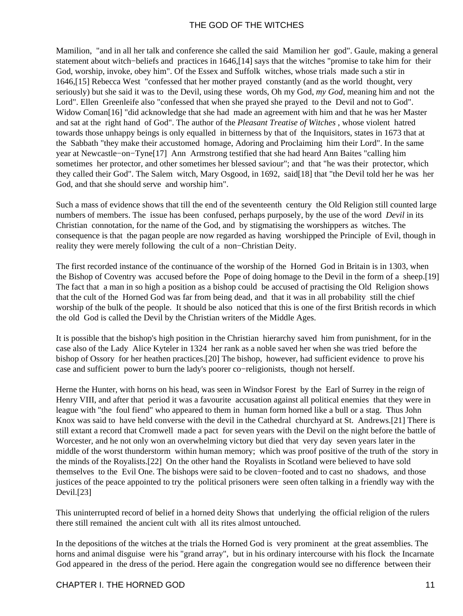Mamilion, "and in all her talk and conference she called the said Mamilion her god". Gaule, making a general statement about witch−beliefs and practices in 1646,[14] says that the witches "promise to take him for their God, worship, invoke, obey him". Of the Essex and Suffolk witches, whose trials made such a stir in 1646,[15] Rebecca West "confessed that her mother prayed constantly (and as the world thought, very seriously) but she said it was to the Devil, using these words, Oh my God, *my God*, meaning him and not the Lord". Ellen Greenleife also "confessed that when she prayed she prayed to the Devil and not to God". Widow Coman<sup>[16]</sup> "did acknowledge that she had made an agreement with him and that he was her Master and sat at the right hand of God". The author of the *Pleasant Treatise of Witches* , whose violent hatred towards those unhappy beings is only equalled in bitterness by that of the Inquisitors, states in 1673 that at the Sabbath "they make their accustomed homage, Adoring and Proclaiming him their Lord". In the same year at Newcastle−on−Tyne[17] Ann Armstrong testified that she had heard Ann Baites "calling him sometimes her protector, and other sometimes her blessed saviour"; and that "he was their protector, which they called their God". The Salem witch, Mary Osgood, in 1692, said[18] that "the Devil told her he was her God, and that she should serve and worship him".

Such a mass of evidence shows that till the end of the seventeenth century the Old Religion still counted large numbers of members. The issue has been confused, perhaps purposely, by the use of the word *Devil* in its Christian connotation, for the name of the God, and by stigmatising the worshippers as witches. The consequence is that the pagan people are now regarded as having worshipped the Principle of Evil, though in reality they were merely following the cult of a non−Christian Deity.

The first recorded instance of the continuance of the worship of the Horned God in Britain is in 1303, when the Bishop of Coventry was accused before the Pope of doing homage to the Devil in the form of a sheep.[19] The fact that a man in so high a position as a bishop could be accused of practising the Old Religion shows that the cult of the Horned God was far from being dead, and that it was in all probability still the chief worship of the bulk of the people. It should be also noticed that this is one of the first British records in which the old God is called the Devil by the Christian writers of the Middle Ages.

It is possible that the bishop's high position in the Christian hierarchy saved him from punishment, for in the case also of the Lady Alice Kyteler in 1324 her rank as a noble saved her when she was tried before the bishop of Ossory for her heathen practices.[20] The bishop, however, had sufficient evidence to prove his case and sufficient power to burn the lady's poorer co−religionists, though not herself.

Herne the Hunter, with horns on his head, was seen in Windsor Forest by the Earl of Surrey in the reign of Henry VIII, and after that period it was a favourite accusation against all political enemies that they were in league with "the foul fiend" who appeared to them in human form horned like a bull or a stag. Thus John Knox was said to have held converse with the devil in the Cathedral churchyard at St. Andrews.[21] There is still extant a record that Cromwell made a pact for seven years with the Devil on the night before the battle of Worcester, and he not only won an overwhelming victory but died that very day seven years later in the middle of the worst thunderstorm within human memory; which was proof positive of the truth of the story in the minds of the Royalists.[22] On the other hand the Royalists in Scotland were believed to have sold themselves to the Evil One. The bishops were said to be cloven−footed and to cast no shadows, and those justices of the peace appointed to try the political prisoners were seen often talking in a friendly way with the Devil.[23]

This uninterrupted record of belief in a horned deity Shows that underlying the official religion of the rulers there still remained the ancient cult with all its rites almost untouched.

In the depositions of the witches at the trials the Horned God is very prominent at the great assemblies. The horns and animal disguise were his "grand array", but in his ordinary intercourse with his flock the Incarnate God appeared in the dress of the period. Here again the congregation would see no difference between their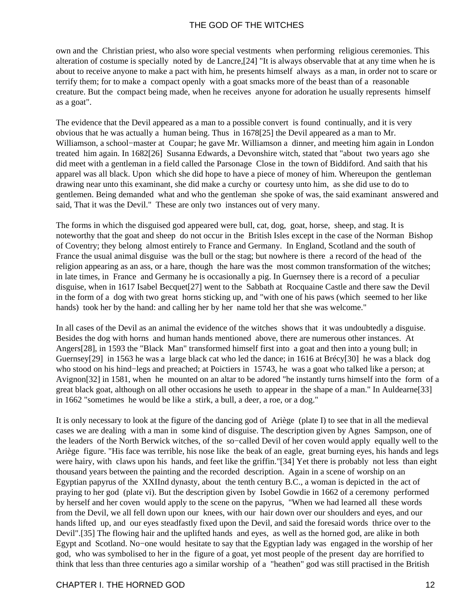own and the Christian priest, who also wore special vestments when performing religious ceremonies. This alteration of costume is specially noted by de Lancre,[24] "It is always observable that at any time when he is about to receive anyone to make a pact with him, he presents himself always as a man, in order not to scare or terrify them; for to make a compact openly with a goat smacks more of the beast than of a reasonable creature. But the compact being made, when he receives anyone for adoration he usually represents himself as a goat".

The evidence that the Devil appeared as a man to a possible convert is found continually, and it is very obvious that he was actually a human being. Thus in 1678[25] the Devil appeared as a man to Mr. Williamson, a school−master at Coupar; he gave Mr. Williamson a dinner, and meeting him again in London treated him again. In 1682[26] Susanna Edwards, a Devonshire witch, stated that "about two years ago she did meet with a gentleman in a field called the Parsonage Close in the town of Biddiford. And saith that his apparel was all black. Upon which she did hope to have a piece of money of him. Whereupon the gentleman drawing near unto this examinant, she did make a curchy or courtesy unto him, as she did use to do to gentlemen. Being demanded what and who the gentleman she spoke of was, the said examinant answered and said, That it was the Devil." These are only two instances out of very many.

The forms in which the disguised god appeared were bull, cat, dog, goat, horse, sheep, and stag. It is noteworthy that the goat and sheep do not occur in the British Isles except in the case of the Norman Bishop of Coventry; they belong almost entirely to France and Germany. In England, Scotland and the south of France the usual animal disguise was the bull or the stag; but nowhere is there a record of the head of the religion appearing as an ass, or a hare, though the hare was the most common transformation of the witches; in late times, in France and Germany he is occasionally a pig. In Guernsey there is a record of a peculiar disguise, when in 1617 Isabel Becquet[27] went to the Sabbath at Rocquaine Castle and there saw the Devil in the form of a dog with two great horns sticking up, and "with one of his paws (which seemed to her like hands) took her by the hand: and calling her by her name told her that she was welcome."

In all cases of the Devil as an animal the evidence of the witches shows that it was undoubtedly a disguise. Besides the dog with horns and human hands mentioned above, there are numerous other instances. At Angers[28], in 1593 the "Black Man" transformed himself first into a goat and then into a young bull; in Guernsey[29] in 1563 he was a large black cat who led the dance; in 1616 at Brécy[30] he was a black dog who stood on his hind−legs and preached; at Poictiers in 15743, he was a goat who talked like a person; at Avignon[32] in 1581, when he mounted on an altar to be adored "he instantly turns himself into the form of a great black goat, although on all other occasions he useth to appear in the shape of a man." In Auldearne[33] in 1662 "sometimes he would be like a stirk, a bull, a deer, a roe, or a dog."

It is only necessary to look at the figure of the dancing god of Ariège (plate I) to see that in all the medieval cases we are dealing with a man in some kind of disguise. The description given by Agnes Sampson, one of the leaders of the North Berwick witches, of the so−called Devil of her coven would apply equally well to the Ariège figure. "His face was terrible, his nose like the beak of an eagle, great burning eyes, his hands and legs were hairy, with claws upon his hands, and feet like the griffin."[34] Yet there is probably not less than eight thousand years between the painting and the recorded description. Again in a scene of worship on an Egyptian papyrus of the XXIInd dynasty, about the tenth century B.C., a woman is depicted in the act of praying to her god (plate vi). But the description given by Isobel Gowdie in 1662 of a ceremony performed by herself and her coven would apply to the scene on the papyrus, "When we had learned all these words from the Devil, we all fell down upon our knees, with our hair down over our shoulders and eyes, and our hands lifted up, and our eyes steadfastly fixed upon the Devil, and said the foresaid words thrice over to the Devil".[35] The flowing hair and the uplifted hands and eyes, as well as the horned god, are alike in both Egypt and Scotland. No−one would hesitate to say that the Egyptian lady was engaged in the worship of her god, who was symbolised to her in the figure of a goat, yet most people of the present day are horrified to think that less than three centuries ago a similar worship of a "heathen" god was still practised in the British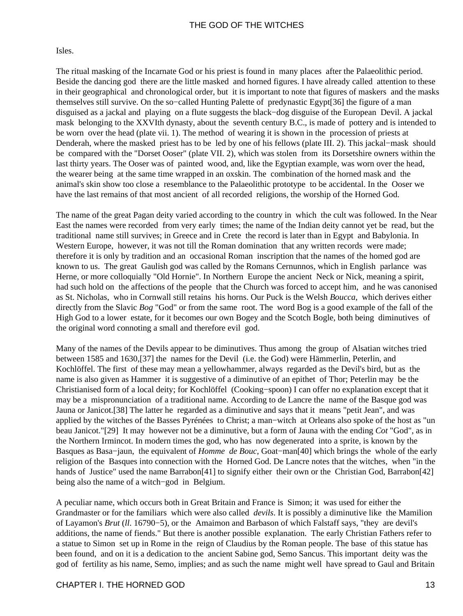### Isles.

The ritual masking of the Incarnate God or his priest is found in many places after the Palaeolithic period. Beside the dancing god there are the little masked and horned figures. I have already called attention to these in their geographical and chronological order, but it is important to note that figures of maskers and the masks themselves still survive. On the so−called Hunting Palette of predynastic Egypt[36] the figure of a man disguised as a jackal and playing on a flute suggests the black−dog disguise of the European Devil. A jackal mask belonging to the XXVIth dynasty, about the seventh century B.C., is made of pottery and is intended to be worn over the head (plate vii. 1). The method of wearing it is shown in the procession of priests at Denderah, where the masked priest has to be led by one of his fellows (plate III. 2). This jackal−mask should be compared with the "Dorset Ooser" (plate VII. 2), which was stolen from its Dorsetshire owners within the last thirty years. The Ooser was of painted wood, and, like the Egyptian example, was worn over the head, the wearer being at the same time wrapped in an oxskin. The combination of the horned mask and the animal's skin show too close a resemblance to the Palaeolithic prototype to be accidental. In the Ooser we have the last remains of that most ancient of all recorded religions, the worship of the Horned God.

The name of the great Pagan deity varied according to the country in which the cult was followed. In the Near East the names were recorded from very early times; the name of the Indian deity cannot yet be read, but the traditional name still survives; in Greece and in Crete the record is later than in Egypt and Babylonia. In Western Europe, however, it was not till the Roman domination that any written records were made; therefore it is only by tradition and an occasional Roman inscription that the names of the homed god are known to us. The great Gaulish god was called by the Romans Cernunnos, which in English parlance was Herne, or more colloquially "Old Hornie". In Northern Europe the ancient Neck or Nick, meaning a spirit, had such hold on the affections of the people that the Church was forced to accept him, and he was canonised as St. Nicholas, who in Cornwall still retains his horns. Our Puck is the Welsh *Boucca*, which derives either directly from the Slavic *Bog* "God" or from the same root. The word Bog is a good example of the fall of the High God to a lower estate, for it becomes our own Bogey and the Scotch Bogle, both being diminutives of the original word connoting a small and therefore evil god.

Many of the names of the Devils appear to be diminutives. Thus among the group of Alsatian witches tried between 1585 and 1630,[37] the names for the Devil (i.e. the God) were Hämmerlin, Peterlin, and Kochlöffel. The first of these may mean a yellowhammer, always regarded as the Devil's bird, but as the name is also given as Hammer it is suggestive of a diminutive of an epithet of Thor; Peterlin may be the Christianised form of a local deity; for Kochlöffel (Cooking−spoon) I can offer no explanation except that it may be a mispronunciation of a traditional name. According to de Lancre the name of the Basque god was Jauna or Janicot.[38] The latter he regarded as a diminutive and says that it means "petit Jean", and was applied by the witches of the Basses Pyrénées to Christ; a man−witch at Orleans also spoke of the host as "un beau Janicot."[29] It may however not be a diminutive, but a form of Jauna with the ending *Cot* "God", as in the Northern Irmincot. In modern times the god, who has now degenerated into a sprite, is known by the Basques as Basa−jaun, the equivalent of *Homme de Bouc*, Goat−man[40] which brings the whole of the early religion of the Basques into connection with the Horned God. De Lancre notes that the witches, when "in the hands of Justice" used the name Barrabon<sup>[41]</sup> to signify either their own or the Christian God, Barrabon<sup>[42]</sup> being also the name of a witch−god in Belgium.

A peculiar name, which occurs both in Great Britain and France is Simon; it was used for either the Grandmaster or for the familiars which were also called *devils*. It is possibly a diminutive like the Mamilion of Layamon's *Brut* (*ll*. 16790−5), or the Amaimon and Barbason of which Falstaff says, "they are devil's additions, the name of fiends." But there is another possible explanation. The early Christian Fathers refer to a statue to Simon set up in Rome in the reign of Claudius by the Roman people. The base of this statue has been found, and on it is a dedication to the ancient Sabine god, Semo Sancus. This important deity was the god of fertility as his name, Semo, implies; and as such the name might well have spread to Gaul and Britain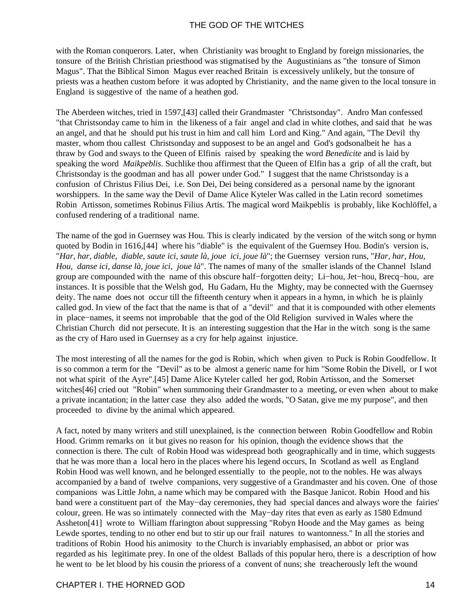with the Roman conquerors. Later, when Christianity was brought to England by foreign missionaries, the tonsure of the British Christian priesthood was stigmatised by the Augustinians as "the tonsure of Simon Magus". That the Biblical Simon Magus ever reached Britain is excessively unlikely, but the tonsure of priests was a heathen custom before it was adopted by Christianity, and the name given to the local tonsure in England is suggestive of the name of a heathen god.

The Aberdeen witches, tried in 1597,[43] called their Grandmaster "Christsonday". Andro Man confessed "that Christsonday came to him in the likeness of a fair angel and clad in white clothes, and said that he was an angel, and that he should put his trust in him and call him Lord and King." And again, "The Devil thy master, whom thou callest Christsonday and supposest to be an angel and God's godson albeit he has a thraw by God and sways to the Queen of Elfin is raised by speaking the word *Benedicite* and is laid by speaking the word *Maikpeblis*. Suchlike thou affirmest that the Queen of Elfin has a grip of all the craft, but Christsonday is the goodman and has all power under God." I suggest that the name Christsonday is a confusion of Christus Filius Dei, i.e. Son Dei, Dei being considered as a personal name by the ignorant worshippers. In the same way the Devil of Dame Alice Kyteler Was called in the Latin record sometimes Robin Artisson, sometimes Robinus Filius Artis. The magical word Maikpeblis is probably, like Kochlöffel, a confused rendering of a traditional name.

The name of the god in Guernsey was Hou. This is clearly indicated by the version of the witch song or hymn quoted by Bodin in 1616,[44] where his "diable" is the equivalent of the Guernsey Hou. Bodin's version is, "*Har, har, diable, diable, saute ici, saute là, joue ici, joue là*"; the Guernsey version runs, "*Har, har, Hou, Hou, danse ici, danse là, joue ici, joue là*". The names of many of the smaller islands of the Channel Island group are compounded with the name of this obscure half−forgotten deity; Li−hou, Jet−hou, Brecq−hou, are instances. It is possible that the Welsh god, Hu Gadarn, Hu the Mighty, may be connected with the Guernsey deity. The name does not occur till the fifteenth century when it appears in a hymn, in which he is plainly called god. In view of the fact that the name is that of a "devil" and that it is compounded with other elements in place−names, it seems not improbable that the god of the Old Religion survived in Wales where the Christian Church did not persecute. It is an interesting suggestion that the Har in the witch song is the same as the cry of Haro used in Guernsey as a cry for help against injustice.

The most interesting of all the names for the god is Robin, which when given to Puck is Robin Goodfellow. It is so common a term for the "Devil" as to be almost a generic name for him "Some Robin the Divell, or I wot not what spirit of the Ayre".[45] Dame Alice Kyteler called her god, Robin Artisson, and the Somerset witches<sup>[46]</sup> cried out "Robin" when summoning their Grandmaster to a meeting, or even when about to make a private incantation; in the latter case they also added the words, "O Satan, give me my purpose", and then proceeded to divine by the animal which appeared.

A fact, noted by many writers and still unexplained, is the connection between Robin Goodfellow and Robin Hood. Grimm remarks on it but gives no reason for his opinion, though the evidence shows that the connection is there. The cult of Robin Hood was widespread both geographically and in time, which suggests that he was more than a local hero in the places where his legend occurs, In Scotland as well as England Robin Hood was well known, and he belonged essentially to the people, not to the nobles. He was always accompanied by a band of twelve companions, very suggestive of a Grandmaster and his coven. One of those companions was Little John, a name which may be compared with the Basque Janicot. Robin Hood and his band were a constituent part of the May−day ceremonies, they had special dances and always wore the fairies' colour, green. He was so intimately connected with the May−day rites that even as early as 1580 Edmund Assheton[41] wrote to William ffarington about suppressing "Robyn Hoode and the May games as being Lewde sportes, tending to no other end but to stir up our frail natures to wantonness." In all the stories and traditions of Robin Hood his animosity to the Church is invariably emphasised, an abbot or prior was regarded as his legitimate prey. In one of the oldest Ballads of this popular hero, there is a description of how he went to be let blood by his cousin the prioress of a convent of nuns; she treacherously left the wound

## CHAPTER I. THE HORNED GOD 14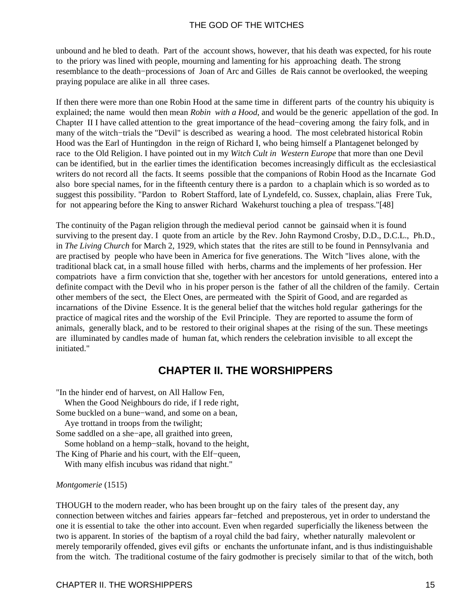<span id="page-16-0"></span>unbound and he bled to death. Part of the account shows, however, that his death was expected, for his route to the priory was lined with people, mourning and lamenting for his approaching death. The strong resemblance to the death−processions of Joan of Arc and Gilles de Rais cannot be overlooked, the weeping praying populace are alike in all three cases.

If then there were more than one Robin Hood at the same time in different parts of the country his ubiquity is explained; the name would then mean *Robin with a Hood*, and would be the generic appellation of the god. In Chapter II I have called attention to the great importance of the head−covering among the fairy folk, and in many of the witch−trials the "Devil" is described as wearing a hood. The most celebrated historical Robin Hood was the Earl of Huntingdon in the reign of Richard I, who being himself a Plantagenet belonged by race to the Old Religion. I have pointed out in my *Witch Cult in Western Europe* that more than one Devil can be identified, but in the earlier times the identification becomes increasingly difficult as the ecclesiastical writers do not record all the facts. It seems possible that the companions of Robin Hood as the Incarnate God also bore special names, for in the fifteenth century there is a pardon to a chaplain which is so worded as to suggest this possibility. "Pardon to Robert Stafford, late of Lyndefeld, co. Sussex, chaplain, alias Frere Tuk, for not appearing before the King to answer Richard Wakehurst touching a plea of trespass."[48]

The continuity of the Pagan religion through the medieval period cannot be gainsaid when it is found surviving to the present day. I quote from an article by the Rev. John Raymond Crosby, D.D., D.C.L., Ph.D., in *The Living Church* for March 2, 1929, which states that the rites are still to be found in Pennsylvania and are practised by people who have been in America for five generations. The Witch "lives alone, with the traditional black cat, in a small house filled with herbs, charms and the implements of her profession. Her compatriots have a firm conviction that she, together with her ancestors for untold generations, entered into a definite compact with the Devil who in his proper person is the father of all the children of the family. Certain other members of the sect, the Elect Ones, are permeated with the Spirit of Good, and are regarded as incarnations of the Divine Essence. It is the general belief that the witches hold regular gatherings for the practice of magical rites and the worship of the Evil Principle. They are reported to assume the form of animals, generally black, and to be restored to their original shapes at the rising of the sun. These meetings are illuminated by candles made of human fat, which renders the celebration invisible to all except the initiated."

## **CHAPTER II. THE WORSHIPPERS**

"In the hinder end of harvest, on All Hallow Fen,

 When the Good Neighbours do ride, if I rede right, Some buckled on a bune−wand, and some on a bean,

Aye trottand in troops from the twilight;

Some saddled on a she−ape, all graithed into green, Some hobland on a hemp−stalk, hovand to the height,

The King of Pharie and his court, with the Elf−queen,

With many elfish incubus was ridand that night."

*Montgomerie* (1515)

THOUGH to the modern reader, who has been brought up on the fairy tales of the present day, any connection between witches and fairies appears far−fetched and preposterous, yet in order to understand the one it is essential to take the other into account. Even when regarded superficially the likeness between the two is apparent. In stories of the baptism of a royal child the bad fairy, whether naturally malevolent or merely temporarily offended, gives evil gifts or enchants the unfortunate infant, and is thus indistinguishable from the witch. The traditional costume of the fairy godmother is precisely similar to that of the witch, both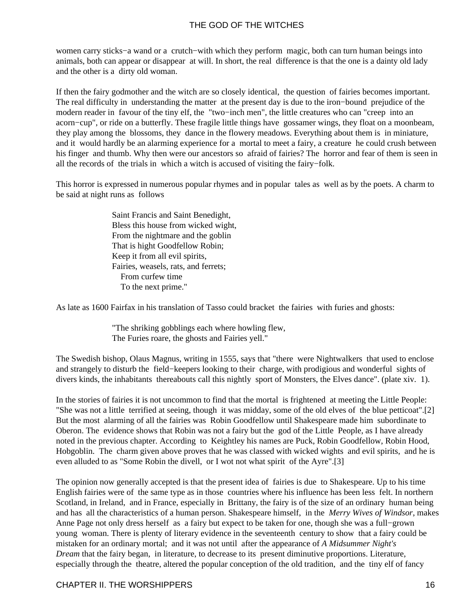women carry sticks−a wand or a crutch−with which they perform magic, both can turn human beings into animals, both can appear or disappear at will. In short, the real difference is that the one is a dainty old lady and the other is a dirty old woman.

If then the fairy godmother and the witch are so closely identical, the question of fairies becomes important. The real difficulty in understanding the matter at the present day is due to the iron−bound prejudice of the modern reader in favour of the tiny elf, the "two−inch men", the little creatures who can "creep into an acorn−cup", or ride on a butterfly. These fragile little things have gossamer wings, they float on a moonbeam, they play among the blossoms, they dance in the flowery meadows. Everything about them is in miniature, and it would hardly be an alarming experience for a mortal to meet a fairy, a creature he could crush between his finger and thumb. Why then were our ancestors so afraid of fairies? The horror and fear of them is seen in all the records of the trials in which a witch is accused of visiting the fairy−folk.

This horror is expressed in numerous popular rhymes and in popular tales as well as by the poets. A charm to be said at night runs as follows

> Saint Francis and Saint Benedight, Bless this house from wicked wight, From the nightmare and the goblin That is hight Goodfellow Robin; Keep it from all evil spirits, Fairies, weasels, rats, and ferrets; From curfew time To the next prime."

As late as 1600 Fairfax in his translation of Tasso could bracket the fairies with furies and ghosts:

"The shriking gobblings each where howling flew, The Furies roare, the ghosts and Fairies yell."

The Swedish bishop, Olaus Magnus, writing in 1555, says that "there were Nightwalkers that used to enclose and strangely to disturb the field−keepers looking to their charge, with prodigious and wonderful sights of divers kinds, the inhabitants thereabouts call this nightly sport of Monsters, the Elves dance". (plate xiv. 1).

In the stories of fairies it is not uncommon to find that the mortal is frightened at meeting the Little People: "She was not a little terrified at seeing, though it was midday, some of the old elves of the blue petticoat".[2] But the most alarming of all the fairies was Robin Goodfellow until Shakespeare made him subordinate to Oberon. The evidence shows that Robin was not a fairy but the god of the Little People, as I have already noted in the previous chapter. According to Keightley his names are Puck, Robin Goodfellow, Robin Hood, Hobgoblin. The charm given above proves that he was classed with wicked wights and evil spirits, and he is even alluded to as "Some Robin the divell, or I wot not what spirit of the Ayre".[3]

The opinion now generally accepted is that the present idea of fairies is due to Shakespeare. Up to his time English fairies were of the same type as in those countries where his influence has been less felt. In northern Scotland, in Ireland, and in France, especially in Brittany, the fairy is of the size of an ordinary human being and has all the characteristics of a human person. Shakespeare himself, in the *Merry Wives of Windsor*, makes Anne Page not only dress herself as a fairy but expect to be taken for one, though she was a full−grown young woman. There is plenty of literary evidence in the seventeenth century to show that a fairy could be mistaken for an ordinary mortal; and it was not until after the appearance of *A Midsummer Night's Dream* that the fairy began, in literature, to decrease to its present diminutive proportions. Literature, especially through the theatre, altered the popular conception of the old tradition, and the tiny elf of fancy

### CHAPTER II. THE WORSHIPPERS 16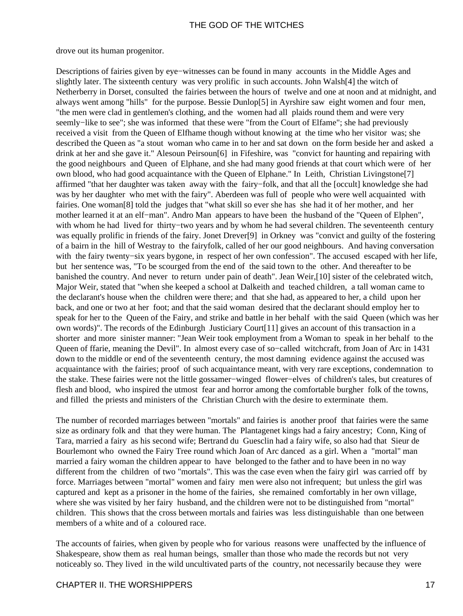drove out its human progenitor.

Descriptions of fairies given by eye−witnesses can be found in many accounts in the Middle Ages and slightly later. The sixteenth century was very prolific in such accounts. John Walsh[4] the witch of Netherberry in Dorset, consulted the fairies between the hours of twelve and one at noon and at midnight, and always went among "hills" for the purpose. Bessie Dunlop[5] in Ayrshire saw eight women and four men, "the men were clad in gentlemen's clothing, and the women had all plaids round them and were very seemly–like to see"; she was informed that these were "from the Court of Elfame"; she had previously received a visit from the Queen of Elfhame though without knowing at the time who her visitor was; she described the Queen as "a stout woman who came in to her and sat down on the form beside her and asked a drink at her and she gave it." Alesoun Peirsoun[6] in Fifeshire, was "convict for haunting and repairing with the good neighbours and Queen of Elphane, and she had many good friends at that court which were of her own blood, who had good acquaintance with the Queen of Elphane." In Leith, Christian Livingstone[7] affirmed "that her daughter was taken away with the fairy−folk, and that all the [occult] knowledge she had was by her daughter who met with the fairy". Aberdeen was full of people who were well acquainted with fairies. One woman[8] told the judges that "what skill so ever she has she had it of her mother, and her mother learned it at an elf−man". Andro Man appears to have been the husband of the "Queen of Elphen", with whom he had lived for thirty–two years and by whom he had several children. The seventeenth century was equally prolific in friends of the fairy. Jonet Drever[9] in Orkney was "convict and guilty of the fostering of a bairn in the hill of Westray to the fairyfolk, called of her our good neighbours. And having conversation with the fairy twenty−six years bygone, in respect of her own confession". The accused escaped with her life, but her sentence was, "To be scourged from the end of the said town to the other. And thereafter to be banished the country. And never to return under pain of death". Jean Weir,[10] sister of the celebrated witch, Major Weir, stated that "when she keeped a school at Dalkeith and teached children, a tall woman came to the declarant's house when the children were there; and that she had, as appeared to her, a child upon her back, and one or two at her foot; and that the said woman desired that the declarant should employ her to speak for her to the Queen of the Fairy, and strike and battle in her behalf with the said Queen (which was her own words)". The records of the Edinburgh Justiciary Court[11] gives an account of this transaction in a shorter and more sinister manner: "Jean Weir took employment from a Woman to speak in her behalf to the Queen of ffarie, meaning the Devil". In almost every case of so−called witchcraft, from Joan of Arc in 1431 down to the middle or end of the seventeenth century, the most damning evidence against the accused was acquaintance with the fairies; proof of such acquaintance meant, with very rare exceptions, condemnation to the stake. These fairies were not the little gossamer−winged flower−elves of children's tales, but creatures of flesh and blood, who inspired the utmost fear and horror among the comfortable burgher folk of the towns, and filled the priests and ministers of the Christian Church with the desire to exterminate them.

The number of recorded marriages between "mortals" and fairies is another proof that fairies were the same size as ordinary folk and that they were human. The Plantagenet kings had a fairy ancestry; Conn, King of Tara, married a fairy as his second wife; Bertrand du Guesclin had a fairy wife, so also had that Sieur de Bourlemont who owned the Fairy Tree round which Joan of Arc danced as a girl. When a "mortal" man married a fairy woman the children appear to have belonged to the father and to have been in no way different from the children of two "mortals". This was the case even when the fairy girl was carried off by force. Marriages between "mortal" women and fairy men were also not infrequent; but unless the girl was captured and kept as a prisoner in the home of the fairies, she remained comfortably in her own village, where she was visited by her fairy husband, and the children were not to be distinguished from "mortal" children. This shows that the cross between mortals and fairies was less distinguishable than one between members of a white and of a coloured race.

The accounts of fairies, when given by people who for various reasons were unaffected by the influence of Shakespeare, show them as real human beings, smaller than those who made the records but not very noticeably so. They lived in the wild uncultivated parts of the country, not necessarily because they were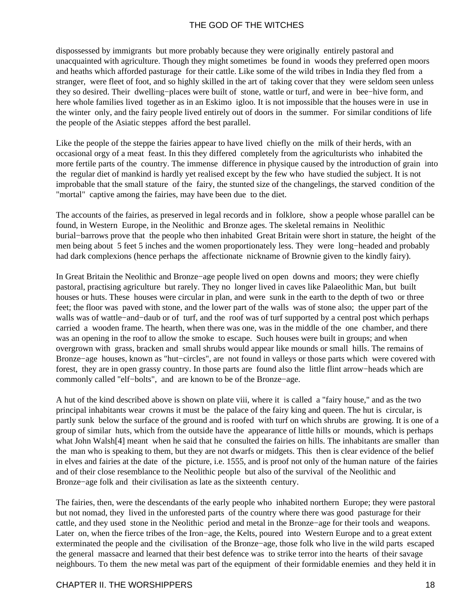dispossessed by immigrants but more probably because they were originally entirely pastoral and unacquainted with agriculture. Though they might sometimes be found in woods they preferred open moors and heaths which afforded pasturage for their cattle. Like some of the wild tribes in India they fled from a stranger, were fleet of foot, and so highly skilled in the art of taking cover that they were seldom seen unless they so desired. Their dwelling−places were built of stone, wattle or turf, and were in bee−hive form, and here whole families lived together as in an Eskimo igloo. It is not impossible that the houses were in use in the winter only, and the fairy people lived entirely out of doors in the summer. For similar conditions of life the people of the Asiatic steppes afford the best parallel.

Like the people of the steppe the fairies appear to have lived chiefly on the milk of their herds, with an occasional orgy of a meat feast. In this they differed completely from the agriculturists who inhabited the more fertile parts of the country. The immense difference in physique caused by the introduction of grain into the regular diet of mankind is hardly yet realised except by the few who have studied the subject. It is not improbable that the small stature of the fairy, the stunted size of the changelings, the starved condition of the "mortal" captive among the fairies, may have been due to the diet.

The accounts of the fairies, as preserved in legal records and in folklore, show a people whose parallel can be found, in Western Europe, in the Neolithic and Bronze ages. The skeletal remains in Neolithic burial−barrows prove that the people who then inhabited Great Britain were short in stature, the height of the men being about 5 feet 5 inches and the women proportionately less. They were long−headed and probably had dark complexions (hence perhaps the affectionate nickname of Brownie given to the kindly fairy).

In Great Britain the Neolithic and Bronze−age people lived on open downs and moors; they were chiefly pastoral, practising agriculture but rarely. They no longer lived in caves like Palaeolithic Man, but built houses or huts. These houses were circular in plan, and were sunk in the earth to the depth of two or three feet; the floor was paved with stone, and the lower part of the walls was of stone also; the upper part of the walls was of wattle−and−daub or of turf, and the roof was of turf supported by a central post which perhaps carried a wooden frame. The hearth, when there was one, was in the middle of the one chamber, and there was an opening in the roof to allow the smoke to escape. Such houses were built in groups; and when overgrown with grass, bracken and small shrubs would appear like mounds or small hills. The remains of Bronze−age houses, known as "hut−circles", are not found in valleys or those parts which were covered with forest, they are in open grassy country. In those parts are found also the little flint arrow−heads which are commonly called "elf−bolts", and are known to be of the Bronze−age.

A hut of the kind described above is shown on plate viii, where it is called a "fairy house," and as the two principal inhabitants wear crowns it must be the palace of the fairy king and queen. The hut is circular, is partly sunk below the surface of the ground and is roofed with turf on which shrubs are growing. It is one of a group of similar huts, which from the outside have the appearance of little hills or mounds, which is perhaps what John Walsh<sup>[4]</sup> meant when he said that he consulted the fairies on hills. The inhabitants are smaller than the man who is speaking to them, but they are not dwarfs or midgets. This then is clear evidence of the belief in elves and fairies at the date of the picture, i.e. 1555, and is proof not only of the human nature of the fairies and of their close resemblance to the Neolithic people but also of the survival of the Neolithic and Bronze−age folk and their civilisation as late as the sixteenth century.

The fairies, then, were the descendants of the early people who inhabited northern Europe; they were pastoral but not nomad, they lived in the unforested parts of the country where there was good pasturage for their cattle, and they used stone in the Neolithic period and metal in the Bronze−age for their tools and weapons. Later on, when the fierce tribes of the Iron−age, the Kelts, poured into Western Europe and to a great extent exterminated the people and the civilisation of the Bronze−age, those folk who live in the wild parts escaped the general massacre and learned that their best defence was to strike terror into the hearts of their savage neighbours. To them the new metal was part of the equipment of their formidable enemies and they held it in

## CHAPTER II. THE WORSHIPPERS 18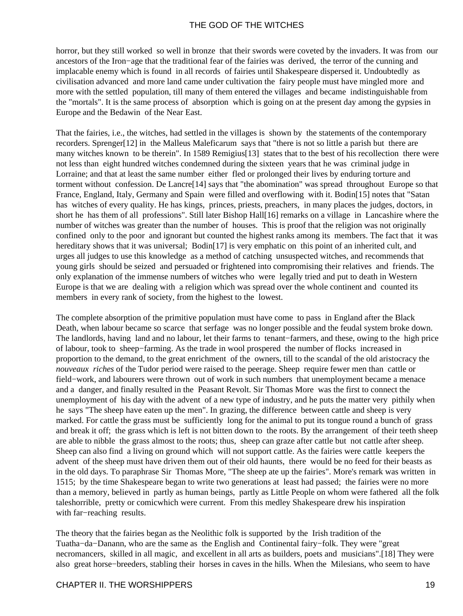horror, but they still worked so well in bronze that their swords were coveted by the invaders. It was from our ancestors of the Iron−age that the traditional fear of the fairies was derived, the terror of the cunning and implacable enemy which is found in all records of fairies until Shakespeare dispersed it. Undoubtedly as civilisation advanced and more land came under cultivation the fairy people must have mingled more and more with the settled population, till many of them entered the villages and became indistinguishable from the "mortals". It is the same process of absorption which is going on at the present day among the gypsies in Europe and the Bedawin of the Near East.

That the fairies, i.e., the witches, had settled in the villages is shown by the statements of the contemporary recorders. Sprenger[12] in the Malleus Maleficarum says that "there is not so little a parish but there are many witches known to be therein". In 1589 Remigius[13] states that to the best of his recollection there were not less than eight hundred witches condemned during the sixteen years that he was criminal judge in Lorraine; and that at least the same number either fled or prolonged their lives by enduring torture and torment without confession. De Lancre[14] says that "the abomination" was spread throughout Europe so that France, England, Italy, Germany and Spain were filled and overflowing with it. Bodin[15] notes that "Satan has witches of every quality. He has kings, princes, priests, preachers, in many places the judges, doctors, in short he has them of all professions". Still later Bishop Hall[16] remarks on a village in Lancashire where the number of witches was greater than the number of houses. This is proof that the religion was not originally confined only to the poor and ignorant but counted the highest ranks among its members. The fact that it was hereditary shows that it was universal; Bodin[17] is very emphatic on this point of an inherited cult, and urges all judges to use this knowledge as a method of catching unsuspected witches, and recommends that young girls should be seized and persuaded or frightened into compromising their relatives and friends. The only explanation of the immense numbers of witches who were legally tried and put to death in Western Europe is that we are dealing with a religion which was spread over the whole continent and counted its members in every rank of society, from the highest to the lowest.

The complete absorption of the primitive population must have come to pass in England after the Black Death, when labour became so scarce that serfage was no longer possible and the feudal system broke down. The landlords, having land and no labour, let their farms to tenant−farmers, and these, owing to the high price of labour, took to sheep−farming. As the trade in wool prospered the number of flocks increased in proportion to the demand, to the great enrichment of the owners, till to the scandal of the old aristocracy the *nouveaux riches* of the Tudor period were raised to the peerage. Sheep require fewer men than cattle or field−work, and labourers were thrown out of work in such numbers that unemployment became a menace and a danger, and finally resulted in the Peasant Revolt. Sir Thomas More was the first to connect the unemployment of his day with the advent of a new type of industry, and he puts the matter very pithily when he says "The sheep have eaten up the men". In grazing, the difference between cattle and sheep is very marked. For cattle the grass must be sufficiently long for the animal to put its tongue round a bunch of grass and break it off; the grass which is left is not bitten down to the roots. By the arrangement of their teeth sheep are able to nibble the grass almost to the roots; thus, sheep can graze after cattle but not cattle after sheep. Sheep can also find a living on ground which will not support cattle. As the fairies were cattle keepers the advent of the sheep must have driven them out of their old haunts, there would be no feed for their beasts as in the old days. To paraphrase Sir Thomas More, "The sheep ate up the fairies". More's remark was written in 1515; by the time Shakespeare began to write two generations at least had passed; the fairies were no more than a memory, believed in partly as human beings, partly as Little People on whom were fathered all the folk tales horrible, pretty or comic which were current. From this medley Shakespeare drew his inspiration with far−reaching results.

The theory that the fairies began as the Neolithic folk is supported by the Irish tradition of the Tuatha−da−Danann, who are the same as the English and Continental fairy−folk. They were "great necromancers, skilled in all magic, and excellent in all arts as builders, poets and musicians".[18] They were also great horse−breeders, stabling their horses in caves in the hills. When the Milesians, who seem to have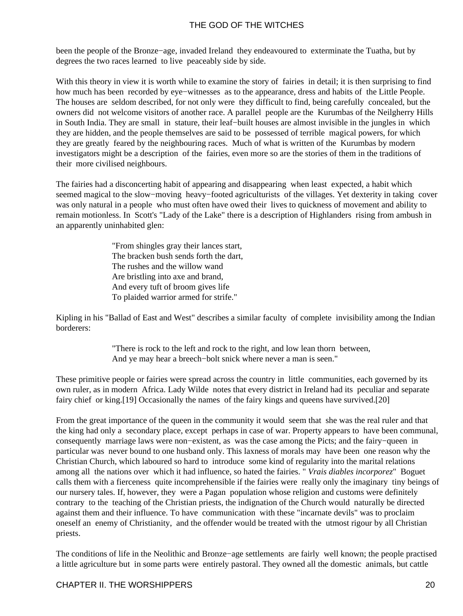been the people of the Bronze−age, invaded Ireland they endeavoured to exterminate the Tuatha, but by degrees the two races learned to live peaceably side by side.

With this theory in view it is worth while to examine the story of fairies in detail; it is then surprising to find how much has been recorded by eye−witnesses as to the appearance, dress and habits of the Little People. The houses are seldom described, for not only were they difficult to find, being carefully concealed, but the owners did not welcome visitors of another race. A parallel people are the Kurumbas of the Neilgherry Hills in South India. They are small in stature, their leaf−built houses are almost invisible in the jungles in which they are hidden, and the people themselves are said to be possessed of terrible magical powers, for which they are greatly feared by the neighbouring races. Much of what is written of the Kurumbas by modern investigators might be a description of the fairies, even more so are the stories of them in the traditions of their more civilised neighbours.

The fairies had a disconcerting habit of appearing and disappearing when least expected, a habit which seemed magical to the slow–moving heavy–footed agriculturists of the villages. Yet dexterity in taking cover was only natural in a people who must often have owed their lives to quickness of movement and ability to remain motionless. In Scott's "Lady of the Lake" there is a description of Highlanders rising from ambush in an apparently uninhabited glen:

> "From shingles gray their lances start, The bracken bush sends forth the dart, The rushes and the willow wand Are bristling into axe and brand, And every tuft of broom gives life To plaided warrior armed for strife."

Kipling in his "Ballad of East and West" describes a similar faculty of complete invisibility among the Indian borderers:

> "There is rock to the left and rock to the right, and low lean thorn between, And ye may hear a breech−bolt snick where never a man is seen."

These primitive people or fairies were spread across the country in little communities, each governed by its own ruler, as in modern Africa. Lady Wilde notes that every district in Ireland had its peculiar and separate fairy chief or king.[19] Occasionally the names of the fairy kings and queens have survived.[20]

From the great importance of the queen in the community it would seem that she was the real ruler and that the king had only a secondary place, except perhaps in case of war. Property appears to have been communal, consequently marriage laws were non−existent, as was the case among the Picts; and the fairy−queen in particular was never bound to one husband only. This laxness of morals may have been one reason why the Christian Church, which laboured so hard to introduce some kind of regularity into the marital relations among all the nations over which it had influence, so hated the fairies. " *Vrais diables incorporez*" Boguet calls them with a fierceness quite incomprehensible if the fairies were really only the imaginary tiny beings of our nursery tales. If, however, they were a Pagan population whose religion and customs were definitely contrary to the teaching of the Christian priests, the indignation of the Church would naturally be directed against them and their influence. To have communication with these "incarnate devils" was to proclaim oneself an enemy of Christianity, and the offender would be treated with the utmost rigour by all Christian priests.

The conditions of life in the Neolithic and Bronze−age settlements are fairly well known; the people practised a little agriculture but in some parts were entirely pastoral. They owned all the domestic animals, but cattle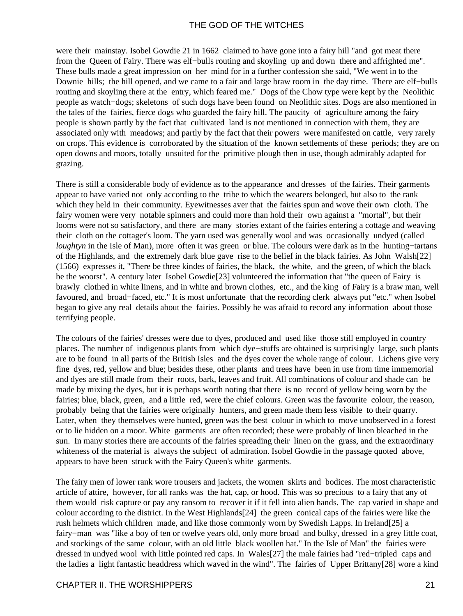were their mainstay. Isobel Gowdie 21 in 1662 claimed to have gone into a fairy hill "and got meat there from the Queen of Fairy. There was elf−bulls routing and skoyling up and down there and affrighted me". These bulls made a great impression on her mind for in a further confession she said, "We went in to the Downie hills; the hill opened, and we came to a fair and large braw room in the day time. There are elf−bulls routing and skoyling there at the entry, which feared me." Dogs of the Chow type were kept by the Neolithic people as watch−dogs; skeletons of such dogs have been found on Neolithic sites. Dogs are also mentioned in the tales of the fairies, fierce dogs who guarded the fairy hill. The paucity of agriculture among the fairy people is shown partly by the fact that cultivated land is not mentioned in connection with them, they are associated only with meadows; and partly by the fact that their powers were manifested on cattle, very rarely on crops. This evidence is corroborated by the situation of the known settlements of these periods; they are on open downs and moors, totally unsuited for the primitive plough then in use, though admirably adapted for grazing.

There is still a considerable body of evidence as to the appearance and dresses of the fairies. Their garments appear to have varied not only according to the tribe to which the wearers belonged, but also to the rank which they held in their community. Eyewitnesses aver that the fairies spun and wove their own cloth. The fairy women were very notable spinners and could more than hold their own against a "mortal", but their looms were not so satisfactory, and there are many stories extant of the fairies entering a cottage and weaving their cloth on the cottager's loom. The yarn used was generally wool and was occasionally undyed (called *loughtyn* in the Isle of Man), more often it was green or blue. The colours were dark as in the hunting–tartans of the Highlands, and the extremely dark blue gave rise to the belief in the black fairies. As John Walsh[22] (1566) expresses it, "There be three kindes of fairies, the black, the white, and the green, of which the black be the woorst". A century later Isobel Gowdie[23] volunteered the information that "the queen of Fairy is brawly clothed in white linens, and in white and brown clothes, etc., and the king of Fairy is a braw man, well favoured, and broad−faced, etc." It is most unfortunate that the recording clerk always put "etc." when Isobel began to give any real details about the fairies. Possibly he was afraid to record any information about those terrifying people.

The colours of the fairies' dresses were due to dyes, produced and used like those still employed in country places. The number of indigenous plants from which dye−stuffs are obtained is surprisingly large, such plants are to be found in all parts of the British Isles and the dyes cover the whole range of colour. Lichens give very fine dyes, red, yellow and blue; besides these, other plants and trees have been in use from time immemorial and dyes are still made from their roots, bark, leaves and fruit. All combinations of colour and shade can be made by mixing the dyes, but it is perhaps worth noting that there is no record of yellow being worn by the fairies; blue, black, green, and a little red, were the chief colours. Green was the favourite colour, the reason, probably being that the fairies were originally hunters, and green made them less visible to their quarry. Later, when they themselves were hunted, green was the best colour in which to move unobserved in a forest or to lie hidden on a moor. White garments are often recorded; these were probably of linen bleached in the sun. In many stories there are accounts of the fairies spreading their linen on the grass, and the extraordinary whiteness of the material is always the subject of admiration. Isobel Gowdie in the passage quoted above, appears to have been struck with the Fairy Queen's white garments.

The fairy men of lower rank wore trousers and jackets, the women skirts and bodices. The most characteristic article of attire, however, for all ranks was the hat, cap, or hood. This was so precious to a fairy that any of them would risk capture or pay any ransom to recover it if it fell into alien hands. The cap varied in shape and colour according to the district. In the West Highlands[24] the green conical caps of the fairies were like the rush helmets which children made, and like those commonly worn by Swedish Lapps. In Ireland[25] a fairy−man was "like a boy of ten or twelve years old, only more broad and bulky, dressed in a grey little coat, and stockings of the same colour, with an old little black woollen hat." In the Isle of Man" the fairies were dressed in undyed wool with little pointed red caps. In Wales[27] the male fairies had "red−tripled caps and the ladies a light fantastic headdress which waved in the wind". The fairies of Upper Brittany[28] wore a kind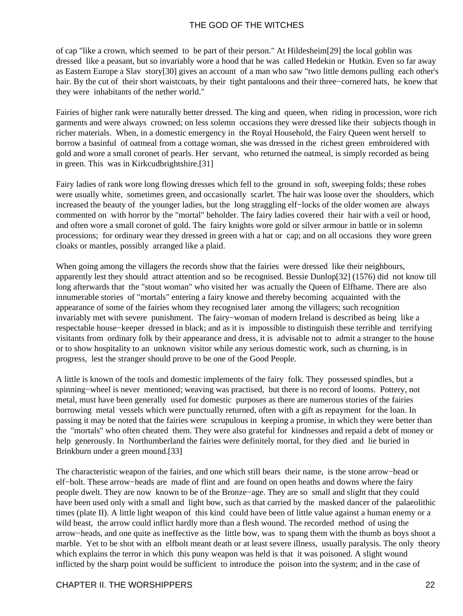of cap "like a crown, which seemed to be part of their person." At Hildesheim[29] the local goblin was dressed like a peasant, but so invariably wore a hood that he was called Hedekin or Hutkin. Even so far away as Eastern Europe a Slav story[30] gives an account of a man who saw "two little demons pulling each other's hair. By the cut of their short waistcoats, by their tight pantaloons and their three−cornered hats, he knew that they were inhabitants of the nether world."

Fairies of higher rank were naturally better dressed. The king and queen, when riding in procession, wore rich garments and were always crowned; on less solemn occasions they were dressed like their subjects though in richer materials. When, in a domestic emergency in the Royal Household, the Fairy Queen went herself to borrow a basinful of oatmeal from a cottage woman, she was dressed in the richest green embroidered with gold and wore a small coronet of pearls. Her servant, who returned the oatmeal, is simply recorded as being in green. This was in Kirkcudbrightshire.[31]

Fairy ladies of rank wore long flowing dresses which fell to the ground in soft, sweeping folds; these robes were usually white, sometimes green, and occasionally scarlet. The hair was loose over the shoulders, which increased the beauty of the younger ladies, but the long straggling elf−locks of the older women are always commented on with horror by the "mortal" beholder. The fairy ladies covered their hair with a veil or hood, and often wore a small coronet of gold. The fairy knights wore gold or silver armour in battle or in solemn processions; for ordinary wear they dressed in green with a hat or cap; and on all occasions they wore green cloaks or mantles, possibly arranged like a plaid.

When going among the villagers the records show that the fairies were dressed like their neighbours, apparently lest they should attract attention and so be recognised. Bessie Dunlop[32] (1576) did not know till long afterwards that the "stout woman" who visited her was actually the Queen of Elfhame. There are also innumerable stories of "mortals" entering a fairy knowe and thereby becoming acquainted with the appearance of some of the fairies whom they recognised later among the villagers; such recognition invariably met with severe punishment. The fairy−woman of modern Ireland is described as being like a respectable house−keeper dressed in black; and as it is impossible to distinguish these terrible and terrifying visitants from ordinary folk by their appearance and dress, it is advisable not to admit a stranger to the house or to show hospitality to an unknown visitor while any serious domestic work, such as churning, is in progress, lest the stranger should prove to be one of the Good People.

A little is known of the tools and domestic implements of the fairy folk. They possessed spindles, but a spinning−wheel is never mentioned; weaving was practised, but there is no record of looms. Pottery, not metal, must have been generally used for domestic purposes as there are numerous stories of the fairies borrowing metal vessels which were punctually returned, often with a gift as repayment for the loan. In passing it may be noted that the fairies were scrupulous in keeping a promise, in which they were better than the "mortals" who often cheated them. They were also grateful for kindnesses and repaid a debt of money or help generously. In Northumberland the fairies were definitely mortal, for they died and lie buried in Brinkburn under a green mound.[33]

The characteristic weapon of the fairies, and one which still bears their name, is the stone arrow−head or elf−bolt. These arrow−heads are made of flint and are found on open heaths and downs where the fairy people dwelt. They are now known to be of the Bronze−age. They are so small and slight that they could have been used only with a small and light bow, such as that carried by the masked dancer of the palaeolithic times (plate II). A little light weapon of this kind could have been of little value against a human enemy or a wild beast, the arrow could inflict hardly more than a flesh wound. The recorded method of using the arrow−heads, and one quite as ineffective as the little bow, was to spang them with the thumb as boys shoot a marble. Yet to be shot with an elfbolt meant death or at least severe illness, usually paralysis. The only theory which explains the terror in which this puny weapon was held is that it was poisoned. A slight wound inflicted by the sharp point would be sufficient to introduce the poison into the system; and in the case of

## CHAPTER II. THE WORSHIPPERS 22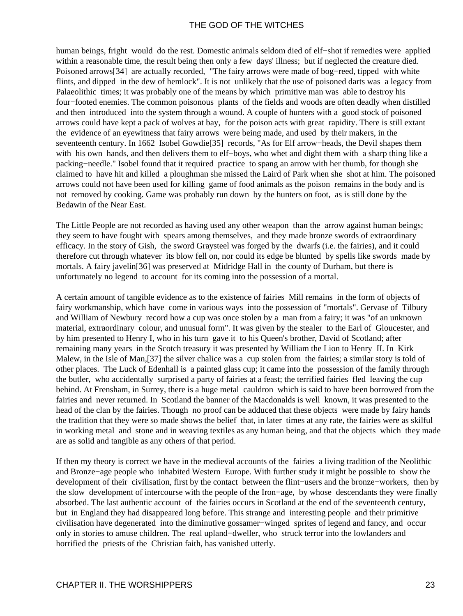human beings, fright would do the rest. Domestic animals seldom died of elf−shot if remedies were applied within a reasonable time, the result being then only a few days' illness; but if neglected the creature died. Poisoned arrows[34] are actually recorded, "The fairy arrows were made of bog−reed, tipped with white flints, and dipped in the dew of hemlock". It is not unlikely that the use of poisoned darts was a legacy from Palaeolithic times; it was probably one of the means by which primitive man was able to destroy his four−footed enemies. The common poisonous plants of the fields and woods are often deadly when distilled and then introduced into the system through a wound. A couple of hunters with a good stock of poisoned arrows could have kept a pack of wolves at bay, for the poison acts with great rapidity. There is still extant the evidence of an eyewitness that fairy arrows were being made, and used by their makers, in the seventeenth century. In 1662 Isobel Gowdie[35] records, "As for Elf arrow–heads, the Devil shapes them with his own hands, and then delivers them to elf−boys, who whet and dight them with a sharp thing like a packing−needle." Isobel found that it required practice to spang an arrow with her thumb, for though she claimed to have hit and killed a ploughman she missed the Laird of Park when she shot at him. The poisoned arrows could not have been used for killing game of food animals as the poison remains in the body and is not removed by cooking. Game was probably run down by the hunters on foot, as is still done by the Bedawin of the Near East.

The Little People are not recorded as having used any other weapon than the arrow against human beings; they seem to have fought with spears among themselves, and they made bronze swords of extraordinary efficacy. In the story of Gish, the sword Graysteel was forged by the dwarfs (i.e. the fairies), and it could therefore cut through whatever its blow fell on, nor could its edge be blunted by spells like swords made by mortals. A fairy javelin[36] was preserved at Midridge Hall in the county of Durham, but there is unfortunately no legend to account for its coming into the possession of a mortal.

A certain amount of tangible evidence as to the existence of fairies Mill remains in the form of objects of fairy workmanship, which have come in various ways into the possession of "mortals". Gervase of Tilbury and William of Newbury record how a cup was once stolen by a man from a fairy; it was "of an unknown material, extraordinary colour, and unusual form". It was given by the stealer to the Earl of Gloucester, and by him presented to Henry I, who in his turn gave it to his Queen's brother, David of Scotland; after remaining many years in the Scotch treasury it was presented by William the Lion to Henry II. In Kirk Malew, in the Isle of Man,<sup>[37]</sup> the silver chalice was a cup stolen from the fairies; a similar story is told of other places. The Luck of Edenhall is a painted glass cup; it came into the possession of the family through the butler, who accidentally surprised a party of fairies at a feast; the terrified fairies fled leaving the cup behind. At Frensham, in Surrey, there is a huge metal cauldron which is said to have been borrowed from the fairies and never returned. In Scotland the banner of the Macdonalds is well known, it was presented to the head of the clan by the fairies. Though no proof can be adduced that these objects were made by fairy hands the tradition that they were so made shows the belief that, in later times at any rate, the fairies were as skilful in working metal and stone and in weaving textiles as any human being, and that the objects which they made are as solid and tangible as any others of that period.

If then my theory is correct we have in the medieval accounts of the fairies a living tradition of the Neolithic and Bronze−age people who inhabited Western Europe. With further study it might be possible to show the development of their civilisation, first by the contact between the flint−users and the bronze−workers, then by the slow development of intercourse with the people of the Iron−age, by whose descendants they were finally absorbed. The last authentic account of the fairies occurs in Scotland at the end of the seventeenth century, but in England they had disappeared long before. This strange and interesting people and their primitive civilisation have degenerated into the diminutive gossamer−winged sprites of legend and fancy, and occur only in stories to amuse children. The real upland−dweller, who struck terror into the lowlanders and horrified the priests of the Christian faith, has vanished utterly.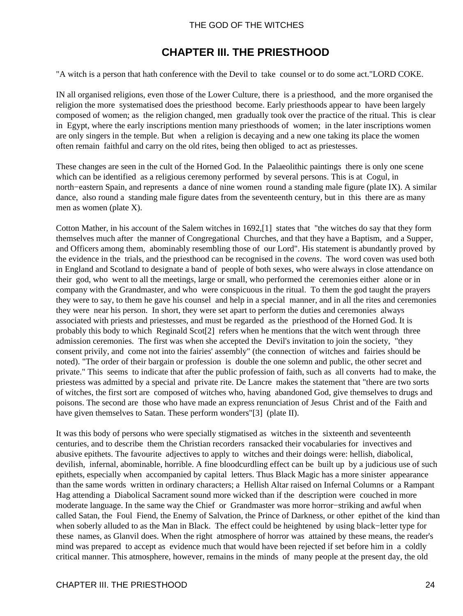## **CHAPTER III. THE PRIESTHOOD**

<span id="page-25-0"></span>"A witch is a person that hath conference with the Devil to take counsel or to do some act."LORD COKE.

IN all organised religions, even those of the Lower Culture, there is a priesthood, and the more organised the religion the more systematised does the priesthood become. Early priesthoods appear to have been largely composed of women; as the religion changed, men gradually took over the practice of the ritual. This is clear in Egypt, where the early inscriptions mention many priesthoods of women; in the later inscriptions women are only singers in the temple. But when a religion is decaying and a new one taking its place the women often remain faithful and carry on the old rites, being then obliged to act as priestesses.

These changes are seen in the cult of the Horned God. In the Palaeolithic paintings there is only one scene which can be identified as a religious ceremony performed by several persons. This is at Cogul, in north−eastern Spain, and represents a dance of nine women round a standing male figure (plate IX). A similar dance, also round a standing male figure dates from the seventeenth century, but in this there are as many men as women (plate X).

Cotton Mather, in his account of the Salem witches in 1692,[1] states that "the witches do say that they form themselves much after the manner of Congregational Churches, and that they have a Baptism, and a Supper, and Officers among them, abominably resembling those of our Lord". His statement is abundantly proved by the evidence in the trials, and the priesthood can be recognised in the *covens*. The word coven was used both in England and Scotland to designate a band of people of both sexes, who were always in close attendance on their god, who went to all the meetings, large or small, who performed the ceremonies either alone or in company with the Grandmaster, and who were conspicuous in the ritual. To them the god taught the prayers they were to say, to them he gave his counsel and help in a special manner, and in all the rites and ceremonies they were near his person. In short, they were set apart to perform the duties and ceremonies always associated with priests and priestesses, and must be regarded as the priesthood of the Horned God. It is probably this body to which Reginald Scot[2] refers when he mentions that the witch went through three admission ceremonies. The first was when she accepted the Devil's invitation to join the society, "they consent privily, and come not into the fairies' assembly" (the connection of witches and fairies should be noted). "The order of their bargain or profession is double the one solemn and public, the other secret and private." This seems to indicate that after the public profession of faith, such as all converts had to make, the priestess was admitted by a special and private rite. De Lancre makes the statement that "there are two sorts of witches, the first sort are composed of witches who, having abandoned God, give themselves to drugs and poisons. The second are those who have made an express renunciation of Jesus Christ and of the Faith and have given themselves to Satan. These perform wonders"[3] (plate II).

It was this body of persons who were specially stigmatised as witches in the sixteenth and seventeenth centuries, and to describe them the Christian recorders ransacked their vocabularies for invectives and abusive epithets. The favourite adjectives to apply to witches and their doings were: hellish, diabolical, devilish, infernal, abominable, horrible. A fine bloodcurdling effect can be built up by a judicious use of such epithets, especially when accompanied by capital letters. Thus Black Magic has a more sinister appearance than the same words written in ordinary characters; a Hellish Altar raised on Infernal Columns or a Rampant Hag attending a Diabolical Sacrament sound more wicked than if the description were couched in more moderate language. In the same way the Chief or Grandmaster was more horror−striking and awful when called Satan, the Foul Fiend, the Enemy of Salvation, the Prince of Darkness, or other epithet of the kind than when soberly alluded to as the Man in Black. The effect could be heightened by using black−letter type for these names, as Glanvil does. When the right atmosphere of horror was attained by these means, the reader's mind was prepared to accept as evidence much that would have been rejected if set before him in a coldly critical manner. This atmosphere, however, remains in the minds of many people at the present day, the old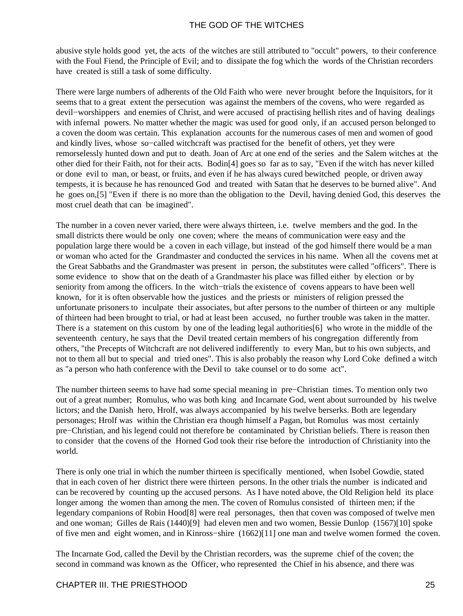abusive style holds good yet, the acts of the witches are still attributed to "occult" powers, to their conference with the Foul Fiend, the Principle of Evil; and to dissipate the fog which the words of the Christian recorders have created is still a task of some difficulty.

There were large numbers of adherents of the Old Faith who were never brought before the Inquisitors, for it seems that to a great extent the persecution was against the members of the covens, who were regarded as devil−worshippers and enemies of Christ, and were accused of practising hellish rites and of having dealings with infernal powers. No matter whether the magic was used for good only, if an accused person belonged to a coven the doom was certain. This explanation accounts for the numerous cases of men and women of good and kindly lives, whose so−called witchcraft was practised for the benefit of others, yet they were remorselessly hunted down and put to death. Joan of Arc at one end of the series and the Salem witches at the other died for their Faith, not for their acts. Bodin[4] goes so far as to say, "Even if the witch has never killed or done evil to man, or beast, or fruits, and even if he has always cured bewitched people, or driven away tempests, it is because he has renounced God and treated with Satan that he deserves to be burned alive". And he goes on,[5] "Even if there is no more than the obligation to the Devil, having denied God, this deserves the most cruel death that can be imagined".

The number in a coven never varied, there were always thirteen, i.e. twelve members and the god. In the small districts there would be only one coven; where the means of communication were easy and the population large there would be a coven in each village, but instead of the god himself there would be a man or woman who acted for the Grandmaster and conducted the services in his name. When all the covens met at the Great Sabbaths and the Grandmaster was present in person, the substitutes were called "officers". There is some evidence to show that on the death of a Grandmaster his place was filled either by election or by seniority from among the officers. In the witch−trials the existence of covens appears to have been well known, for it is often observable how the justices and the priests or ministers of religion pressed the unfortunate prisoners to inculpate their associates, but after persons to the number of thirteen or any multiple of thirteen had been brought to trial, or had at least been accused, no further trouble was taken in the matter. There is a statement on this custom by one of the leading legal authorities[6] who wrote in the middle of the seventeenth century, he says that the Devil treated certain members of his congregation differently from others, "the Precepts of Witchcraft are not delivered indifferently to every Man, but to his own subjects, and not to them all but to special and tried ones". This is also probably the reason why Lord Coke defined a witch as "a person who hath conference with the Devil to take counsel or to do some act".

The number thirteen seems to have had some special meaning in pre−Christian times. To mention only two out of a great number; Romulus, who was both king and Incarnate God, went about surrounded by his twelve lictors; and the Danish hero, Hrolf, was always accompanied by his twelve berserks. Both are legendary personages; Hrolf was within the Christian era though himself a Pagan, but Romulus was most certainly pre−Christian, and his legend could not therefore be contaminated by Christian beliefs. There is reason then to consider that the covens of the Horned God took their rise before the introduction of Christianity into the world.

There is only one trial in which the number thirteen is specifically mentioned, when Isobel Gowdie, stated that in each coven of her district there were thirteen persons. In the other trials the number is indicated and can be recovered by counting up the accused persons. As I have noted above, the Old Religion held its place longer among the women than among the men. The coven of Romulus consisted of thirteen men; if the legendary companions of Robin Hood[8] were real personages, then that coven was composed of twelve men and one woman; Gilles de Rais (1440)[9] had eleven men and two women, Bessie Dunlop (1567)[10] spoke of five men and eight women, and in Kinross−shire (1662)[11] one man and twelve women formed the coven.

The Incarnate God, called the Devil by the Christian recorders, was the supreme chief of the coven; the second in command was known as the Officer, who represented the Chief in his absence, and there was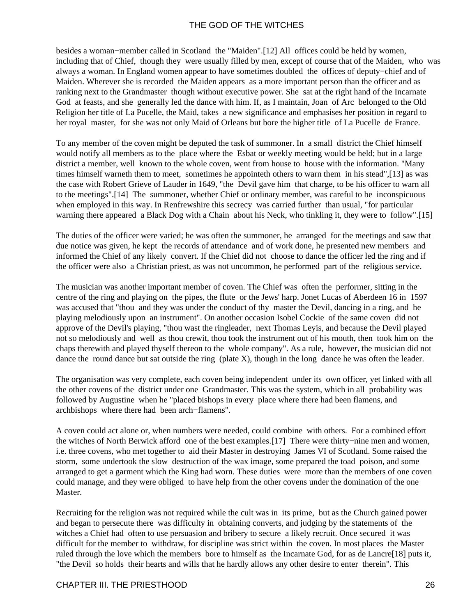besides a woman−member called in Scotland the "Maiden".[12] All offices could be held by women, including that of Chief, though they were usually filled by men, except of course that of the Maiden, who was always a woman. In England women appear to have sometimes doubled the offices of deputy−chief and of Maiden. Wherever she is recorded the Maiden appears as a more important person than the officer and as ranking next to the Grandmaster though without executive power. She sat at the right hand of the Incarnate God at feasts, and she generally led the dance with him. If, as I maintain, Joan of Arc belonged to the Old Religion her title of La Pucelle, the Maid, takes a new significance and emphasises her position in regard to her royal master, for she was not only Maid of Orleans but bore the higher title of La Pucelle de France.

To any member of the coven might be deputed the task of summoner. In a small district the Chief himself would notify all members as to the place where the Esbat or weekly meeting would be held; but in a large district a member, well known to the whole coven, went from house to house with the information. "Many times himself warneth them to meet, sometimes he appointeth others to warn them in his stead",[13] as was the case with Robert Grieve of Lauder in 1649, "the Devil gave him that charge, to be his officer to warn all to the meetings".[14] The summoner, whether Chief or ordinary member, was careful to be inconspicuous when employed in this way. In Renfrewshire this secrecy was carried further than usual, "for particular warning there appeared a Black Dog with a Chain about his Neck, who tinkling it, they were to follow".[15]

The duties of the officer were varied; he was often the summoner, he arranged for the meetings and saw that due notice was given, he kept the records of attendance and of work done, he presented new members and informed the Chief of any likely convert. If the Chief did not choose to dance the officer led the ring and if the officer were also a Christian priest, as was not uncommon, he performed part of the religious service.

The musician was another important member of coven. The Chief was often the performer, sitting in the centre of the ring and playing on the pipes, the flute or the Jews' harp. Jonet Lucas of Aberdeen 16 in 1597 was accused that "thou and they was under the conduct of thy master the Devil, dancing in a ring, and he playing melodiously upon an instrument". On another occasion Isobel Cockie of the same coven did not approve of the Devil's playing, "thou wast the ringleader, next Thomas Leyis, and because the Devil played not so melodiously and well as thou crewit, thou took the instrument out of his mouth, then took him on the chaps therewith and played thyself thereon to the whole company". As a rule, however, the musician did not dance the round dance but sat outside the ring (plate X), though in the long dance he was often the leader.

The organisation was very complete, each coven being independent under its own officer, yet linked with all the other covens of the district under one Grandmaster. This was the system, which in all probability was followed by Augustine when he "placed bishops in every place where there had been flamens, and archbishops where there had been arch−flamens".

A coven could act alone or, when numbers were needed, could combine with others. For a combined effort the witches of North Berwick afford one of the best examples.[17] There were thirty−nine men and women, i.e. three covens, who met together to aid their Master in destroying James VI of Scotland. Some raised the storm, some undertook the slow destruction of the wax image, some prepared the toad poison, and some arranged to get a garment which the King had worn. These duties were more than the members of one coven could manage, and they were obliged to have help from the other covens under the domination of the one Master.

Recruiting for the religion was not required while the cult was in its prime, but as the Church gained power and began to persecute there was difficulty in obtaining converts, and judging by the statements of the witches a Chief had often to use persuasion and bribery to secure a likely recruit. Once secured it was difficult for the member to withdraw, for discipline was strict within the coven. In most places the Master ruled through the love which the members bore to himself as the Incarnate God, for as de Lancre<sup>[18]</sup> puts it, "the Devil so holds their hearts and wills that he hardly allows any other desire to enter therein". This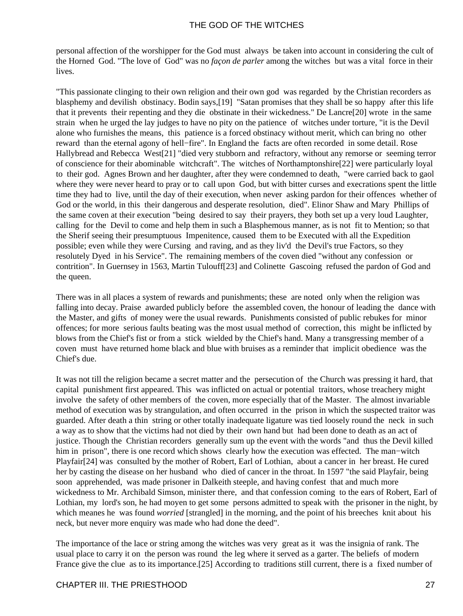personal affection of the worshipper for the God must always be taken into account in considering the cult of the Horned God. "The love of God" was no *façon de parler* among the witches but was a vital force in their lives.

"This passionate clinging to their own religion and their own god was regarded by the Christian recorders as blasphemy and devilish obstinacy. Bodin says,[19] "Satan promises that they shall be so happy after this life that it prevents their repenting and they die obstinate in their wickedness." De Lancre[20] wrote in the same strain when he urged the lay judges to have no pity on the patience of witches under torture, "it is the Devil alone who furnishes the means, this patience is a forced obstinacy without merit, which can bring no other reward than the eternal agony of hell−fire". In England the facts are often recorded in some detail. Rose Hallybread and Rebecca West[21] "died very stubborn and refractory, without any remorse or seeming terror of conscience for their abominable witchcraft". The witches of Northamptonshire[22] were particularly loyal to their god. Agnes Brown and her daughter, after they were condemned to death, "were carried back to gaol where they were never heard to pray or to call upon God, but with bitter curses and execrations spent the little time they had to live, until the day of their execution, when never asking pardon for their offences whether of God or the world, in this their dangerous and desperate resolution, died". Elinor Shaw and Mary Phillips of the same coven at their execution "being desired to say their prayers, they both set up a very loud Laughter, calling for the Devil to come and help them in such a Blasphemous manner, as is not fit to Mention; so that the Sherif seeing their presumptuous Impenitence, caused them to be Executed with all the Expedition possible; even while they were Cursing and raving, and as they liv'd the Devil's true Factors, so they resolutely Dyed in his Service". The remaining members of the coven died "without any confession or contrition". In Guernsey in 1563, Martin Tulouff[23] and Colinette Gascoing refused the pardon of God and the queen.

There was in all places a system of rewards and punishments; these are noted only when the religion was falling into decay. Praise awarded publicly before the assembled coven, the honour of leading the dance with the Master, and gifts of money were the usual rewards. Punishments consisted of public rebukes for minor offences; for more serious faults beating was the most usual method of correction, this might be inflicted by blows from the Chief's fist or from a stick wielded by the Chief's hand. Many a transgressing member of a coven must have returned home black and blue with bruises as a reminder that implicit obedience was the Chief's due.

It was not till the religion became a secret matter and the persecution of the Church was pressing it hard, that capital punishment first appeared. This was inflicted on actual or potential traitors, whose treachery might involve the safety of other members of the coven, more especially that of the Master. The almost invariable method of execution was by strangulation, and often occurred in the prison in which the suspected traitor was guarded. After death a thin string or other totally inadequate ligature was tied loosely round the neck in such a way as to show that the victims had not died by their own hand but had been done to death as an act of justice. Though the Christian recorders generally sum up the event with the words "and thus the Devil killed him in prison", there is one record which shows clearly how the execution was effected. The man−witch Playfair[24] was consulted by the mother of Robert, Earl of Lothian, about a cancer in her breast. He cured her by casting the disease on her husband who died of cancer in the throat. In 1597 "the said Playfair, being soon apprehended, was made prisoner in Dalkeith steeple, and having confest that and much more wickedness to Mr. Archibald Simson, minister there, and that confession coming to the ears of Robert, Earl of Lothian, my lord's son, he had moyen to get some persons admitted to speak with the prisoner in the night, by which meanes he was found *worried* [strangled] in the morning, and the point of his breeches knit about his neck, but never more enquiry was made who had done the deed".

The importance of the lace or string among the witches was very great as it was the insignia of rank. The usual place to carry it on the person was round the leg where it served as a garter. The beliefs of modern France give the clue as to its importance.[25] According to traditions still current, there is a fixed number of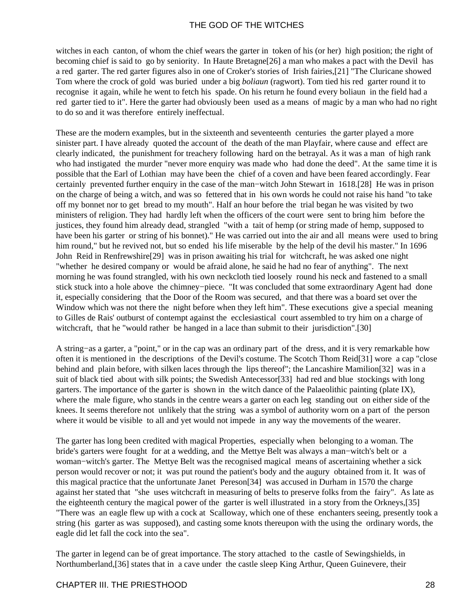witches in each canton, of whom the chief wears the garter in token of his (or her) high position; the right of becoming chief is said to go by seniority. In Haute Bretagne[26] a man who makes a pact with the Devil has a red garter. The red garter figures also in one of Croker's stories of Irish fairies,[21] "The Cluricane showed Tom where the crock of gold was buried under a big *boliaun* (ragwort). Tom tied his red garter round it to recognise it again, while he went to fetch his spade. On his return he found every boliaun in the field had a red garter tied to it". Here the garter had obviously been used as a means of magic by a man who had no right to do so and it was therefore entirely ineffectual.

These are the modern examples, but in the sixteenth and seventeenth centuries the garter played a more sinister part. I have already quoted the account of the death of the man Playfair, where cause and effect are clearly indicated, the punishment for treachery following hard on the betrayal. As it was a man of high rank who had instigated the murder "never more enquiry was made who had done the deed". At the same time it is possible that the Earl of Lothian may have been the chief of a coven and have been feared accordingly. Fear certainly prevented further enquiry in the case of the man−witch John Stewart in 1618.[28] He was in prison on the charge of being a witch, and was so fettered that in his own words he could not raise his hand "to take off my bonnet nor to get bread to my mouth". Half an hour before the trial began he was visited by two ministers of religion. They had hardly left when the officers of the court were sent to bring him before the justices, they found him already dead, strangled "with a tait of hemp (or string made of hemp, supposed to have been his garter or string of his bonnet)." He was carried out into the air and all means were used to bring him round," but he revived not, but so ended his life miserable by the help of the devil his master." In 1696 John Reid in Renfrewshire[29] was in prison awaiting his trial for witchcraft, he was asked one night "whether he desired company or would be afraid alone, he said he had no fear of anything". The next morning he was found strangled, with his own neckcloth tied loosely round his neck and fastened to a small stick stuck into a hole above the chimney−piece. "It was concluded that some extraordinary Agent had done it, especially considering that the Door of the Room was secured, and that there was a board set over the Window which was not there the night before when they left him". These executions give a special meaning to Gilles de Rais' outburst of contempt against the ecclesiastical court assembled to try him on a charge of witchcraft, that he "would rather be hanged in a lace than submit to their jurisdiction".[30]

A string−as a garter, a "point," or in the cap was an ordinary part of the dress, and it is very remarkable how often it is mentioned in the descriptions of the Devil's costume. The Scotch Thom Reid[31] wore a cap "close behind and plain before, with silken laces through the lips thereof"; the Lancashire Mamilion[32] was in a suit of black tied about with silk points; the Swedish Antecessor[33] had red and blue stockings with long garters. The importance of the garter is shown in the witch dance of the Palaeolithic painting (plate IX), where the male figure, who stands in the centre wears a garter on each leg standing out on either side of the knees. It seems therefore not unlikely that the string was a symbol of authority worn on a part of the person where it would be visible to all and yet would not impede in any way the movements of the wearer.

The garter has long been credited with magical Properties, especially when belonging to a woman. The bride's garters were fought for at a wedding, and the Mettye Belt was always a man−witch's belt or a woman−witch's garter. The Mettye Belt was the recognised magical means of ascertaining whether a sick person would recover or not; it was put round the patient's body and the augury obtained from it. It was of this magical practice that the unfortunate Janet Pereson[34] was accused in Durham in 1570 the charge against her stated that "she uses witchcraft in measuring of belts to preserve folks from the fairy". As late as the eighteenth century the magical power of the garter is well illustrated in a story from the Orkneys,[35] "There was an eagle flew up with a cock at Scalloway, which one of these enchanters seeing, presently took a string (his garter as was supposed), and casting some knots thereupon with the using the ordinary words, the eagle did let fall the cock into the sea".

The garter in legend can be of great importance. The story attached to the castle of Sewingshields, in Northumberland,[36] states that in a cave under the castle sleep King Arthur, Queen Guinevere, their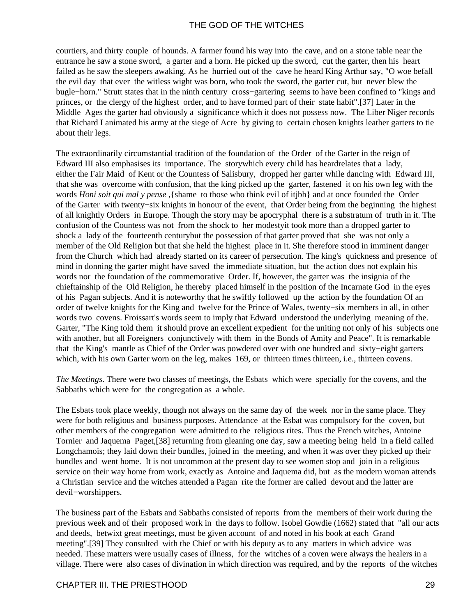courtiers, and thirty couple of hounds. A farmer found his way into the cave, and on a stone table near the entrance he saw a stone sword, a garter and a horn. He picked up the sword, cut the garter, then his heart failed as he saw the sleepers awaking. As he hurried out of the cave he heard King Arthur say, "O woe befall the evil day that ever the witless wight was born, who took the sword, the garter cut, but never blew the bugle−horn." Strutt states that in the ninth century cross−gartering seems to have been confined to "kings and princes, or the clergy of the highest order, and to have formed part of their state habit".[37] Later in the Middle Ages the garter had obviously a significance which it does not possess now. The Liber Niger records that Richard I animated his army at the siege of Acre by giving to certain chosen knights leather garters to tie about their legs.

The extraordinarily circumstantial tradition of the foundation of the Order of the Garter in the reign of Edward III also emphasises its importance. The story which every child has heard relates that a lady, either the Fair Maid of Kent or the Countess of Salisbury, dropped her garter while dancing with Edward III, that she was overcome with confusion, that the king picked up the garter, fastened it on his own leg with the words *Honi soit qui mal y pense* ,{shame to those who think evil of it jbh} and at once founded the Order of the Garter with twenty−six knights in honour of the event, that Order being from the beginning the highest of all knightly Orders in Europe. Though the story may be apocryphal there is a substratum of truth in it. The confusion of the Countess was not from the shock to her modesty it took more than a dropped garter to shock a lady of the fourteenth century but the possession of that garter proved that she was not only a member of the Old Religion but that she held the highest place in it. She therefore stood in imminent danger from the Church which had already started on its career of persecution. The king's quickness and presence of mind in donning the garter might have saved the immediate situation, but the action does not explain his words nor the foundation of the commemorative Order. If, however, the garter was the insignia of the chieftainship of the Old Religion, he thereby placed himself in the position of the Incarnate God in the eyes of his Pagan subjects. And it is noteworthy that he swiftly followed up the action by the foundation Of an order of twelve knights for the King and twelve for the Prince of Wales, twenty−six members in all, in other words two covens. Froissart's words seem to imply that Edward understood the underlying meaning of the. Garter, "The King told them it should prove an excellent expedient for the uniting not only of his subjects one with another, but all Foreigners conjunctively with them in the Bonds of Amity and Peace". It is remarkable that the King's mantle as Chief of the Order was powdered over with one hundred and sixty−eight garters which, with his own Garter worn on the leg, makes 169, or thirteen times thirteen, i.e., thirteen covens.

*The Meetings*. There were two classes of meetings, the Esbats which were specially for the covens, and the Sabbaths which were for the congregation as a whole.

The Esbats took place weekly, though not always on the same day of the week nor in the same place. They were for both religious and business purposes. Attendance at the Esbat was compulsory for the coven, but other members of the congregation were admitted to the religious rites. Thus the French witches, Antoine Tornier and Jaquema Paget,[38] returning from gleaning one day, saw a meeting being held in a field called Longchamois; they laid down their bundles, joined in the meeting, and when it was over they picked up their bundles and went home. It is not uncommon at the present day to see women stop and join in a religious service on their way home from work, exactly as Antoine and Jaquema did, but as the modern woman attends a Christian service and the witches attended a Pagan rite the former are called devout and the latter are devil−worshippers.

The business part of the Esbats and Sabbaths consisted of reports from the members of their work during the previous week and of their proposed work in the days to follow. Isobel Gowdie (1662) stated that "all our acts and deeds, betwixt great meetings, must be given account of and noted in his book at each Grand meeting".[39] They consulted with the Chief or with his deputy as to any matters in which advice was needed. These matters were usually cases of illness, for the witches of a coven were always the healers in a village. There were also cases of divination in which direction was required, and by the reports of the witches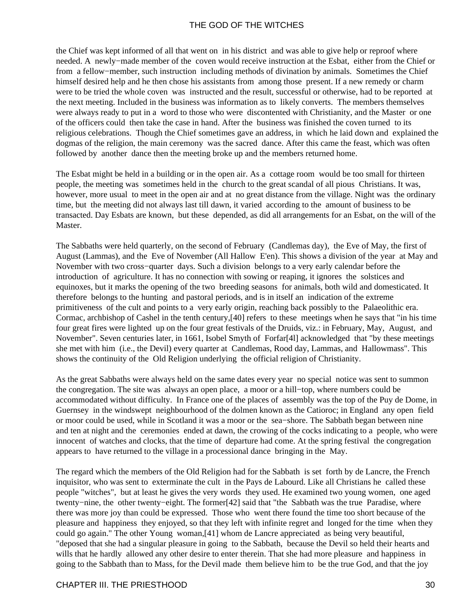the Chief was kept informed of all that went on in his district and was able to give help or reproof where needed. A newly−made member of the coven would receive instruction at the Esbat, either from the Chief or from a fellow−member, such instruction including methods of divination by animals. Sometimes the Chief himself desired help and he then chose his assistants from among those present. If a new remedy or charm were to be tried the whole coven was instructed and the result, successful or otherwise, had to be reported at the next meeting. Included in the business was information as to likely converts. The members themselves were always ready to put in a word to those who were discontented with Christianity, and the Master or one of the officers could then take the case in hand. After the business was finished the coven turned to its religious celebrations. Though the Chief sometimes gave an address, in which he laid down and explained the dogmas of the religion, the main ceremony was the sacred dance. After this came the feast, which was often followed by another dance then the meeting broke up and the members returned home.

The Esbat might be held in a building or in the open air. As a cottage room would be too small for thirteen people, the meeting was sometimes held in the church to the great scandal of all pious Christians. It was, however, more usual to meet in the open air and at no great distance from the village. Night was the ordinary time, but the meeting did not always last till dawn, it varied according to the amount of business to be transacted. Day Esbats are known, but these depended, as did all arrangements for an Esbat, on the will of the Master.

The Sabbaths were held quarterly, on the second of February (Candlemas day), the Eve of May, the first of August (Lammas), and the Eve of November (All Hallow E'en). This shows a division of the year at May and November with two cross−quarter days. Such a division belongs to a very early calendar before the introduction of agriculture. It has no connection with sowing or reaping, it ignores the solstices and equinoxes, but it marks the opening of the two breeding seasons for animals, both wild and domesticated. It therefore belongs to the hunting and pastoral periods, and is in itself an indication of the extreme primitiveness of the cult and points to a very early origin, reaching back possibly to the Palaeolithic era. Cormac, archbishop of Cashel in the tenth century,[40] refers to these meetings when he says that "in his time four great fires were lighted up on the four great festivals of the Druids, viz.: in February, May, August, and November". Seven centuries later, in 1661, Isobel Smyth of Forfar[4l] acknowledged that "by these meetings she met with him (i.e., the Devil) every quarter at Candlemas, Rood day, Lammas, and Hallowmass". This shows the continuity of the Old Religion underlying the official religion of Christianity.

As the great Sabbaths were always held on the same dates every year no special notice was sent to summon the congregation. The site was always an open place, a moor or a hill−top, where numbers could be accommodated without difficulty. In France one of the places of assembly was the top of the Puy de Dome, in Guernsey in the windswept neighbourhood of the dolmen known as the Catioroc; in England any open field or moor could be used, while in Scotland it was a moor or the sea−shore. The Sabbath began between nine and ten at night and the ceremonies ended at dawn, the crowing of the cocks indicating to a people, who were innocent of watches and clocks, that the time of departure had come. At the spring festival the congregation appears to have returned to the village in a processional dance bringing in the May.

The regard which the members of the Old Religion had for the Sabbath is set forth by de Lancre, the French inquisitor, who was sent to exterminate the cult in the Pays de Labourd. Like all Christians he called these people "witches", but at least he gives the very words they used. He examined two young women, one aged twenty−nine, the other twenty−eight. The former[42] said that "the Sabbath was the true Paradise, where there was more joy than could be expressed. Those who went there found the time too short because of the pleasure and happiness they enjoyed, so that they left with infinite regret and longed for the time when they could go again." The other Young woman,[41] whom de Lancre appreciated as being very beautiful, "deposed that she had a singular pleasure in going to the Sabbath, because the Devil so held their hearts and wills that he hardly allowed any other desire to enter therein. That she had more pleasure and happiness in going to the Sabbath than to Mass, for the Devil made them believe him to be the true God, and that the joy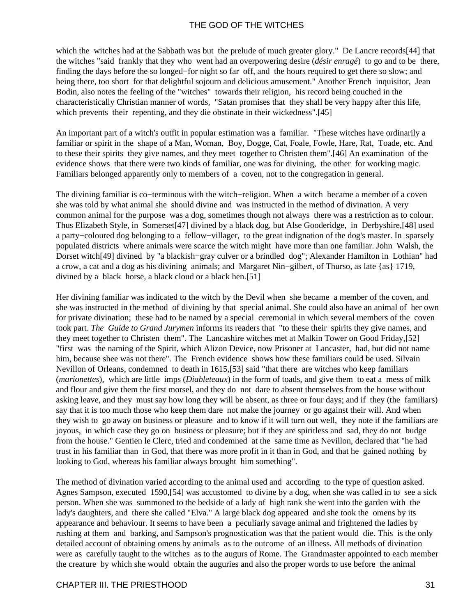which the witches had at the Sabbath was but the prelude of much greater glory." De Lancre records[44] that the witches "said frankly that they who went had an overpowering desire (*désir enragé*) to go and to be there, finding the days before the so longed−for night so far off, and the hours required to get there so slow; and being there, too short for that delightful sojourn and delicious amusement." Another French inquisitor, Jean Bodin, also notes the feeling of the "witches" towards their religion, his record being couched in the characteristically Christian manner of words, "Satan promises that they shall be very happy after this life, which prevents their repenting, and they die obstinate in their wickedness".[45]

An important part of a witch's outfit in popular estimation was a familiar. "These witches have ordinarily a familiar or spirit in the shape of a Man, Woman, Boy, Dogge, Cat, Foale, Fowle, Hare, Rat, Toade, etc. And to these their spirits they give names, and they meet together to Christen them".[46] An examination of the evidence shows that there were two kinds of familiar, one was for divining, the other for working magic. Familiars belonged apparently only to members of a coven, not to the congregation in general.

The divining familiar is co−terminous with the witch–religion. When a witch became a member of a coven she was told by what animal she should divine and was instructed in the method of divination. A very common animal for the purpose was a dog, sometimes though not always there was a restriction as to colour. Thus Elizabeth Style, in Somerset[47] divined by a black dog, but Alse Gooderidge, in Derbyshire,[48] used a party−coloured dog belonging to a fellow−villager, to the great indignation of the dog's master. In sparsely populated districts where animals were scarce the witch might have more than one familiar. John Walsh, the Dorset witch[49] divined by "a blackish−gray culver or a brindled dog"; Alexander Hamilton in Lothian" had a crow, a cat and a dog as his divining animals; and Margaret Nin−gilbert, of Thurso, as late {as} 1719, divined by a black horse, a black cloud or a black hen.[51]

Her divining familiar was indicated to the witch by the Devil when she became a member of the coven, and she was instructed in the method of divining by that special animal. She could also have an animal of her own for private divination; these had to be named by a special ceremonial in which several members of the coven took part. *The Guide to Grand Jurymen* informs its readers that "to these their spirits they give names, and they meet together to Christen them". The Lancashire witches met at Malkin Tower on Good Friday,[52] "first was the naming of the Spirit, which Alizon Device, now Prisoner at Lancaster, had, but did not name him, because shee was not there". The French evidence shows how these familiars could be used. Silvain Nevillon of Orleans, condemned to death in 1615,[53] said "that there are witches who keep familiars (*marionettes*), which are little imps (*Diableteaux*) in the form of toads, and give them to eat a mess of milk and flour and give them the first morsel, and they do not dare to absent themselves from the house without asking leave, and they must say how long they will be absent, as three or four days; and if they (the familiars) say that it is too much those who keep them dare not make the journey or go against their will. And when they wish to go away on business or pleasure and to know if it will turn out well, they note if the familiars are joyous, in which case they go on business or pleasure; but if they are spiritless and sad, they do not budge from the house." Gentien le Clerc, tried and condemned at the same time as Nevillon, declared that "he had trust in his familiar than in God, that there was more profit in it than in God, and that he gained nothing by looking to God, whereas his familiar always brought him something".

The method of divination varied according to the animal used and according to the type of question asked. Agnes Sampson, executed 1590,[54] was accustomed to divine by a dog, when she was called in to see a sick person. When she was summoned to the bedside of a lady of high rank she went into the garden with the lady's daughters, and there she called "Elva." A large black dog appeared and she took the omens by its appearance and behaviour. It seems to have been a peculiarly savage animal and frightened the ladies by rushing at them and barking, and Sampson's prognostication was that the patient would die. This is the only detailed account of obtaining omens by animals as to the outcome of an illness. All methods of divination were as carefully taught to the witches as to the augurs of Rome. The Grandmaster appointed to each member the creature by which she would obtain the auguries and also the proper words to use before the animal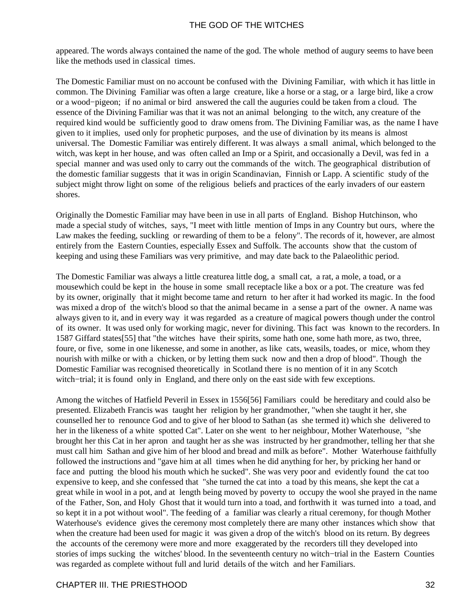appeared. The words always contained the name of the god. The whole method of augury seems to have been like the methods used in classical times.

The Domestic Familiar must on no account be confused with the Divining Familiar, with which it has little in common. The Divining Familiar was often a large creature, like a horse or a stag, or a large bird, like a crow or a wood−pigeon; if no animal or bird answered the call the auguries could be taken from a cloud. The essence of the Divining Familiar was that it was not an animal belonging to the witch, any creature of the required kind would be sufficiently good to draw omens from. The Divining Familiar was, as the name I have given to it implies, used only for prophetic purposes, and the use of divination by its means is almost universal. The Domestic Familiar was entirely different. It was always a small animal, which belonged to the witch, was kept in her house, and was often called an Imp or a Spirit, and occasionally a Devil, was fed in a special manner and was used only to carry out the commands of the witch. The geographical distribution of the domestic familiar suggests that it was in origin Scandinavian, Finnish or Lapp. A scientific study of the subject might throw light on some of the religious beliefs and practices of the early invaders of our eastern shores.

Originally the Domestic Familiar may have been in use in all parts of England. Bishop Hutchinson, who made a special study of witches, says, "I meet with little mention of Imps in any Country but ours, where the Law makes the feeding, suckling or rewarding of them to be a felony". The records of it, however, are almost entirely from the Eastern Counties, especially Essex and Suffolk. The accounts show that the custom of keeping and using these Familiars was very primitive, and may date back to the Palaeolithic period.

The Domestic Familiar was always a little creature a little dog, a small cat, a rat, a mole, a toad, or a mouse which could be kept in the house in some small receptacle like a box or a pot. The creature was fed by its owner, originally that it might become tame and return to her after it had worked its magic. In the food was mixed a drop of the witch's blood so that the animal became in a sense a part of the owner. A name was always given to it, and in every way it was regarded as a creature of magical powers though under the control of its owner. It was used only for working magic, never for divining. This fact was known to the recorders. In 1587 Giffard states[55] that "the witches have their spirits, some hath one, some hath more, as two, three, foure, or five, some in one likenesse, and some in another, as like cats, weasils, toades, or mice, whom they nourish with milke or with a chicken, or by letting them suck now and then a drop of blood". Though the Domestic Familiar was recognised theoretically in Scotland there is no mention of it in any Scotch witch−trial; it is found only in England, and there only on the east side with few exceptions.

Among the witches of Hatfield Peveril in Essex in 1556[56] Familiars could be hereditary and could also be presented. Elizabeth Francis was taught her religion by her grandmother, "when she taught it her, she counselled her to renounce God and to give of her blood to Sathan (as she termed it) which she delivered to her in the likeness of a white spotted Cat". Later on she went to her neighbour, Mother Waterhouse, "she brought her this Cat in her apron and taught her as she was instructed by her grandmother, telling her that she must call him Sathan and give him of her blood and bread and milk as before". Mother Waterhouse faithfully followed the instructions and "gave him at all times when he did anything for her, by pricking her hand or face and putting the blood his mouth which he sucked". She was very poor and evidently found the cat too expensive to keep, and she confessed that "she turned the cat into a toad by this means, she kept the cat a great while in wool in a pot, and at length being moved by poverty to occupy the wool she prayed in the name of the Father, Son, and Holy Ghost that it would turn into a toad, and forthwith it was turned into a toad, and so kept it in a pot without wool". The feeding of a familiar was clearly a ritual ceremony, for though Mother Waterhouse's evidence gives the ceremony most completely there are many other instances which show that when the creature had been used for magic it was given a drop of the witch's blood on its return. By degrees the accounts of the ceremony were more and more exaggerated by the recorders till they developed into stories of imps sucking the witches' blood. In the seventeenth century no witch−trial in the Eastern Counties was regarded as complete without full and lurid details of the witch and her Familiars.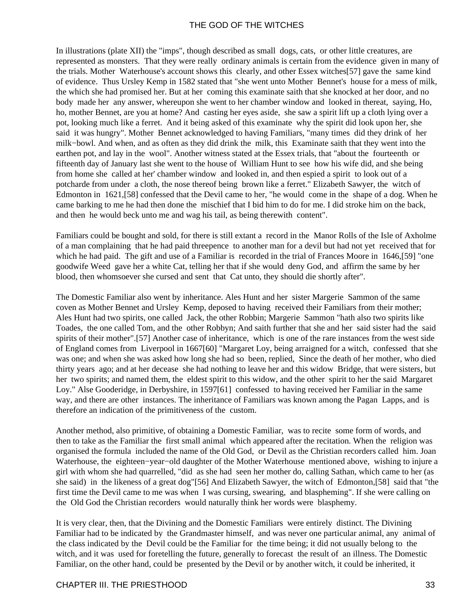In illustrations (plate XII) the "imps", though described as small dogs, cats, or other little creatures, are represented as monsters. That they were really ordinary animals is certain from the evidence given in many of the trials. Mother Waterhouse's account shows this clearly, and other Essex witches[57] gave the same kind of evidence. Thus Ursley Kemp in 1582 stated that "she went unto Mother Bennet's house for a mess of milk, the which she had promised her. But at her coming this examinate saith that she knocked at her door, and no body made her any answer, whereupon she went to her chamber window and looked in thereat, saying, Ho, ho, mother Bennet, are you at home? And casting her eyes aside, she saw a spirit lift up a cloth lying over a pot, looking much like a ferret. And it being asked of this examinate why the spirit did look upon her, she said it was hungry". Mother Bennet acknowledged to having Familiars, "many times did they drink of her milk−bowl. And when, and as often as they did drink the milk, this Examinate saith that they went into the earthen pot, and lay in the wool". Another witness stated at the Essex trials, that "about the fourteenth or fifteenth day of January last she went to the house of William Hunt to see how his wife did, and she being from home she called at her' chamber window and looked in, and then espied a spirit to look out of a potcharde from under a cloth, the nose thereof being brown like a ferret." Elizabeth Sawyer, the witch of Edmonton in 1621,[58] confessed that the Devil came to her, "he would come in the shape of a dog. When he came barking to me he had then done the mischief that I bid him to do for me. I did stroke him on the back, and then he would beck unto me and wag his tail, as being therewith content".

Familiars could be bought and sold, for there is still extant a record in the Manor Rolls of the Isle of Axholme of a man complaining that he had paid threepence to another man for a devil but had not yet received that for which he had paid. The gift and use of a Familiar is recorded in the trial of Frances Moore in 1646,[59] "one goodwife Weed gave her a white Cat, telling her that if she would deny God, and affirm the same by her blood, then whomsoever she cursed and sent that Cat unto, they should die shortly after".

The Domestic Familiar also went by inheritance. Ales Hunt and her sister Margerie Sammon of the same coven as Mother Bennet and Ursley Kemp, deposed to having received their Familiars from their mother; Ales Hunt had two spirits, one called Jack, the other Robbin; Margerie Sammon "hath also two spirits like Toades, the one called Tom, and the other Robbyn; And saith further that she and her said sister had the said spirits of their mother".[57] Another case of inheritance, which is one of the rare instances from the west side of England comes from Liverpool in 1667[60] "Margaret Loy, being arraigned for a witch, confessed that she was one; and when she was asked how long she had so been, replied, Since the death of her mother, who died thirty years ago; and at her decease she had nothing to leave her and this widow Bridge, that were sisters, but her two spirits; and named them, the eldest spirit to this widow, and the other spirit to her the said Margaret Loy." Alse Gooderidge, in Derbyshire, in 1597[61] confessed to having received her Familiar in the same way, and there are other instances. The inheritance of Familiars was known among the Pagan Lapps, and is therefore an indication of the primitiveness of the custom.

Another method, also primitive, of obtaining a Domestic Familiar, was to recite some form of words, and then to take as the Familiar the first small animal which appeared after the recitation. When the religion was organised the formula included the name of the Old God, or Devil as the Christian recorders called him. Joan Waterhouse, the eighteen−year−old daughter of the Mother Waterhouse mentioned above, wishing to injure a girl with whom she had quarrelled, "did as she had seen her mother do, calling Sathan, which came to her (as she said) in the likeness of a great dog"[56] And Elizabeth Sawyer, the witch of Edmonton,[58] said that "the first time the Devil came to me was when I was cursing, swearing, and blaspheming". If she were calling on the Old God the Christian recorders would naturally think her words were blasphemy.

It is very clear, then, that the Divining and the Domestic Familiars were entirely distinct. The Divining Familiar had to be indicated by the Grandmaster himself, and was never one particular animal, any animal of the class indicated by the Devil could be the Familiar for the time being; it did not usually belong to the witch, and it was used for foretelling the future, generally to forecast the result of an illness. The Domestic Familiar, on the other hand, could be presented by the Devil or by another witch, it could be inherited, it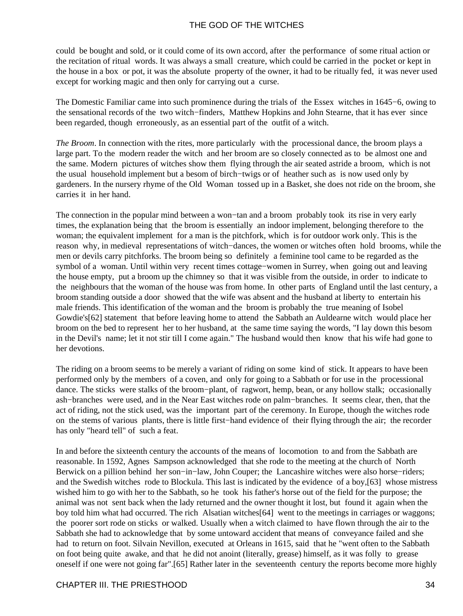could be bought and sold, or it could come of its own accord, after the performance of some ritual action or the recitation of ritual words. It was always a small creature, which could be carried in the pocket or kept in the house in a box or pot, it was the absolute property of the owner, it had to be ritually fed, it was never used except for working magic and then only for carrying out a curse.

The Domestic Familiar came into such prominence during the trials of the Essex witches in 1645−6, owing to the sensational records of the two witch−finders, Matthew Hopkins and John Stearne, that it has ever since been regarded, though erroneously, as an essential part of the outfit of a witch.

*The Broom.* In connection with the rites, more particularly with the processional dance, the broom plays a large part. To the modern reader the witch and her broom are so closely connected as to be almost one and the same. Modern pictures of witches show them flying through the air seated astride a broom, which is not the usual household implement but a besom of birch−twigs or of heather such as is now used only by gardeners. In the nursery rhyme of the Old Woman tossed up in a Basket, she does not ride on the broom, she carries it in her hand.

The connection in the popular mind between a won−tan and a broom probably took its rise in very early times, the explanation being that the broom is essentially an indoor implement, belonging therefore to the woman; the equivalent implement for a man is the pitchfork, which is for outdoor work only. This is the reason why, in medieval representations of witch−dances, the women or witches often hold brooms, while the men or devils carry pitchforks. The broom being so definitely a feminine tool came to be regarded as the symbol of a woman. Until within very recent times cottage−women in Surrey, when going out and leaving the house empty, put a broom up the chimney so that it was visible from the outside, in order to indicate to the neighbours that the woman of the house was from home. In other parts of England until the last century, a broom standing outside a door showed that the wife was absent and the husband at liberty to entertain his male friends. This identification of the woman and the broom is probably the true meaning of Isobel Gowdie's[62] statement that before leaving home to attend the Sabbath an Auldearne witch would place her broom on the bed to represent her to her husband, at the same time saying the words, "I lay down this besom in the Devil's name; let it not stir till I come again." The husband would then know that his wife had gone to her devotions.

The riding on a broom seems to be merely a variant of riding on some kind of stick. It appears to have been performed only by the members of a coven, and only for going to a Sabbath or for use in the processional dance. The sticks were stalks of the broom−plant, of ragwort, hemp, bean, or any hollow stalk; occasionally ash−branches were used, and in the Near East witches rode on palm−branches. It seems clear, then, that the act of riding, not the stick used, was the important part of the ceremony. In Europe, though the witches rode on the stems of various plants, there is little first−hand evidence of their flying through the air; the recorder has only "heard tell" of such a feat.

In and before the sixteenth century the accounts of the means of locomotion to and from the Sabbath are reasonable. In 1592, Agnes Sampson acknowledged that she rode to the meeting at the church of North Berwick on a pillion behind her son−in−law, John Couper; the Lancashire witches were also horse−riders; and the Swedish witches rode to Blockula. This last is indicated by the evidence of a boy,[63] whose mistress wished him to go with her to the Sabbath, so he took his father's horse out of the field for the purpose; the animal was not sent back when the lady returned and the owner thought it lost, but found it again when the boy told him what had occurred. The rich Alsatian witches[64] went to the meetings in carriages or waggons; the poorer sort rode on sticks or walked. Usually when a witch claimed to have flown through the air to the Sabbath she had to acknowledge that by some untoward accident that means of conveyance failed and she had to return on foot. Silvain Nevillon, executed at Orleans in 1615, said that he "went often to the Sabbath on foot being quite awake, and that he did not anoint (literally, grease) himself, as it was folly to grease oneself if one were not going far".[65] Rather later in the seventeenth century the reports become more highly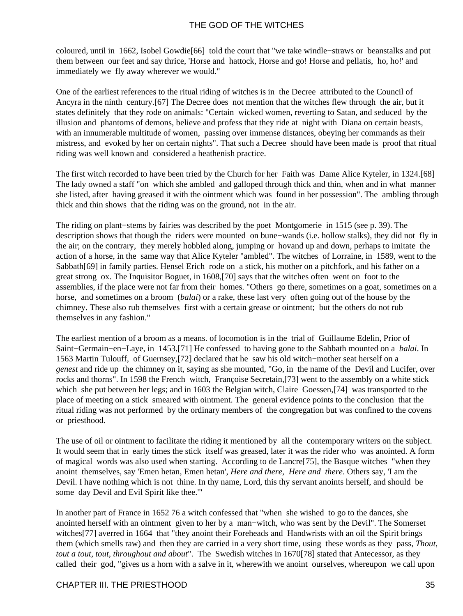coloured, until in 1662, Isobel Gowdie[66] told the court that "we take windle−straws or beanstalks and put them between our feet and say thrice, 'Horse and hattock, Horse and go! Horse and pellatis, ho, ho!' and immediately we fly away wherever we would."

One of the earliest references to the ritual riding of witches is in the Decree attributed to the Council of Ancyra in the ninth century.[67] The Decree does not mention that the witches flew through the air, but it states definitely that they rode on animals: "Certain wicked women, reverting to Satan, and seduced by the illusion and phantoms of demons, believe and profess that they ride at night with Diana on certain beasts, with an innumerable multitude of women, passing over immense distances, obeying her commands as their mistress, and evoked by her on certain nights". That such a Decree should have been made is proof that ritual riding was well known and considered a heathenish practice.

The first witch recorded to have been tried by the Church for her Faith was Dame Alice Kyteler, in 1324.[68] The lady owned a staff "on which she ambled and galloped through thick and thin, when and in what manner she listed, after having greased it with the ointment which was found in her possession". The ambling through thick and thin shows that the riding was on the ground, not in the air.

The riding on plant−stems by fairies was described by the poet Montgomerie in 1515 (see p. 39). The description shows that though the riders were mounted on bune−wands (i.e. hollow stalks), they did not fly in the air; on the contrary, they merely hobbled along, jumping or hovand up and down, perhaps to imitate the action of a horse, in the same way that Alice Kyteler "ambled". The witches of Lorraine, in 1589, went to the Sabbath[69] in family parties. Hensel Erich rode on a stick, his mother on a pitchfork, and his father on a great strong ox. The Inquisitor Boguet, in 1608,[70] says that the witches often went on foot to the assemblies, if the place were not far from their homes. "Others go there, sometimes on a goat, sometimes on a horse, and sometimes on a broom (*balai*) or a rake, these last very often going out of the house by the chimney. These also rub themselves first with a certain grease or ointment; but the others do not rub themselves in any fashion."

The earliest mention of a broom as a means. of locomotion is in the trial of Guillaume Edelin, Prior of Saint−Germain−en−Laye, in 1453.[71] He confessed to having gone to the Sabbath mounted on a *balai*. In 1563 Martin Tulouff, of Guernsey,[72] declared that he saw his old witch−mother seat herself on a *genest* and ride up the chimney on it, saying as she mounted, "Go, in the name of the Devil and Lucifer, over rocks and thorns". In 1598 the French witch, Françoise Secretain,[73] went to the assembly on a white stick which she put between her legs; and in 1603 the Belgian witch, Claire Goessen, [74] was transported to the place of meeting on a stick smeared with ointment. The general evidence points to the conclusion that the ritual riding was not performed by the ordinary members of the congregation but was confined to the covens or priesthood.

The use of oil or ointment to facilitate the riding it mentioned by all the contemporary writers on the subject. It would seem that in early times the stick itself was greased, later it was the rider who was anointed. A form of magical words was also used when starting. According to de Lancre[75], the Basque witches "when they anoint themselves, say 'Emen hetan, Emen hetan', *Here and there, Here and there*. Others say, 'I am the Devil. I have nothing which is not thine. In thy name, Lord, this thy servant anoints herself, and should be some day Devil and Evil Spirit like thee.'"

In another part of France in 1652 76 a witch confessed that "when she wished to go to the dances, she anointed herself with an ointment given to her by a man−witch, who was sent by the Devil". The Somerset witches[77] averred in 1664 that "they anoint their Foreheads and Handwrists with an oil the Spirit brings them (which smells raw) and then they are carried in a very short time, using these words as they pass, *Thout, tout a tout, tout, throughout and about*". The Swedish witches in 1670[78] stated that Antecessor, as they called their god, "gives us a horn with a salve in it, wherewith we anoint ourselves, whereupon we call upon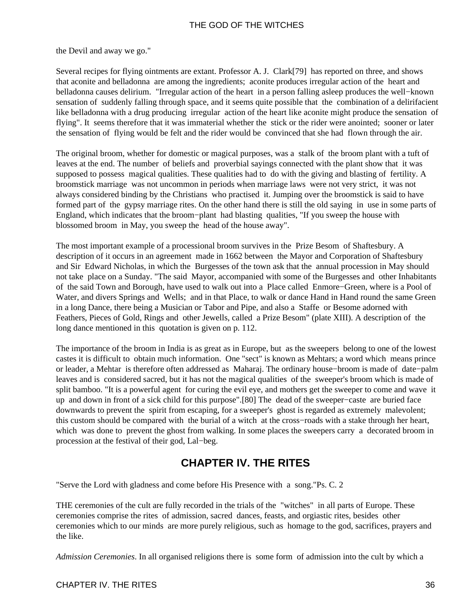the Devil and away we go."

Several recipes for flying ointments are extant. Professor A. J. Clark[79] has reported on three, and shows that aconite and belladonna are among the ingredients; aconite produces irregular action of the heart and belladonna causes delirium. "Irregular action of the heart in a person falling asleep produces the well−known sensation of suddenly falling through space, and it seems quite possible that the combination of a delirifacient like belladonna with a drug producing irregular action of the heart like aconite might produce the sensation of flying". It seems therefore that it was immaterial whether the stick or the rider were anointed; sooner or later the sensation of flying would be felt and the rider would be convinced that she had flown through the air.

The original broom, whether for domestic or magical purposes, was a stalk of the broom plant with a tuft of leaves at the end. The number of beliefs and proverbial sayings connected with the plant show that it was supposed to possess magical qualities. These qualities had to do with the giving and blasting of fertility. A broomstick marriage was not uncommon in periods when marriage laws were not very strict, it was not always considered binding by the Christians who practised it. Jumping over the broomstick is said to have formed part of the gypsy marriage rites. On the other hand there is still the old saying in use in some parts of England, which indicates that the broom−plant had blasting qualities, "If you sweep the house with blossomed broom in May, you sweep the head of the house away".

The most important example of a processional broom survives in the Prize Besom of Shaftesbury. A description of it occurs in an agreement made in 1662 between the Mayor and Corporation of Shaftesbury and Sir Edward Nicholas, in which the Burgesses of the town ask that the annual procession in May should not take place on a Sunday. "The said Mayor, accompanied with some of the Burgesses and other Inhabitants of the said Town and Borough, have used to walk out into a Place called Enmore−Green, where is a Pool of Water, and divers Springs and Wells; and in that Place, to walk or dance Hand in Hand round the same Green in a long Dance, there being a Musician or Tabor and Pipe, and also a Staffe or Besome adorned with Feathers, Pieces of Gold, Rings and other Jewells, called a Prize Besom" (plate XIII). A description of the long dance mentioned in this quotation is given on p. 112.

The importance of the broom in India is as great as in Europe, but as the sweepers belong to one of the lowest castes it is difficult to obtain much information. One "sect" is known as Mehtars; a word which means prince or leader, a Mehtar is therefore often addressed as Maharaj. The ordinary house−broom is made of date−palm leaves and is considered sacred, but it has not the magical qualities of the sweeper's broom which is made of split bamboo. "It is a powerful agent for curing the evil eye, and mothers get the sweeper to come and wave it up and down in front of a sick child for this purpose".[80] The dead of the sweeper−caste are buried face downwards to prevent the spirit from escaping, for a sweeper's ghost is regarded as extremely malevolent; this custom should be compared with the burial of a witch at the cross−roads with a stake through her heart, which was done to prevent the ghost from walking. In some places the sweepers carry a decorated broom in procession at the festival of their god, Lal−beg.

## **CHAPTER IV. THE RITES**

"Serve the Lord with gladness and come before His Presence with a song."Ps. C. 2

THE ceremonies of the cult are fully recorded in the trials of the "witches" in all parts of Europe. These ceremonies comprise the rites of admission, sacred dances, feasts, and orgiastic rites, besides other ceremonies which to our minds are more purely religious, such as homage to the god, sacrifices, prayers and the like.

*Admission Ceremonies*. In all organised religions there is some form of admission into the cult by which a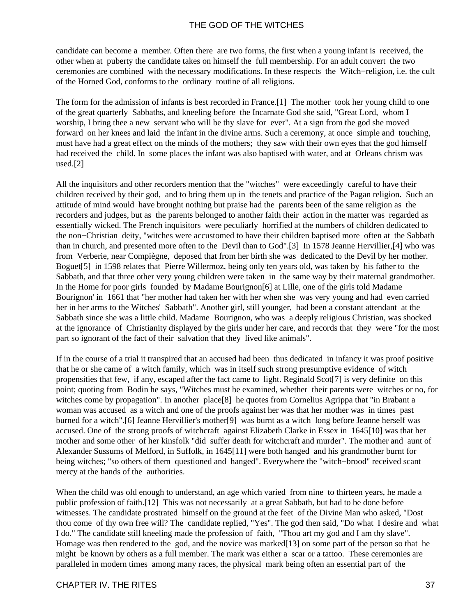candidate can become a member. Often there are two forms, the first when a young infant is received, the other when at puberty the candidate takes on himself the full membership. For an adult convert the two ceremonies are combined with the necessary modifications. In these respects the Witch−religion, i.e. the cult of the Horned God, conforms to the ordinary routine of all religions.

The form for the admission of infants is best recorded in France.[1] The mother took her young child to one of the great quarterly Sabbaths, and kneeling before the Incarnate God she said, "Great Lord, whom I worship, I bring thee a new servant who will be thy slave for ever". At a sign from the god she moved forward on her knees and laid the infant in the divine arms. Such a ceremony, at once simple and touching, must have had a great effect on the minds of the mothers; they saw with their own eyes that the god himself had received the child. In some places the infant was also baptised with water, and at Orleans chrism was used.[2]

All the inquisitors and other recorders mention that the "witches" were exceedingly careful to have their children received by their god, and to bring them up in the tenets and practice of the Pagan religion. Such an attitude of mind would have brought nothing but praise had the parents been of the same religion as the recorders and judges, but as the parents belonged to another faith their action in the matter was regarded as essentially wicked. The French inquisitors were peculiarly horrified at the numbers of children dedicated to the non−Christian deity, "witches were accustomed to have their children baptised more often at the Sabbath than in church, and presented more often to the Devil than to God".[3] In 1578 Jeanne Hervillier,[4] who was from Verberie, near Compiègne, deposed that from her birth she was dedicated to the Devil by her mother. Boguet[5] in 1598 relates that Pierre Willermoz, being only ten years old, was taken by his father to the Sabbath, and that three other very young children were taken in the same way by their maternal grandmother. In the Home for poor girls founded by Madame Bourignon[6] at Lille, one of the girls told Madame Bourignon' in 1661 that "her mother had taken her with her when she was very young and had even carried her in her arms to the Witches' Sabbath". Another girl, still younger, had been a constant attendant at the Sabbath since she was a little child. Madame Bourignon, who was a deeply religious Christian, was shocked at the ignorance of Christianity displayed by the girls under her care, and records that they were "for the most part so ignorant of the fact of their salvation that they lived like animals".

If in the course of a trial it transpired that an accused had been thus dedicated in infancy it was proof positive that he or she came of a witch family, which was in itself such strong presumptive evidence of witch propensities that few, if any, escaped after the fact came to light. Reginald Scot[7] is very definite on this point; quoting from Bodin he says, "Witches must be examined, whether their parents were witches or no, for witches come by propagation". In another place<sup>[8]</sup> he quotes from Cornelius Agrippa that "in Brabant a woman was accused as a witch and one of the proofs against her was that her mother was in times past burned for a witch".[6] Jeanne Hervillier's mother[9] was burnt as a witch long before Jeanne herself was accused. One of the strong proofs of witchcraft against Elizabeth Clarke in Essex in 1645[10] was that her mother and some other of her kinsfolk "did suffer death for witchcraft and murder". The mother and aunt of Alexander Sussums of Melford, in Suffolk, in 1645[11] were both hanged and his grandmother burnt for being witches; "so others of them questioned and hanged". Everywhere the "witch−brood" received scant mercy at the hands of the authorities.

When the child was old enough to understand, an age which varied from nine to thirteen years, he made a public profession of faith.[12] This was not necessarily at a great Sabbath, but had to be done before witnesses. The candidate prostrated himself on the ground at the feet of the Divine Man who asked, "Dost thou come of thy own free will? The candidate replied, "Yes". The god then said, "Do what I desire and what I do." The candidate still kneeling made the profession of faith, "Thou art my god and I am thy slave". Homage was then rendered to the god, and the novice was marked [13] on some part of the person so that he might be known by others as a full member. The mark was either a scar or a tattoo. These ceremonies are paralleled in modern times among many races, the physical mark being often an essential part of the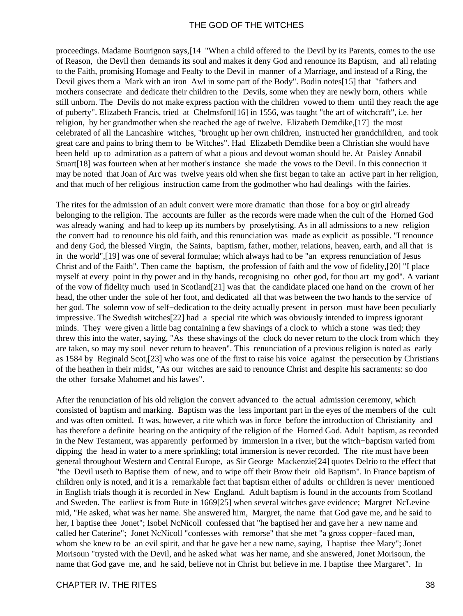proceedings. Madame Bourignon says,[14 "When a child offered to the Devil by its Parents, comes to the use of Reason, the Devil then demands its soul and makes it deny God and renounce its Baptism, and all relating to the Faith, promising Homage and Fealty to the Devil in manner of a Marriage, and instead of a Ring, the Devil gives them a Mark with an iron Awl in some part of the Body". Bodin notes[15] that "fathers and mothers consecrate and dedicate their children to the Devils, some when they are newly born, others while still unborn. The Devils do not make express paction with the children vowed to them until they reach the age of puberty". Elizabeth Francis, tried at Chelmsford[16] in 1556, was taught "the art of witchcraft", i.e. her religion, by her grandmother when she reached the age of twelve. Elizabeth Demdike,[17] the most celebrated of all the Lancashire witches, "brought up her own children, instructed her grandchildren, and took great care and pains to bring them to be Witches". Had Elizabeth Demdike been a Christian she would have been held up to admiration as a pattern of what a pious and devout woman should be. At Paisley Annabil Stuart[18] was fourteen when at her mother's instance she made the vows to the Devil. In this connection it may be noted that Joan of Arc was twelve years old when she first began to take an active part in her religion, and that much of her religious instruction came from the godmother who had dealings with the fairies.

The rites for the admission of an adult convert were more dramatic than those for a boy or girl already belonging to the religion. The accounts are fuller as the records were made when the cult of the Horned God was already waning and had to keep up its numbers by proselytising. As in all admissions to a new religion the convert had to renounce his old faith, and this renunciation was made as explicit as possible. "I renounce and deny God, the blessed Virgin, the Saints, baptism, father, mother, relations, heaven, earth, and all that is in the world",[19] was one of several formulae; which always had to be "an express renunciation of Jesus Christ and of the Faith". Then came the baptism, the profession of faith and the vow of fidelity,[20] "I place myself at every point in thy power and in thy hands, recognising no other god, for thou art my god". A variant of the vow of fidelity much used in Scotland[21] was that the candidate placed one hand on the crown of her head, the other under the sole of her foot, and dedicated all that was between the two hands to the service of her god. The solemn vow of self−dedication to the deity actually present in person must have been peculiarly impressive. The Swedish witches[22] had a special rite which was obviously intended to impress ignorant minds. They were given a little bag containing a few shavings of a clock to which a stone was tied; they threw this into the water, saying, "As these shavings of the clock do never return to the clock from which they are taken, so may my soul never return to heaven". This renunciation of a previous religion is noted as early as 1584 by Reginald Scot,[23] who was one of the first to raise his voice against the persecution by Christians of the heathen in their midst, "As our witches are said to renounce Christ and despite his sacraments: so doo the other forsake Mahomet and his lawes".

After the renunciation of his old religion the convert advanced to the actual admission ceremony, which consisted of baptism and marking. Baptism was the less important part in the eyes of the members of the cult and was often omitted. It was, however, a rite which was in force before the introduction of Christianity and has therefore a definite bearing on the antiquity of the religion of the Horned God. Adult baptism, as recorded in the New Testament, was apparently performed by immersion in a river, but the witch−baptism varied from dipping the head in water to a mere sprinkling; total immersion is never recorded. The rite must have been general throughout Western and Central Europe, as Sir George Mackenzie[24] quotes Delrio to the effect that "the Devil useth to Baptise them of new, and to wipe off their Brow their old Baptism". In France baptism of children only is noted, and it is a remarkable fact that baptism either of adults or children is never mentioned in English trials though it is recorded in New England. Adult baptism is found in the accounts from Scotland and Sweden. The earliest is from Bute in 1669[25] when several witches gave evidence; Margret NcLevine mid, "He asked, what was her name. She answered him, Margret, the name that God gave me, and he said to her, I baptise thee Jonet"; Isobel NcNicoll confessed that "he baptised her and gave her a new name and called her Caterine"; Jonet NcNicoll "confesses with remorse" that she met "a gross copper−faced man, whom she knew to be an evil spirit, and that he gave her a new name, saying, I baptise thee Mary"; Jonet Morisoun "trysted with the Devil, and he asked what was her name, and she answered, Jonet Morisoun, the name that God gave me, and he said, believe not in Christ but believe in me. I baptise thee Margaret". In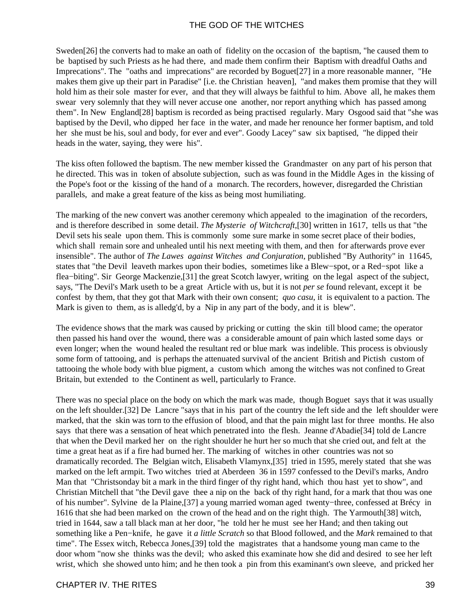Sweden[26] the converts had to make an oath of fidelity on the occasion of the baptism, "he caused them to be baptised by such Priests as he had there, and made them confirm their Baptism with dreadful Oaths and Imprecations". The "oaths and imprecations" are recorded by Boguet[27] in a more reasonable manner, "He makes them give up their part in Paradise" [i.e. the Christian heaven], "and makes them promise that they will hold him as their sole master for ever, and that they will always be faithful to him. Above all, he makes them swear very solemnly that they will never accuse one another, nor report anything which has passed among them". In New England[28] baptism is recorded as being practised regularly. Mary Osgood said that "she was baptised by the Devil, who dipped her face in the water, and made her renounce her former baptism, and told her she must be his, soul and body, for ever and ever". Goody Lacey" saw six baptised, "he dipped their heads in the water, saying, they were his".

The kiss often followed the baptism. The new member kissed the Grandmaster on any part of his person that he directed. This was in token of absolute subjection, such as was found in the Middle Ages in the kissing of the Pope's foot or the kissing of the hand of a monarch. The recorders, however, disregarded the Christian parallels, and make a great feature of the kiss as being most humiliating.

The marking of the new convert was another ceremony which appealed to the imagination of the recorders, and is therefore described in some detail. *The Mysterie of Witchcraft*,[30] written in 1617, tells us that "the Devil sets his seale upon them. This is commonly some sure marke in some secret place of their bodies, which shall remain sore and unhealed until his next meeting with them, and then for afterwards prove ever insensible". The author of *The Lawes against Witches and Conjuration*, published "By Authority" in 11645, states that "the Devil leaveth markes upon their bodies, sometimes like a Blew−spot, or a Red−spot like a flea−biting". Sir George Mackenzie,[31] the great Scotch lawyer, writing on the legal aspect of the subject, says, "The Devil's Mark useth to be a great Article with us, but it is not *per se* found relevant, except it be confest by them, that they got that Mark with their own consent; *quo casu*, it is equivalent to a paction. The Mark is given to them, as is alledg'd, by a Nip in any part of the body, and it is blew".

The evidence shows that the mark was caused by pricking or cutting the skin till blood came; the operator then passed his hand over the wound, there was a considerable amount of pain which lasted some days or even longer; when the wound healed the resultant red or blue mark was indelible. This process is obviously some form of tattooing, and is perhaps the attenuated survival of the ancient British and Pictish custom of tattooing the whole body with blue pigment, a custom which among the witches was not confined to Great Britain, but extended to the Continent as well, particularly to France.

There was no special place on the body on which the mark was made, though Boguet says that it was usually on the left shoulder.[32] De Lancre "says that in his part of the country the left side and the left shoulder were marked, that the skin was torn to the effusion of blood, and that the pain might last for three months. He also says that there was a sensation of heat which penetrated into the flesh. Jeanne d'Abadie[34] told de Lancre that when the Devil marked her on the right shoulder he hurt her so much that she cried out, and felt at the time a great heat as if a fire had burned her. The marking of witches in other countries was not so dramatically recorded. The Belgian witch, Elisabeth Vlamynx,[35] tried in 1595, merely stated that she was marked on the left armpit. Two witches tried at Aberdeen 36 in 1597 confessed to the Devil's marks, Andro Man that "Christsonday bit a mark in the third finger of thy right hand, which thou hast yet to show", and Christian Mitchell that "the Devil gave thee a nip on the back of thy right hand, for a mark that thou was one of his number". Sylvine de la Plaine,[37] a young married woman aged twenty−three, confessed at Brécy in 1616 that she had been marked on the crown of the head and on the right thigh. The Yarmouth[38] witch, tried in 1644, saw a tall black man at her door, "he told her he must see her Hand; and then taking out something like a Pen−knife, he gave it *a little Scratch* so that Blood followed, and the *Mark* remained to that time". The Essex witch, Rebecca Jones,[39] told the magistrates that a handsome young man came to the door whom "now she thinks was the devil; who asked this examinate how she did and desired to see her left wrist, which she showed unto him; and he then took a pin from this examinant's own sleeve, and pricked her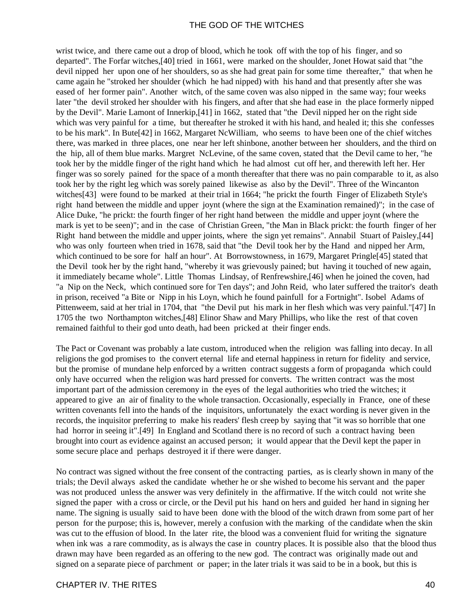wrist twice, and there came out a drop of blood, which he took off with the top of his finger, and so departed". The Forfar witches,[40] tried in 1661, were marked on the shoulder, Jonet Howat said that "the devil nipped her upon one of her shoulders, so as she had great pain for some time thereafter," that when he came again he "stroked her shoulder (which he had nipped) with his hand and that presently after she was eased of her former pain". Another witch, of the same coven was also nipped in the same way; four weeks later "the devil stroked her shoulder with his fingers, and after that she had ease in the place formerly nipped by the Devil". Marie Lamont of Innerkip,[41] in 1662, stated that "the Devil nipped her on the right side which was very painful for a time, but thereafter he stroked it with his hand, and healed it; this she confesses to be his mark". In Bute[42] in 1662, Margaret NcWilliam, who seems to have been one of the chief witches there, was marked in three places, one near her left shinbone, another between her shoulders, and the third on the hip, all of them blue marks. Margret NcLevine, of the same coven, stated that the Devil came to her, "he took her by the middle finger of the right hand which he had almost cut off her, and therewith left her. Her finger was so sorely pained for the space of a month thereafter that there was no pain comparable to it, as also took her by the right leg which was sorely pained likewise as also by the Devil". Three of the Wincanton witches[43] were found to be marked at their trial in 1664; "he prickt the fourth Finger of Elizabeth Style's right hand between the middle and upper joynt (where the sign at the Examination remained)"; in the case of Alice Duke, "he prickt: the fourth finger of her right hand between the middle and upper joynt (where the mark is yet to be seen)"; and in the case of Christian Green, "the Man in Black prickt: the fourth finger of her Right hand between the middle and upper joints, where the sign yet remains". Annabil Stuart of Paisley,[44] who was only fourteen when tried in 1678, said that "the Devil took her by the Hand and nipped her Arm, which continued to be sore for half an hour". At Borrowstowness, in 1679, Margaret Pringle<sup>[45]</sup> stated that the Devil took her by the right hand, "whereby it was grievously pained; but having it touched of new again, it immediately became whole". Little Thomas Lindsay, of Renfrewshire,[46] when he joined the coven, had "a Nip on the Neck, which continued sore for Ten days"; and John Reid, who later suffered the traitor's death in prison, received "a Bite or Nipp in his Loyn, which he found painfull for a Fortnight". Isobel Adams of Pittenweem, said at her trial in 1704, that "the Devil put his mark in her flesh which was very painful."[47] In 1705 the two Northampton witches,[48] Elinor Shaw and Mary Phillips, who like the rest of that coven remained faithful to their god unto death, had been pricked at their finger ends.

The Pact or Covenant was probably a late custom, introduced when the religion was falling into decay. In all religions the god promises to the convert eternal life and eternal happiness in return for fidelity and service, but the promise of mundane help enforced by a written contract suggests a form of propaganda which could only have occurred when the religion was hard pressed for converts. The written contract was the most important part of the admission ceremony in the eyes of the legal authorities who tried the witches; it appeared to give an air of finality to the whole transaction. Occasionally, especially in France, one of these written covenants fell into the hands of the inquisitors, unfortunately the exact wording is never given in the records, the inquisitor preferring to make his readers' flesh creep by saying that "it was so horrible that one had horror in seeing it".<sup>[49]</sup> In England and Scotland there is no record of such a contract having been brought into court as evidence against an accused person; it would appear that the Devil kept the paper in some secure place and perhaps destroyed it if there were danger.

No contract was signed without the free consent of the contracting parties, as is clearly shown in many of the trials; the Devil always asked the candidate whether he or she wished to become his servant and the paper was not produced unless the answer was very definitely in the affirmative. If the witch could not write she signed the paper with a cross or circle, or the Devil put his hand on hers and guided her hand in signing her name. The signing is usually said to have been done with the blood of the witch drawn from some part of her person for the purpose; this is, however, merely a confusion with the marking of the candidate when the skin was cut to the effusion of blood. In the later rite, the blood was a convenient fluid for writing the signature when ink was a rare commodity, as is always the case in country places. It is possible also that the blood thus drawn may have been regarded as an offering to the new god. The contract was originally made out and signed on a separate piece of parchment or paper; in the later trials it was said to be in a book, but this is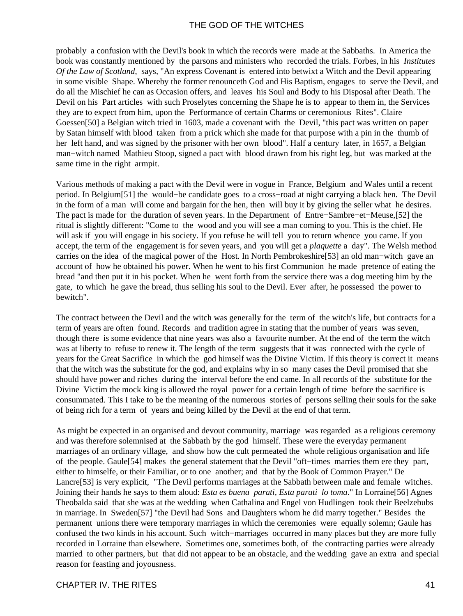probably a confusion with the Devil's book in which the records were made at the Sabbaths. In America the book was constantly mentioned by the parsons and ministers who recorded the trials. Forbes, in his *Institutes Of the Law of Scotland*, says, "An express Covenant is entered into betwixt a Witch and the Devil appearing in some visible Shape. Whereby the former renounceth God and His Baptism, engages to serve the Devil, and do all the Mischief he can as Occasion offers, and leaves his Soul and Body to his Disposal after Death. The Devil on his Part articles with such Proselytes concerning the Shape he is to appear to them in, the Services they are to expect from him, upon the Performance of certain Charms or ceremonious Rites". Claire Goessen[50] a Belgian witch tried in 1603, made a covenant with the Devil, "this pact was written on paper by Satan himself with blood taken from a prick which she made for that purpose with a pin in the thumb of her left hand, and was signed by the prisoner with her own blood". Half a century later, in 1657, a Belgian man−witch named Mathieu Stoop, signed a pact with blood drawn from his right leg, but was marked at the same time in the right armpit.

Various methods of making a pact with the Devil were in vogue in France, Belgium and Wales until a recent period. In Belgium[51] the would−be candidate goes to a cross−road at night carrying a black hen. The Devil in the form of a man will come and bargain for the hen, then will buy it by giving the seller what he desires. The pact is made for the duration of seven years. In the Department of Entre−Sambre−et−Meuse,[52] the ritual is slightly different: "Come to the wood and you will see a man coming to you. This is the chief. He will ask if you will engage in his society. If you refuse he will tell you to return whence you came. If you accept, the term of the engagement is for seven years, and you will get a *plaquette* a day". The Welsh method carries on the idea of the magical power of the Host. In North Pembrokeshire[53] an old man−witch gave an account of how he obtained his power. When he went to his first Communion he made pretence of eating the bread "and then put it in his pocket. When he went forth from the service there was a dog meeting him by the gate, to which he gave the bread, thus selling his soul to the Devil. Ever after, he possessed the power to bewitch".

The contract between the Devil and the witch was generally for the term of the witch's life, but contracts for a term of years are often found. Records and tradition agree in stating that the number of years was seven, though there is some evidence that nine years was also a favourite number. At the end of the term the witch was at liberty to refuse to renew it. The length of the term suggests that it was connected with the cycle of years for the Great Sacrifice in which the god himself was the Divine Victim. If this theory is correct it means that the witch was the substitute for the god, and explains why in so many cases the Devil promised that she should have power and riches during the interval before the end came. In all records of the substitute for the Divine Victim the mock king is allowed the royal power for a certain length of time before the sacrifice is consummated. This I take to be the meaning of the numerous stories of persons selling their souls for the sake of being rich for a term of years and being killed by the Devil at the end of that term.

As might be expected in an organised and devout community, marriage was regarded as a religious ceremony and was therefore solemnised at the Sabbath by the god himself. These were the everyday permanent marriages of an ordinary village, and show how the cult permeated the whole religious organisation and life of the people. Gaule[54] makes the general statement that the Devil "oft−times marries them ere they part, either to himselfe, or their Familiar, or to one another; and that by the Book of Common Prayer." De Lancre[53] is very explicit, "The Devil performs marriages at the Sabbath between male and female witches. Joining their hands he says to them aloud: *Esta es buena parati, Esta parati lo toma*." In Lorraine[56] Agnes Theobalda said that she was at the wedding when Cathalina and Engel von Hudlingen took their Beelzebubs in marriage. In Sweden[57] "the Devil had Sons and Daughters whom he did marry together." Besides the permanent unions there were temporary marriages in which the ceremonies were equally solemn; Gaule has confused the two kinds in his account. Such witch−marriages occurred in many places but they are more fully recorded in Lorraine than elsewhere. Sometimes one, sometimes both, of the contracting parties were already married to other partners, but that did not appear to be an obstacle, and the wedding gave an extra and special reason for feasting and joyousness.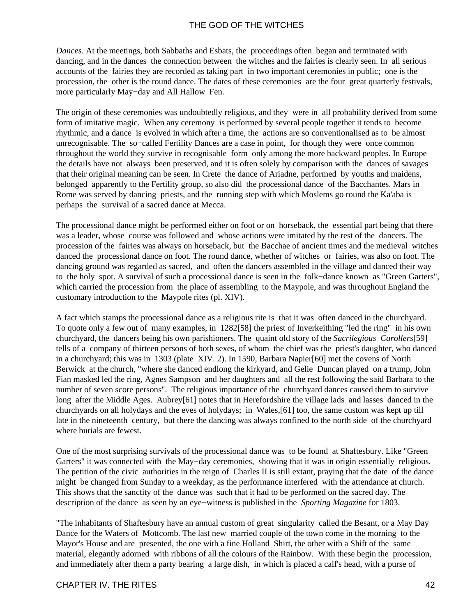*Dances*. At the meetings, both Sabbaths and Esbats, the proceedings often began and terminated with dancing, and in the dances the connection between the witches and the fairies is clearly seen. In all serious accounts of the fairies they are recorded as taking part in two important ceremonies in public; one is the procession, the other is the round dance. The dates of these ceremonies are the four great quarterly festivals, more particularly May−day and All Hallow Fen.

The origin of these ceremonies was undoubtedly religious, and they were in all probability derived from some form of imitative magic. When any ceremony is performed by several people together it tends to become rhythmic, and a dance is evolved in which after a time, the actions are so conventionalised as to be almost unrecognisable. The so−called Fertility Dances are a case in point, for though they were once common throughout the world they survive in recognisable form only among the more backward peoples. In Europe the details have not always been preserved, and it is often solely by comparison with the dances of savages that their original meaning can be seen. In Crete the dance of Ariadne, performed by youths and maidens, belonged apparently to the Fertility group, so also did the processional dance of the Bacchantes. Mars in Rome was served by dancing priests, and the running step with which Moslems go round the Ka'aba is perhaps the survival of a sacred dance at Mecca.

The processional dance might be performed either on foot or on horseback, the essential part being that there was a leader, whose course was followed and whose actions were imitated by the rest of the dancers. The procession of the fairies was always on horseback, but the Bacchae of ancient times and the medieval witches danced the processional dance on foot. The round dance, whether of witches or fairies, was also on foot. The dancing ground was regarded as sacred, and often the dancers assembled in the village and danced their way to the holy spot. A survival of such a processional dance is seen in the folk−dance known as "Green Garters", which carried the procession from the place of assembling to the Maypole, and was throughout England the customary introduction to the Maypole rites (pl. XIV).

A fact which stamps the processional dance as a religious rite is that it was often danced in the churchyard. To quote only a few out of many examples, in 1282[58] the priest of Inverkeithing "led the ring" in his own churchyard, the dancers being his own parishioners. The quaint old story of the *Sacrilegious Carollers*[59] tells of a company of thirteen persons of both sexes, of whom the chief was the priest's daughter, who danced in a churchyard; this was in 1303 (plate XIV. 2). In 1590, Barbara Napier[60] met the covens of North Berwick at the church, "where she danced endlong the kirkyard, and Gelie Duncan played on a trump, John Fian masked led the ring, Agnes Sampson and her daughters and all the rest following the said Barbara to the number of seven score persons". The religious importance of the churchyard dances caused them to survive long after the Middle Ages. Aubrey[61] notes that in Herefordshire the village lads and lasses danced in the churchyards on all holydays and the eves of holydays; in Wales,[61] too, the same custom was kept up till late in the nineteenth century, but there the dancing was always confined to the north side of the churchyard where burials are fewest.

One of the most surprising survivals of the processional dance was to be found at Shaftesbury. Like "Green Garters" it was connected with the May−day ceremonies, showing that it was in origin essentially religious. The petition of the civic authorities in the reign of Charles II is still extant, praying that the date of the dance might be changed from Sunday to a weekday, as the performance interfered with the attendance at church. This shows that the sanctity of the dance was such that it had to be performed on the sacred day. The description of the dance as seen by an eye−witness is published in the *Sporting Magazine* for 1803.

"The inhabitants of Shaftesbury have an annual custom of great singularity called the Besant, or a May Day Dance for the Waters of Mottcomb. The last new married couple of the town come in the morning to the Mayor's House and are presented, the one with a fine Holland Shirt, the other with a Shift of the same material, elegantly adorned with ribbons of all the colours of the Rainbow. With these begin the procession, and immediately after them a party bearing a large dish, in which is placed a calf's head, with a purse of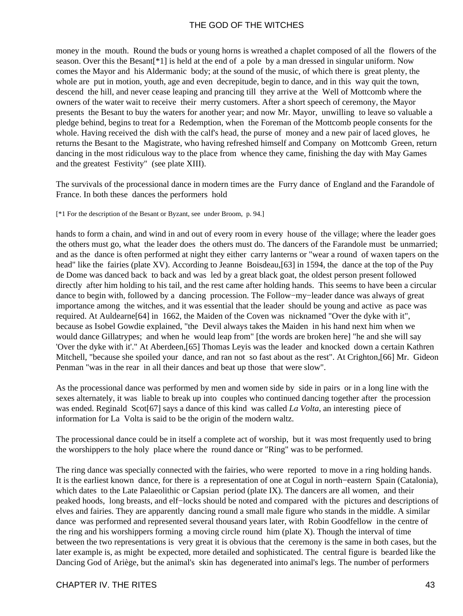money in the mouth. Round the buds or young horns is wreathed a chaplet composed of all the flowers of the season. Over this the Besant[\*1] is held at the end of a pole by a man dressed in singular uniform. Now comes the Mayor and his Aldermanic body; at the sound of the music, of which there is great plenty, the whole are put in motion, youth, age and even decrepitude, begin to dance, and in this way quit the town, descend the hill, and never cease leaping and prancing till they arrive at the Well of Mottcomb where the owners of the water wait to receive their merry customers. After a short speech of ceremony, the Mayor presents the Besant to buy the waters for another year; and now Mr. Mayor, unwilling to leave so valuable a pledge behind, begins to treat for a Redemption, when the Foreman of the Mottcomb people consents for the whole. Having received the dish with the calf's head, the purse of money and a new pair of laced gloves, he returns the Besant to the Magistrate, who having refreshed himself and Company on Mottcomb Green, return dancing in the most ridiculous way to the place from whence they came, finishing the day with May Games and the greatest Festivity" (see plate XIII).

The survivals of the processional dance in modern times are the Furry dance of England and the Farandole of France. In both these dances the performers hold

[\*1 For the description of the Besant or Byzant, see under Broom, p. 94.]

hands to form a chain, and wind in and out of every room in every house of the village; where the leader goes the others must go, what the leader does the others must do. The dancers of the Farandole must be unmarried; and as the dance is often performed at night they either carry lanterns or "wear a round of waxen tapers on the head" like the fairies (plate XV). According to Jeanne Boisdeau, [63] in 1594, the dance at the top of the Puy de Dome was danced back to back and was led by a great black goat, the oldest person present followed directly after him holding to his tail, and the rest came after holding hands. This seems to have been a circular dance to begin with, followed by a dancing procession. The Follow−my−leader dance was always of great importance among the witches, and it was essential that the leader should be young and active as pace was required. At Auldearne[64] in 1662, the Maiden of the Coven was nicknamed "Over the dyke with it", because as Isobel Gowdie explained, "the Devil always takes the Maiden in his hand next him when we would dance Gillatrypes; and when he would leap from" [the words are broken here] "he and she will say 'Over the dyke with it'." At Aberdeen,[65] Thomas Leyis was the leader and knocked down a certain Kathren Mitchell, "because she spoiled your dance, and ran not so fast about as the rest". At Crighton,[66] Mr. Gideon Penman "was in the rear in all their dances and beat up those that were slow".

As the processional dance was performed by men and women side by side in pairs or in a long line with the sexes alternately, it was liable to break up into couples who continued dancing together after the procession was ended. Reginald Scot<sup>[67]</sup> says a dance of this kind was called *La Volta*, an interesting piece of information for La Volta is said to be the origin of the modern waltz.

The processional dance could be in itself a complete act of worship, but it was most frequently used to bring the worshippers to the holy place where the round dance or "Ring" was to be performed.

The ring dance was specially connected with the fairies, who were reported to move in a ring holding hands. It is the earliest known dance, for there is a representation of one at Cogul in north−eastern Spain (Catalonia), which dates to the Late Palaeolithic or Capsian period (plate IX). The dancers are all women, and their peaked hoods, long breasts, and elf−locks should be noted and compared with the pictures and descriptions of elves and fairies. They are apparently dancing round a small male figure who stands in the middle. A similar dance was performed and represented several thousand years later, with Robin Goodfellow in the centre of the ring and his worshippers forming a moving circle round him (plate X). Though the interval of time between the two representations is very great it is obvious that the ceremony is the same in both cases, but the later example is, as might be expected, more detailed and sophisticated. The central figure is bearded like the Dancing God of Ariège, but the animal's skin has degenerated into animal's legs. The number of performers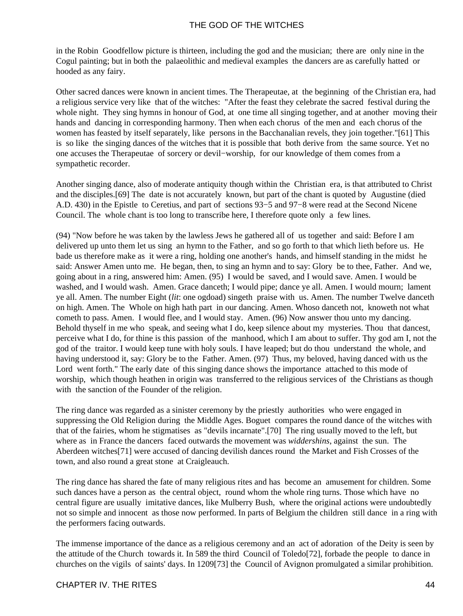in the Robin Goodfellow picture is thirteen, including the god and the musician; there are only nine in the Cogul painting; but in both the palaeolithic and medieval examples the dancers are as carefully hatted or hooded as any fairy.

Other sacred dances were known in ancient times. The Therapeutae, at the beginning of the Christian era, had a religious service very like that of the witches: "After the feast they celebrate the sacred festival during the whole night. They sing hymns in honour of God, at one time all singing together, and at another moving their hands and dancing in corresponding harmony. Then when each chorus of the men and each chorus of the women has feasted by itself separately, like persons in the Bacchanalian revels, they join together."[61] This is so like the singing dances of the witches that it is possible that both derive from the same source. Yet no one accuses the Therapeutae of sorcery or devil−worship, for our knowledge of them comes from a sympathetic recorder.

Another singing dance, also of moderate antiquity though within the Christian era, is that attributed to Christ and the disciples.[69] The date is not accurately known, but part of the chant is quoted by Augustine (died A.D. 430) in the Epistle to Ceretius, and part of sections 93−5 and 97−8 were read at the Second Nicene Council. The whole chant is too long to transcribe here, I therefore quote only a few lines.

(94) "Now before he was taken by the lawless Jews he gathered all of us together and said: Before I am delivered up unto them let us sing an hymn to the Father, and so go forth to that which lieth before us. He bade us therefore make as it were a ring, holding one another's hands, and himself standing in the midst he said: Answer Amen unto me. He began, then, to sing an hymn and to say: Glory be to thee, Father. And we, going about in a ring, answered him: Amen. (95) I would be saved, and I would save. Amen. I would be washed, and I would wash. Amen. Grace danceth; I would pipe; dance ye all. Amen. I would mourn; lament ye all. Amen. The number Eight (*lit*: one ogdoad) singeth praise with us. Amen. The number Twelve danceth on high. Amen. The Whole on high hath part in our dancing. Amen. Whoso danceth not, knoweth not what cometh to pass. Amen. I would flee, and I would stay. Amen. (96) Now answer thou unto my dancing. Behold thyself in me who speak, and seeing what I do, keep silence about my mysteries. Thou that dancest, perceive what I do, for thine is this passion of the manhood, which I am about to suffer. Thy god am I, not the god of the traitor. I would keep tune with holy souls. I have leaped; but do thou understand the whole, and having understood it, say: Glory be to the Father. Amen. (97) Thus, my beloved, having danced with us the Lord went forth." The early date of this singing dance shows the importance attached to this mode of worship, which though heathen in origin was transferred to the religious services of the Christians as though with the sanction of the Founder of the religion.

The ring dance was regarded as a sinister ceremony by the priestly authorities who were engaged in suppressing the Old Religion during the Middle Ages. Boguet compares the round dance of the witches with that of the fairies, whom he stigmatises as "devils incarnate".[70] The ring usually moved to the left, but where as in France the dancers faced outwards the movement was *widdershins*, against the sun. The Aberdeen witches[71] were accused of dancing devilish dances round the Market and Fish Crosses of the town, and also round a great stone at Craigleauch.

The ring dance has shared the fate of many religious rites and has become an amusement for children. Some such dances have a person as the central object, round whom the whole ring turns. Those which have no central figure are usually imitative dances, like Mulberry Bush, where the original actions were undoubtedly not so simple and innocent as those now performed. In parts of Belgium the children still dance in a ring with the performers facing outwards.

The immense importance of the dance as a religious ceremony and an act of adoration of the Deity is seen by the attitude of the Church towards it. In 589 the third Council of Toledo[72], forbade the people to dance in churches on the vigils of saints' days. In 1209[73] the Council of Avignon promulgated a similar prohibition.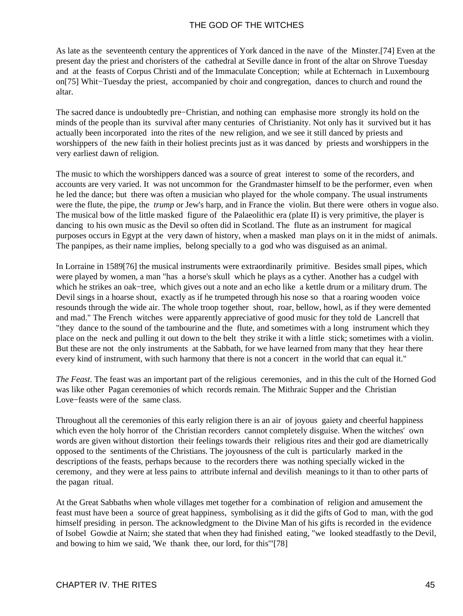As late as the seventeenth century the apprentices of York danced in the nave of the Minster.[74] Even at the present day the priest and choristers of the cathedral at Seville dance in front of the altar on Shrove Tuesday and at the feasts of Corpus Christi and of the Immaculate Conception; while at Echternach in Luxembourg on[75] Whit−Tuesday the priest, accompanied by choir and congregation, dances to church and round the altar.

The sacred dance is undoubtedly pre−Christian, and nothing can emphasise more strongly its hold on the minds of the people than its survival after many centuries of Christianity. Not only has it survived but it has actually been incorporated into the rites of the new religion, and we see it still danced by priests and worshippers of the new faith in their holiest precints just as it was danced by priests and worshippers in the very earliest dawn of religion.

The music to which the worshippers danced was a source of great interest to some of the recorders, and accounts are very varied. It was not uncommon for the Grandmaster himself to be the performer, even when he led the dance; but there was often a musician who played for the whole company. The usual instruments were the flute, the pipe, the *trump* or Jew's harp, and in France the violin. But there were others in vogue also. The musical bow of the little masked figure of the Palaeolithic era (plate II) is very primitive, the player is dancing to his own music as the Devil so often did in Scotland. The flute as an instrument for magical purposes occurs in Egypt at the very dawn of history, when a masked man plays on it in the midst of animals. The panpipes, as their name implies, belong specially to a god who was disguised as an animal.

In Lorraine in 1589[76] the musical instruments were extraordinarily primitive. Besides small pipes, which were played by women, a man "has a horse's skull which he plays as a cyther. Another has a cudgel with which he strikes an oak−tree, which gives out a note and an echo like a kettle drum or a military drum. The Devil sings in a hoarse shout, exactly as if he trumpeted through his nose so that a roaring wooden voice resounds through the wide air. The whole troop together shout, roar, bellow, howl, as if they were demented and mad." The French witches were apparently appreciative of good music for they told de Lancrell that "they dance to the sound of the tambourine and the flute, and sometimes with a long instrument which they place on the neck and pulling it out down to the belt they strike it with a little stick; sometimes with a violin. But these are not the only instruments at the Sabbath, for we have learned from many that they hear there every kind of instrument, with such harmony that there is not a concert in the world that can equal it."

*The Feast*. The feast was an important part of the religious ceremonies, and in this the cult of the Horned God was like other Pagan ceremonies of which records remain. The Mithraic Supper and the Christian Love−feasts were of the same class.

Throughout all the ceremonies of this early religion there is an air of joyous gaiety and cheerful happiness which even the holy horror of the Christian recorders cannot completely disguise. When the witches' own words are given without distortion their feelings towards their religious rites and their god are diametrically opposed to the sentiments of the Christians. The joyousness of the cult is particularly marked in the descriptions of the feasts, perhaps because to the recorders there was nothing specially wicked in the ceremony, and they were at less pains to attribute infernal and devilish meanings to it than to other parts of the pagan ritual.

At the Great Sabbaths when whole villages met together for a combination of religion and amusement the feast must have been a source of great happiness, symbolising as it did the gifts of God to man, with the god himself presiding in person. The acknowledgment to the Divine Man of his gifts is recorded in the evidence of Isobel Gowdie at Nairn; she stated that when they had finished eating, "we looked steadfastly to the Devil, and bowing to him we said, 'We thank thee, our lord, for this'"[78]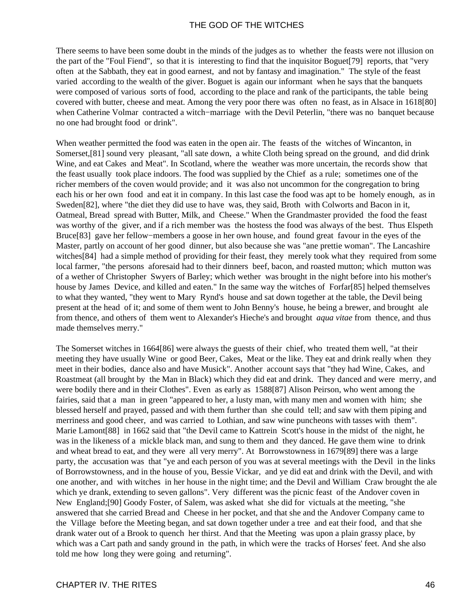There seems to have been some doubt in the minds of the judges as to whether the feasts were not illusion on the part of the "Foul Fiend", so that it is interesting to find that the inquisitor Boguet[79] reports, that "very often at the Sabbath, they eat in good earnest, and not by fantasy and imagination." The style of the feast varied according to the wealth of the giver. Boguet is again our informant when he says that the banquets were composed of various sorts of food, according to the place and rank of the participants, the table being covered with butter, cheese and meat. Among the very poor there was often no feast, as in Alsace in 1618[80] when Catherine Volmar contracted a witch−marriage with the Devil Peterlin, "there was no banquet because no one had brought food or drink".

When weather permitted the food was eaten in the open air. The feasts of the witches of Wincanton, in Somerset,[81] sound very pleasant, "all sate down, a white Cloth being spread on the ground, and did drink Wine, and eat Cakes and Meat". In Scotland, where the weather was more uncertain, the records show that the feast usually took place indoors. The food was supplied by the Chief as a rule; sometimes one of the richer members of the coven would provide; and it was also not uncommon for the congregation to bring each his or her own food and eat it in company. In this last case the food was apt to be homely enough, as in Sweden[82], where "the diet they did use to have was, they said, Broth with Colworts and Bacon in it, Oatmeal, Bread spread with Butter, Milk, and Cheese." When the Grandmaster provided the food the feast was worthy of the giver, and if a rich member was the hostess the food was always of the best. Thus Elspeth Bruce[83] gave her fellow−members a goose in her own house, and found great favour in the eyes of the Master, partly on account of her good dinner, but also because she was "ane prettie woman". The Lancashire witches<sup>[84]</sup> had a simple method of providing for their feast, they merely took what they required from some local farmer, "the persons aforesaid had to their dinners beef, bacon, and roasted mutton; which mutton was of a wether of Christopher Swyers of Barley; which wether was brought in the night before into his mother's house by James Device, and killed and eaten." In the same way the witches of Forfar[85] helped themselves to what they wanted, "they went to Mary Rynd's house and sat down together at the table, the Devil being present at the head of it; and some of them went to John Benny's house, he being a brewer, and brought ale from thence, and others of them went to Alexander's Hieche's and brought *aqua vitae* from thence, and thus made themselves merry."

The Somerset witches in 1664[86] were always the guests of their chief, who treated them well, "at their meeting they have usually Wine or good Beer, Cakes, Meat or the like. They eat and drink really when they meet in their bodies, dance also and have Musick". Another account says that "they had Wine, Cakes, and Roastmeat (all brought by the Man in Black) which they did eat and drink. They danced and were merry, and were bodily there and in their Clothes". Even as early as 1588[87] Alison Peirson, who went among the fairies, said that a man in green "appeared to her, a lusty man, with many men and women with him; she blessed herself and prayed, passed and with them further than she could tell; and saw with them piping and merriness and good cheer, and was carried to Lothian, and saw wine puncheons with tasses with them". Marie Lamont[88] in 1662 said that "the Devil came to Kattrein Scott's house in the midst of the night, he was in the likeness of a mickle black man, and sung to them and they danced. He gave them wine to drink and wheat bread to eat, and they were all very merry". At Borrowstowness in 1679[89] there was a large party, the accusation was that "ye and each person of you was at several meetings with the Devil in the links of Borrowstowness, and in the house of you, Bessie Vickar, and ye did eat and drink with the Devil, and with one another, and with witches in her house in the night time; and the Devil and William Craw brought the ale which ye drank, extending to seven gallons". Very different was the picnic feast of the Andover coven in New England;[90] Goody Foster, of Salem, was asked what she did for victuals at the meeting, "she answered that she carried Bread and Cheese in her pocket, and that she and the Andover Company came to the Village before the Meeting began, and sat down together under a tree and eat their food, and that she drank water out of a Brook to quench her thirst. And that the Meeting was upon a plain grassy place, by which was a Cart path and sandy ground in the path, in which were the tracks of Horses' feet. And she also told me how long they were going and returning".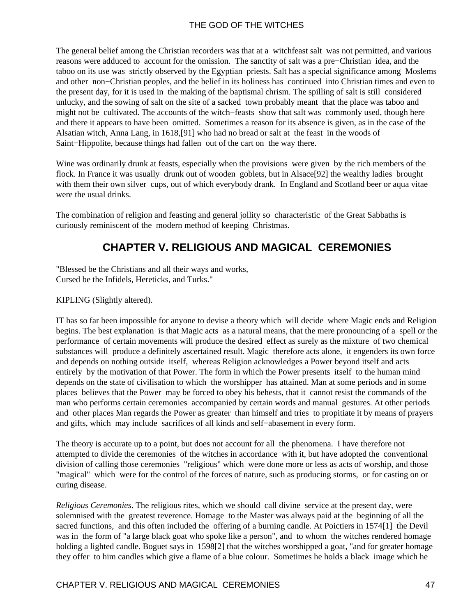The general belief among the Christian recorders was that at a witchfeast salt was not permitted, and various reasons were adduced to account for the omission. The sanctity of salt was a pre−Christian idea, and the taboo on its use was strictly observed by the Egyptian priests. Salt has a special significance among Moslems and other non−Christian peoples, and the belief in its holiness has continued into Christian times and even to the present day, for it is used in the making of the baptismal chrism. The spilling of salt is still considered unlucky, and the sowing of salt on the site of a sacked town probably meant that the place was taboo and might not be cultivated. The accounts of the witch−feasts show that salt was commonly used, though here and there it appears to have been omitted. Sometimes a reason for its absence is given, as in the case of the Alsatian witch, Anna Lang, in 1618,[91] who had no bread or salt at the feast in the woods of Saint−Hippolite, because things had fallen out of the cart on the way there.

Wine was ordinarily drunk at feasts, especially when the provisions were given by the rich members of the flock. In France it was usually drunk out of wooden goblets, but in Alsace[92] the wealthy ladies brought with them their own silver cups, out of which everybody drank. In England and Scotland beer or aqua vitae were the usual drinks.

The combination of religion and feasting and general jollity so characteristic of the Great Sabbaths is curiously reminiscent of the modern method of keeping Christmas.

## **CHAPTER V. RELIGIOUS AND MAGICAL CEREMONIES**

"Blessed be the Christians and all their ways and works, Cursed be the Infidels, Hereticks, and Turks."

KIPLING (Slightly altered).

IT has so far been impossible for anyone to devise a theory which will decide where Magic ends and Religion begins. The best explanation is that Magic acts as a natural means, that the mere pronouncing of a spell or the performance of certain movements will produce the desired effect as surely as the mixture of two chemical substances will produce a definitely ascertained result. Magic therefore acts alone, it engenders its own force and depends on nothing outside itself, whereas Religion acknowledges a Power beyond itself and acts entirely by the motivation of that Power. The form in which the Power presents itself to the human mind depends on the state of civilisation to which the worshipper has attained. Man at some periods and in some places believes that the Power may be forced to obey his behests, that it cannot resist the commands of the man who performs certain ceremonies accompanied by certain words and manual gestures. At other periods and other places Man regards the Power as greater than himself and tries to propitiate it by means of prayers and gifts, which may include sacrifices of all kinds and self−abasement in every form.

The theory is accurate up to a point, but does not account for all the phenomena. I have therefore not attempted to divide the ceremonies of the witches in accordance with it, but have adopted the conventional division of calling those ceremonies "religious" which were done more or less as acts of worship, and those "magical" which were for the control of the forces of nature, such as producing storms, or for casting on or curing disease.

*Religious Ceremonies*. The religious rites, which we should call divine service at the present day, were solemnised with the greatest reverence. Homage to the Master was always paid at the beginning of all the sacred functions, and this often included the offering of a burning candle. At Poictiers in 1574[1] the Devil was in the form of "a large black goat who spoke like a person", and to whom the witches rendered homage holding a lighted candle. Boguet says in 1598[2] that the witches worshipped a goat, "and for greater homage they offer to him candles which give a flame of a blue colour. Sometimes he holds a black image which he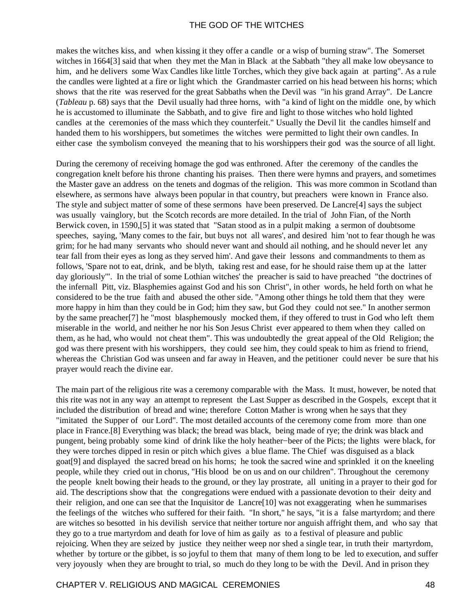makes the witches kiss, and when kissing it they offer a candle or a wisp of burning straw". The Somerset witches in 1664[3] said that when they met the Man in Black at the Sabbath "they all make low obeysance to him, and he delivers some Wax Candles like little Torches, which they give back again at parting". As a rule the candles were lighted at a fire or light which the Grandmaster carried on his head between his horns; which shows that the rite was reserved for the great Sabbaths when the Devil was "in his grand Array". De Lancre (*Tableau* p. 68) says that the Devil usually had three horns, with "a kind of light on the middle one, by which he is accustomed to illuminate the Sabbath, and to give fire and light to those witches who hold lighted candles at the ceremonies of the mass which they counterfeit." Usually the Devil lit the candles himself and handed them to his worshippers, but sometimes the witches were permitted to light their own candles. In either case the symbolism conveyed the meaning that to his worshippers their god was the source of all light.

During the ceremony of receiving homage the god was enthroned. After the ceremony of the candles the congregation knelt before his throne chanting his praises. Then there were hymns and prayers, and sometimes the Master gave an address on the tenets and dogmas of the religion. This was more common in Scotland than elsewhere, as sermons have always been popular in that country, but preachers were known in France also. The style and subject matter of some of these sermons have been preserved. De Lancre[4] says the subject was usually vainglory, but the Scotch records are more detailed. In the trial of John Fian, of the North Berwick coven, in 1590,[5] it was stated that "Satan stood as in a pulpit making a sermon of doubtsome speeches, saying, 'Many comes to the fair, but buys not all wares', and desired him 'not to fear though he was grim; for he had many servants who should never want and should ail nothing, and he should never let any tear fall from their eyes as long as they served him'. And gave their lessons and commandments to them as follows, 'Spare not to eat, drink, and be blyth, taking rest and ease, for he should raise them up at the latter day gloriously'". In the trial of some Lothian witches' the preacher is said to have preached "the doctrines of the infernall Pitt, viz. Blasphemies against God and his son Christ", in other words, he held forth on what he considered to be the true faith and abused the other side. "Among other things he told them that they were more happy in him than they could be in God; him they saw, but God they could not see." In another sermon by the same preacher[7] he "most blasphemously mocked them, if they offered to trust in God who left them miserable in the world, and neither he nor his Son Jesus Christ ever appeared to them when they called on them, as he had, who would not cheat them". This was undoubtedly the great appeal of the Old Religion; the god was there present with his worshippers, they could see him, they could speak to him as friend to friend, whereas the Christian God was unseen and far away in Heaven, and the petitioner could never be sure that his prayer would reach the divine ear.

The main part of the religious rite was a ceremony comparable with the Mass. It must, however, be noted that this rite was not in any way an attempt to represent the Last Supper as described in the Gospels, except that it included the distribution of bread and wine; therefore Cotton Mather is wrong when he says that they "imitated the Supper of our Lord". The most detailed accounts of the ceremony come from more than one place in France.[8] Everything was black; the bread was black, being made of rye; the drink was black and pungent, being probably some kind of drink like the holy heather−beer of the Picts; the lights were black, for they were torches dipped in resin or pitch which gives a blue flame. The Chief was disguised as a black goat[9] and displayed the sacred bread on his horns; he took the sacred wine and sprinkled it on the kneeling people, while they cried out in chorus, "His blood be on us and on our children". Throughout the ceremony the people knelt bowing their heads to the ground, or they lay prostrate, all uniting in a prayer to their god for aid. The descriptions show that the congregations were endued with a passionate devotion to their deity and their religion, and one can see that the Inquisitor de Lancre[10] was not exaggerating when he summarises the feelings of the witches who suffered for their faith. "In short," he says, "it is a false martyrdom; and there are witches so besotted in his devilish service that neither torture nor anguish affright them, and who say that they go to a true martyrdom and death for love of him as gaily as to a festival of pleasure and public rejoicing. When they are seized by justice they neither weep nor shed a single tear, in truth their martyrdom, whether by torture or the gibbet, is so joyful to them that many of them long to be led to execution, and suffer very joyously when they are brought to trial, so much do they long to be with the Devil. And in prison they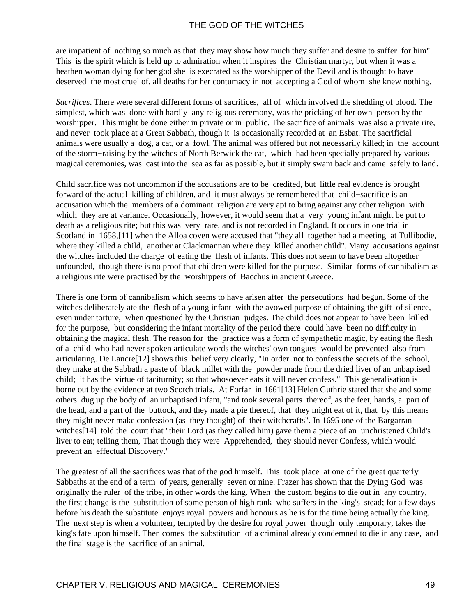are impatient of nothing so much as that they may show how much they suffer and desire to suffer for him". This is the spirit which is held up to admiration when it inspires the Christian martyr, but when it was a heathen woman dying for her god she is execrated as the worshipper of the Devil and is thought to have deserved the most cruel of. all deaths for her contumacy in not accepting a God of whom she knew nothing.

*Sacrifices*. There were several different forms of sacrifices, all of which involved the shedding of blood. The simplest, which was done with hardly any religious ceremony, was the pricking of her own person by the worshipper. This might be done either in private or in public. The sacrifice of animals was also a private rite, and never took place at a Great Sabbath, though it is occasionally recorded at an Esbat. The sacrificial animals were usually a dog, a cat, or a fowl. The animal was offered but not necessarily killed; in the account of the storm−raising by the witches of North Berwick the cat, which had been specially prepared by various magical ceremonies, was cast into the sea as far as possible, but it simply swam back and came safely to land.

Child sacrifice was not uncommon if the accusations are to be credited, but little real evidence is brought forward of the actual killing of children, and it must always be remembered that child−sacrifice is an accusation which the members of a dominant religion are very apt to bring against any other religion with which they are at variance. Occasionally, however, it would seem that a very young infant might be put to death as a religious rite; but this was very rare, and is not recorded in England. It occurs in one trial in Scotland in 1658,<sup>[11]</sup> when the Alloa coven were accused that "they all together had a meeting at Tullibodie, where they killed a child, another at Clackmannan where they killed another child". Many accusations against the witches included the charge of eating the flesh of infants. This does not seem to have been altogether unfounded, though there is no proof that children were killed for the purpose. Similar forms of cannibalism as a religious rite were practised by the worshippers of Bacchus in ancient Greece.

There is one form of cannibalism which seems to have arisen after the persecutions had begun. Some of the witches deliberately ate the flesh of a young infant with the avowed purpose of obtaining the gift of silence, even under torture, when questioned by the Christian judges. The child does not appear to have been killed for the purpose, but considering the infant mortality of the period there could have been no difficulty in obtaining the magical flesh. The reason for the practice was a form of sympathetic magic, by eating the flesh of a child who had never spoken articulate words the witches' own tongues would be prevented also from articulating. De Lancre[12] shows this belief very clearly, "In order not to confess the secrets of the school, they make at the Sabbath a paste of black millet with the powder made from the dried liver of an unbaptised child; it has the virtue of taciturnity; so that whosoever eats it will never confess." This generalisation is borne out by the evidence at two Scotch trials. At Forfar in 1661[13] Helen Guthrie stated that she and some others dug up the body of an unbaptised infant, "and took several parts thereof, as the feet, hands, a part of the head, and a part of the buttock, and they made a pie thereof, that they might eat of it, that by this means they might never make confession (as they thought) of their witchcrafts". In 1695 one of the Bargarran witches<sup>[14]</sup> told the court that "their Lord (as they called him) gave them a piece of an unchristened Child's liver to eat; telling them, That though they were Apprehended, they should never Confess, which would prevent an effectual Discovery."

The greatest of all the sacrifices was that of the god himself. This took place at one of the great quarterly Sabbaths at the end of a term of years, generally seven or nine. Frazer has shown that the Dying God was originally the ruler of the tribe, in other words the king. When the custom begins to die out in any country, the first change is the substitution of some person of high rank who suffers in the king's stead; for a few days before his death the substitute enjoys royal powers and honours as he is for the time being actually the king. The next step is when a volunteer, tempted by the desire for royal power though only temporary, takes the king's fate upon himself. Then comes the substitution of a criminal already condemned to die in any case, and the final stage is the sacrifice of an animal.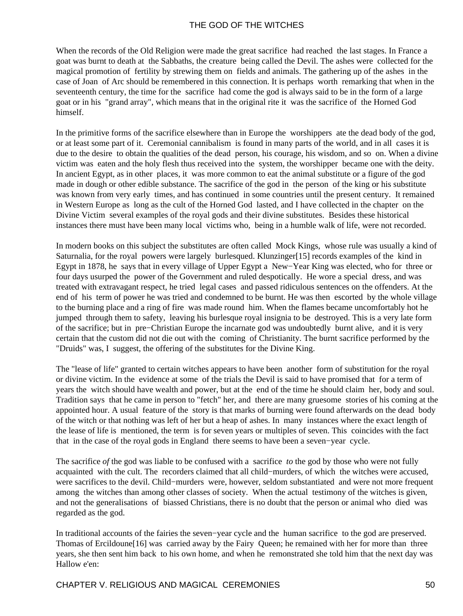When the records of the Old Religion were made the great sacrifice had reached the last stages. In France a goat was burnt to death at the Sabbaths, the creature being called the Devil. The ashes were collected for the magical promotion of fertility by strewing them on fields and animals. The gathering up of the ashes in the case of Joan of Arc should be remembered in this connection. It is perhaps worth remarking that when in the seventeenth century, the time for the sacrifice had come the god is always said to be in the form of a large goat or in his "grand array", which means that in the original rite it was the sacrifice of the Horned God himself.

In the primitive forms of the sacrifice elsewhere than in Europe the worshippers ate the dead body of the god, or at least some part of it. Ceremonial cannibalism is found in many parts of the world, and in all cases it is due to the desire to obtain the qualities of the dead person, his courage, his wisdom, and so on. When a divine victim was eaten and the holy flesh thus received into the system, the worshipper became one with the deity. In ancient Egypt, as in other places, it was more common to eat the animal substitute or a figure of the god made in dough or other edible substance. The sacrifice of the god in the person of the king or his substitute was known from very early times, and has continued in some countries until the present century. It remained in Western Europe as long as the cult of the Horned God lasted, and I have collected in the chapter on the Divine Victim several examples of the royal gods and their divine substitutes. Besides these historical instances there must have been many local victims who, being in a humble walk of life, were not recorded.

In modern books on this subject the substitutes are often called Mock Kings, whose rule was usually a kind of Saturnalia, for the royal powers were largely burlesqued. Klunzinger[15] records examples of the kind in Egypt in 1878, he says that in every village of Upper Egypt a New−Year King was elected, who for three or four days usurped the power of the Government and ruled despotically. He wore a special dress, and was treated with extravagant respect, he tried legal cases and passed ridiculous sentences on the offenders. At the end of his term of power he was tried and condemned to be burnt. He was then escorted by the whole village to the burning place and a ring of fire was made round him. When the flames became uncomfortably hot he jumped through them to safety, leaving his burlesque royal insignia to be destroyed. This is a very late form of the sacrifice; but in pre−Christian Europe the incarnate god was undoubtedly burnt alive, and it is very certain that the custom did not die out with the coming of Christianity. The burnt sacrifice performed by the "Druids" was, I suggest, the offering of the substitutes for the Divine King.

The "lease of life" granted to certain witches appears to have been another form of substitution for the royal or divine victim. In the evidence at some of the trials the Devil is said to have promised that for a term of years the witch should have wealth and power, but at the end of the time he should claim her, body and soul. Tradition says that he came in person to "fetch" her, and there are many gruesome stories of his coming at the appointed hour. A usual feature of the story is that marks of burning were found afterwards on the dead body of the witch or that nothing was left of her but a heap of ashes. In many instances where the exact length of the lease of life is mentioned, the term is for seven years or multiples of seven. This coincides with the fact that in the case of the royal gods in England there seems to have been a seven−year cycle.

The sacrifice *of* the god was liable to be confused with a sacrifice *to* the god by those who were not fully acquainted with the cult. The recorders claimed that all child−murders, of which the witches were accused, were sacrifices to the devil. Child−murders were, however, seldom substantiated and were not more frequent among the witches than among other classes of society. When the actual testimony of the witches is given, and not the generalisations of biassed Christians, there is no doubt that the person or animal who died was regarded as the god.

In traditional accounts of the fairies the seven−year cycle and the human sacrifice to the god are preserved. Thomas of Ercildoune<sup>[16]</sup> was carried away by the Fairy Queen; he remained with her for more than three years, she then sent him back to his own home, and when he remonstrated she told him that the next day was Hallow e'en: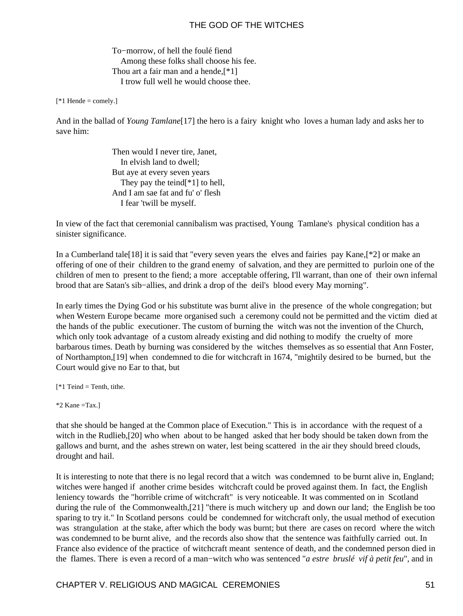To−morrow, of hell the foulé fiend Among these folks shall choose his fee. Thou art a fair man and a hende,[\*1] I trow full well he would choose thee.

 $[*1 \text{ Hende} = \text{comely.}]$ 

And in the ballad of *Young Tamlane*[17] the hero is a fairy knight who loves a human lady and asks her to save him:

> Then would I never tire, Janet, In elvish land to dwell; But aye at every seven years They pay the teind<sup>[\*1]</sup> to hell, And I am sae fat and fu' o' flesh I fear 'twill be myself.

In view of the fact that ceremonial cannibalism was practised, Young Tamlane's physical condition has a sinister significance.

In a Cumberland tale[18] it is said that "every seven years the elves and fairies pay Kane,[\*2] or make an offering of one of their children to the grand enemy of salvation, and they are permitted to purloin one of the children of men to present to the fiend; a more acceptable offering, I'll warrant, than one of their own infernal brood that are Satan's sib−allies, and drink a drop of the deil's blood every May morning".

In early times the Dying God or his substitute was burnt alive in the presence of the whole congregation; but when Western Europe became more organised such a ceremony could not be permitted and the victim died at the hands of the public executioner. The custom of burning the witch was not the invention of the Church, which only took advantage of a custom already existing and did nothing to modify the cruelty of more barbarous times. Death by burning was considered by the witches themselves as so essential that Ann Foster, of Northampton,[19] when condemned to die for witchcraft in 1674, "mightily desired to be burned, but the Court would give no Ear to that, but

 $[*1$  Teind = Tenth, tithe.

 $*2$  Kane =Tax.

that she should be hanged at the Common place of Execution." This is in accordance with the request of a witch in the Rudlieb,[20] who when about to be hanged asked that her body should be taken down from the gallows and burnt, and the ashes strewn on water, lest being scattered in the air they should breed clouds, drought and hail.

It is interesting to note that there is no legal record that a witch was condemned to be burnt alive in, England; witches were hanged if another crime besides witchcraft could be proved against them. In fact, the English leniency towards the "horrible crime of witchcraft" is very noticeable. It was commented on in Scotland during the rule of the Commonwealth,[21] "there is much witchery up and down our land; the English be too sparing to try it." In Scotland persons could be condemned for witchcraft only, the usual method of execution was strangulation at the stake, after which the body was burnt; but there are cases on record where the witch was condemned to be burnt alive, and the records also show that the sentence was faithfully carried out. In France also evidence of the practice of witchcraft meant sentence of death, and the condemned person died in the flames. There is even a record of a man−witch who was sentenced "*a estre bruslé vif à petit feu*", and in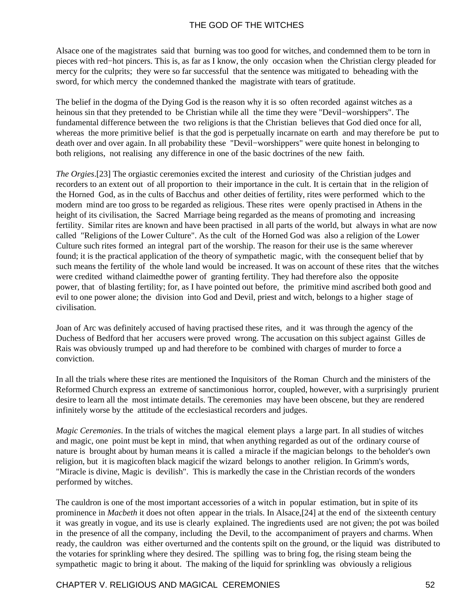Alsace one of the magistrates said that burning was too good for witches, and condemned them to be torn in pieces with red−hot pincers. This is, as far as I know, the only occasion when the Christian clergy pleaded for mercy for the culprits; they were so far successful that the sentence was mitigated to beheading with the sword, for which mercy the condemned thanked the magistrate with tears of gratitude.

The belief in the dogma of the Dying God is the reason why it is so often recorded against witches as a heinous sin that they pretended to be Christian while all the time they were "Devil−worshippers". The fundamental difference between the two religions is that the Christian believes that God died once for all, whereas the more primitive belief is that the god is perpetually incarnate on earth and may therefore be put to death over and over again. In all probability these "Devil−worshippers" were quite honest in belonging to both religions, not realising any difference in one of the basic doctrines of the new faith.

*The Orgies*.[23] The orgiastic ceremonies excited the interest and curiosity of the Christian judges and recorders to an extent out of all proportion to their importance in the cult. It is certain that in the religion of the Horned God, as in the cults of Bacchus and other deities of fertility, rites were performed which to the modern mind are too gross to be regarded as religious. These rites were openly practised in Athens in the height of its civilisation, the Sacred Marriage being regarded as the means of promoting and increasing fertility. Similar rites are known and have been practised in all parts of the world, but always in what are now called "Religions of the Lower Culture". As the cult of the Horned God was also a religion of the Lower Culture such rites formed an integral part of the worship. The reason for their use is the same wherever found; it is the practical application of the theory of sympathetic magic, with the consequent belief that by such means the fertility of the whole land would be increased. It was on account of these rites that the witches were credited with and claimed the power of granting fertility. They had therefore also the opposite power, that of blasting fertility; for, as I have pointed out before, the primitive mind ascribed both good and evil to one power alone; the division into God and Devil, priest and witch, belongs to a higher stage of civilisation.

Joan of Arc was definitely accused of having practised these rites, and it was through the agency of the Duchess of Bedford that her accusers were proved wrong. The accusation on this subject against Gilles de Rais was obviously trumped up and had therefore to be combined with charges of murder to force a conviction.

In all the trials where these rites are mentioned the Inquisitors of the Roman Church and the ministers of the Reformed Church express an extreme of sanctimonious horror, coupled, however, with a surprisingly prurient desire to learn all the most intimate details. The ceremonies may have been obscene, but they are rendered infinitely worse by the attitude of the ecclesiastical recorders and judges.

*Magic Ceremonies*. In the trials of witches the magical element plays a large part. In all studies of witches and magic, one point must be kept in mind, that when anything regarded as out of the ordinary course of nature is brought about by human means it is called a miracle if the magician belongs to the beholder's own religion, but it is magic often black magic if the wizard belongs to another religion. In Grimm's words, "Miracle is divine, Magic is devilish". This is markedly the case in the Christian records of the wonders performed by witches.

The cauldron is one of the most important accessories of a witch in popular estimation, but in spite of its prominence in *Macbeth* it does not often appear in the trials. In Alsace,[24] at the end of the sixteenth century it was greatly in vogue, and its use is clearly explained. The ingredients used are not given; the pot was boiled in the presence of all the company, including the Devil, to the accompaniment of prayers and charms. When ready, the cauldron was either overturned and the contents spilt on the ground, or the liquid was distributed to the votaries for sprinkling where they desired. The spilling was to bring fog, the rising steam being the sympathetic magic to bring it about. The making of the liquid for sprinkling was obviously a religious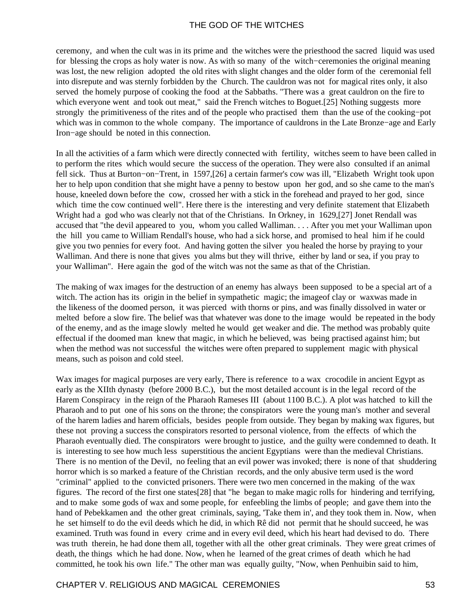ceremony, and when the cult was in its prime and the witches were the priesthood the sacred liquid was used for blessing the crops as holy water is now. As with so many of the witch−ceremonies the original meaning was lost, the new religion adopted the old rites with slight changes and the older form of the ceremonial fell into disrepute and was sternly forbidden by the Church. The cauldron was not for magical rites only, it also served the homely purpose of cooking the food at the Sabbaths. "There was a great cauldron on the fire to which everyone went and took out meat," said the French witches to Boguet.[25] Nothing suggests more strongly the primitiveness of the rites and of the people who practised them than the use of the cooking−pot which was in common to the whole company. The importance of cauldrons in the Late Bronze−age and Early Iron−age should be noted in this connection.

In all the activities of a farm which were directly connected with fertility, witches seem to have been called in to perform the rites which would secure the success of the operation. They were also consulted if an animal fell sick. Thus at Burton−on−Trent, in 1597,[26] a certain farmer's cow was ill, "Elizabeth Wright took upon her to help upon condition that she might have a penny to bestow upon her god, and so she came to the man's house, kneeled down before the cow, crossed her with a stick in the forehead and prayed to her god, since which time the cow continued well". Here there is the interesting and very definite statement that Elizabeth Wright had a god who was clearly not that of the Christians. In Orkney, in 1629,[27] Jonet Rendall was accused that "the devil appeared to you, whom you called Walliman. . . . After you met your Walliman upon the hill you came to William Rendall's house, who had a sick horse, and promised to heal him if he could give you two pennies for every foot. And having gotten the silver you healed the horse by praying to your Walliman. And there is none that gives you alms but they will thrive, either by land or sea, if you pray to your Walliman". Here again the god of the witch was not the same as that of the Christian.

The making of wax images for the destruction of an enemy has always been supposed to be a special art of a witch. The action has its origin in the belief in sympathetic magic; the image of clay or wax was made in the likeness of the doomed person, it was pierced with thorns or pins, and was finally dissolved in water or melted before a slow fire. The belief was that whatever was done to the image would be repeated in the body of the enemy, and as the image slowly melted he would get weaker and die. The method was probably quite effectual if the doomed man knew that magic, in which he believed, was being practised against him; but when the method was not successful the witches were often prepared to supplement magic with physical means, such as poison and cold steel.

Wax images for magical purposes are very early, There is reference to a wax crocodile in ancient Egypt as early as the XIIth dynasty (before 2000 B.C.), but the most detailed account is in the legal record of the Harem Conspiracy in the reign of the Pharaoh Rameses III (about 1100 B.C.). A plot was hatched to kill the Pharaoh and to put one of his sons on the throne; the conspirators were the young man's mother and several of the harem ladies and harem officials, besides people from outside. They began by making wax figures, but these not proving a success the conspirators resorted to personal violence, from the effects of which the Pharaoh eventually died. The conspirators were brought to justice, and the guilty were condemned to death. It is interesting to see how much less superstitious the ancient Egyptians were than the medieval Christians. There is no mention of the Devil, no feeling that an evil power was invoked; there is none of that shuddering horror which is so marked a feature of the Christian records, and the only abusive term used is the word "criminal" applied to the convicted prisoners. There were two men concerned in the making of the wax figures. The record of the first one states[28] that "he began to make magic rolls for hindering and terrifying, and to make some gods of wax and some people, for enfeebling the limbs of people; and gave them into the hand of Pebekkamen and the other great criminals, saying, 'Take them in', and they took them in. Now, when he set himself to do the evil deeds which he did, in which Rê did not permit that he should succeed, he was examined. Truth was found in every crime and in every evil deed, which his heart had devised to do. There was truth therein, he had done them all, together with all the other great criminals. They were great crimes of death, the things which he had done. Now, when he learned of the great crimes of death which he had committed, he took his own life." The other man was equally guilty, "Now, when Penhuibin said to him,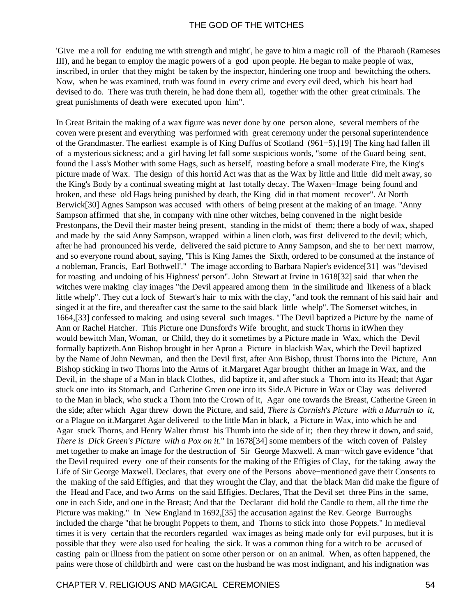'Give me a roll for enduing me with strength and might', he gave to him a magic roll of the Pharaoh (Rameses III), and he began to employ the magic powers of a god upon people. He began to make people of wax, inscribed, in order that they might be taken by the inspector, hindering one troop and bewitching the others. Now, when he was examined, truth was found in every crime and every evil deed, which his heart had devised to do. There was truth therein, he had done them all, together with the other great criminals. The great punishments of death were executed upon him".

In Great Britain the making of a wax figure was never done by one person alone, several members of the coven were present and everything was performed with great ceremony under the personal superintendence of the Grandmaster. The earliest example is of King Duffus of Scotland (961−5).[19] The king had fallen ill of a mysterious sickness; and a girl having let fall some suspicious words, "some of the Guard being sent, found the Lass's Mother with some Hags, such as herself, roasting before a small moderate Fire, the King's picture made of Wax. The design of this horrid Act was that as the Wax by little and little did melt away, so the King's Body by a continual sweating might at last totally decay. The Waxen−Image being found and broken, and these old Hags being punished by death, the King did in that moment recover". At North Berwick[30] Agnes Sampson was accused with others of being present at the making of an image. "Anny Sampson affirmed that she, in company with nine other witches, being convened in the night beside Prestonpans, the Devil their master being present, standing in the midst of them; there a body of wax, shaped and made by the said Anny Sampson, wrapped within a linen cloth, was first delivered to the devil; which, after he had pronounced his verde, delivered the said picture to Anny Sampson, and she to her next marrow, and so everyone round about, saying, 'This is King James the Sixth, ordered to be consumed at the instance of a nobleman, Francis, Earl Bothwell'." The image according to Barbara Napier's evidence[31] was "devised for roasting and undoing of his Highness' person". John Stewart at Irvine in 1618[32] said that when the witches were making clay images "the Devil appeared among them in the similitude and likeness of a black little whelp". They cut a lock of Stewart's hair to mix with the clay, "and took the remnant of his said hair and singed it at the fire, and thereafter cast the same to the said black little whelp". The Somerset witches, in 1664,[33] confessed to making and using several such images. "The Devil baptized a Picture by the name of Ann or Rachel Hatcher. This Picture one Dunsford's Wife brought, and stuck Thorns in it When they would bewitch Man, Woman, or Child, they do it sometimes by a Picture made in Wax, which the Devil formally baptizeth. Ann Bishop brought in her Apron a Picture in blackish Wax, which the Devil baptized by the Name of John Newman, and then the Devil first, after Ann Bishop, thrust Thorns into the Picture, Ann Bishop sticking in two Thorns into the Arms of it. Margaret Agar brought thither an Image in Wax, and the Devil, in the shape of a Man in black Clothes, did baptize it, and after stuck a Thorn into its Head; that Agar stuck one into its Stomach, and Catherine Green one into its Side. A Picture in Wax or Clay was delivered to the Man in black, who stuck a Thorn into the Crown of it, Agar one towards the Breast, Catherine Green in the side; after which Agar threw down the Picture, and said, *There is Cornish's Picture with a Murrain to it*, or a Plague on it.Margaret Agar delivered to the little Man in black, a Picture in Wax, into which he and Agar stuck Thorns, and Henry Walter thrust his Thumb into the side of it; then they threw it down, and said, *There is Dick Green's Picture with a Pox on it.*" In 1678[34] some members of the witch coven of Paisley met together to make an image for the destruction of Sir George Maxwell. A man−witch gave evidence "that the Devil required every one of their consents for the making of the Effigies of Clay, for the taking away the Life of Sir George Maxwell. Declares, that every one of the Persons above−mentioned gave their Consents to the making of the said Effigies, and that they wrought the Clay, and that the black Man did make the figure of the Head and Face, and two Arms on the said Effigies. Declares, That the Devil set three Pins in the same, one in each Side, and one in the Breast; And that the Declarant did hold the Candle to them, all the time the Picture was making." In New England in 1692,[35] the accusation against the Rev. George Burroughs included the charge "that he brought Poppets to them, and Thorns to stick into those Poppets." In medieval times it is very certain that the recorders regarded wax images as being made only for evil purposes, but it is possible that they were also used for healing the sick. It was a common thing for a witch to be accused of casting pain or illness from the patient on some other person or on an animal. When, as often happened, the pains were those of childbirth and were cast on the husband he was most indignant, and his indignation was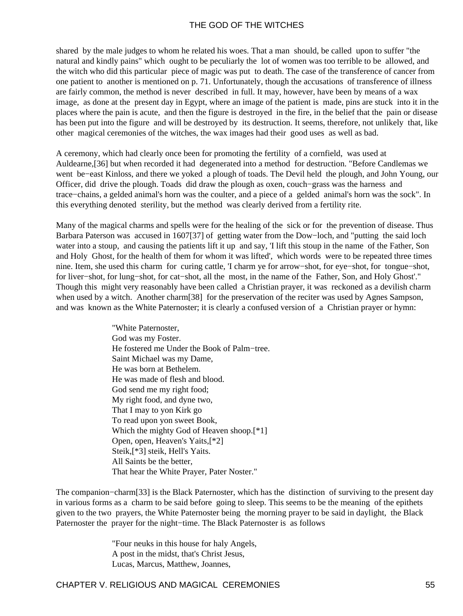shared by the male judges to whom he related his woes. That a man should, be called upon to suffer "the natural and kindly pains" which ought to be peculiarly the lot of women was too terrible to be allowed, and the witch who did this particular piece of magic was put to death. The case of the transference of cancer from one patient to another is mentioned on p. 71. Unfortunately, though the accusations of transference of illness are fairly common, the method is never described in full. It may, however, have been by means of a wax image, as done at the present day in Egypt, where an image of the patient is made, pins are stuck into it in the places where the pain is acute, and then the figure is destroyed in the fire, in the belief that the pain or disease has been put into the figure and will be destroyed by its destruction. It seems, therefore, not unlikely that, like other magical ceremonies of the witches, the wax images had their good uses as well as bad.

A ceremony, which had clearly once been for promoting the fertility of a cornfield, was used at Auldearne,[36] but when recorded it had degenerated into a method for destruction. "Before Candlemas we went be−east Kinloss, and there we yoked a plough of toads. The Devil held the plough, and John Young, our Officer, did drive the plough. Toads did draw the plough as oxen, couch−grass was the harness and trace−chains, a gelded animal's horn was the coulter, and a piece of a gelded animal's horn was the sock". In this everything denoted sterility, but the method was clearly derived from a fertility rite.

Many of the magical charms and spells were for the healing of the sick or for the prevention of disease. Thus Barbara Paterson was accused in 1607[37] of getting water from the Dow−loch, and "putting the said loch water into a stoup, and causing the patients lift it up and say, 'I lift this stoup in the name of the Father, Son and Holy Ghost, for the health of them for whom it was lifted', which words were to be repeated three times nine. Item, she used this charm for curing cattle, 'I charm ye for arrow−shot, for eye−shot, for tongue−shot, for liver−shot, for lung−shot, for cat−shot, all the most, in the name of the Father, Son, and Holy Ghost'." Though this might very reasonably have been called a Christian prayer, it was reckoned as a devilish charm when used by a witch. Another charm<sup>[38]</sup> for the preservation of the reciter was used by Agnes Sampson, and was known as the White Paternoster; it is clearly a confused version of a Christian prayer or hymn:

> "White Paternoster, God was my Foster. He fostered me Under the Book of Palm−tree. Saint Michael was my Dame, He was born at Bethelem. He was made of flesh and blood. God send me my right food; My right food, and dyne two, That I may to yon Kirk go To read upon yon sweet Book, Which the mighty God of Heaven shoop.[\*1] Open, open, Heaven's Yaits,[\*2] Steik,[\*3] steik, Hell's Yaits. All Saints be the better, That hear the White Prayer, Pater Noster."

The companion–charm[33] is the Black Paternoster, which has the distinction of surviving to the present day in various forms as a charm to be said before going to sleep. This seems to be the meaning of the epithets given to the two prayers, the White Paternoster being the morning prayer to be said in daylight, the Black Paternoster the prayer for the night−time. The Black Paternoster is as follows

> "Four neuks in this house for haly Angels, A post in the midst, that's Christ Jesus, Lucas, Marcus, Matthew, Joannes,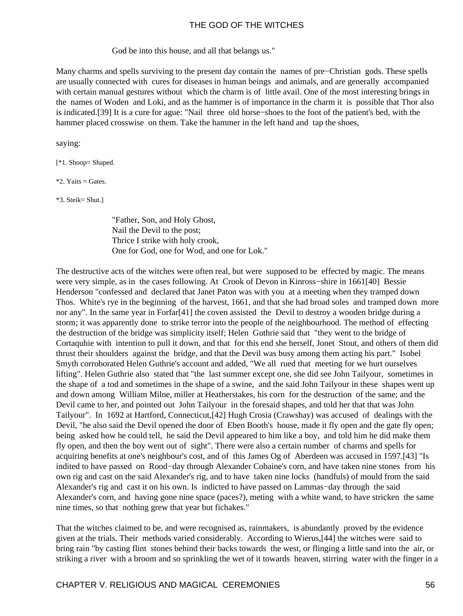#### God be into this house, and all that belangs us."

Many charms and spells surviving to the present day contain the names of pre−Christian gods. These spells are usually connected with cures for diseases in human beings and animals, and are generally accompanied with certain manual gestures without which the charm is of little avail. One of the most interesting brings in the names of Woden and Loki, and as the hammer is of importance in the charm it is possible that Thor also is indicated.[39] It is a cure for ague: "Nail three old horse−shoes to the foot of the patient's bed, with the hammer placed crosswise on them. Take the hammer in the left hand and tap the shoes,

saying:

[\*1. Shoop= Shaped.

 $*2$ . Yaits = Gates.

\*3. Steik= Shut.]

"Father, Son, and Holy Ghost, Nail the Devil to the post; Thrice I strike with holy crook, One for God, one for Wod, and one for Lok."

The destructive acts of the witches were often real, but were supposed to be effected by magic. The means were very simple, as in the cases following. At Crook of Devon in Kinross−shire in 1661[40] Bessie Henderson "confessed and declared that Janet Paton was with you at a meeting when they tramped down Thos. White's rye in the beginning of the harvest, 1661, and that she had broad soles and tramped down more nor any". In the same year in Forfar[41] the coven assisted the Devil to destroy a wooden bridge during a storm; it was apparently done to strike terror into the people of the neighbourhood. The method of effecting the destruction of the bridge was simplicity itself; Helen Guthrie said that "they went to the bridge of Cortaquhie with intention to pull it down, and that for this end she herself, Jonet Stout, and others of them did thrust their shoulders against the bridge, and that the Devil was busy among them acting his part." Isobel Smyth corroborated Helen Guthrie's account and added, "We all rued that meeting for we hurt ourselves lifting". Helen Guthrie also stated that "the last summer except one, she did see John Tailyour, sometimes in the shape of a tod and sometimes in the shape of a swine, and the said John Tailyour in these shapes went up and down among William Milne, miller at Heatherstakes, his corn for the destruction of the same; and the Devil came to her, and pointed out John Tailyour in the foresaid shapes, and told her that that was John Tailyour". In 1692 at Hartford, Connecticut,[42] Hugh Crosia (Crawshay) was accused of dealings with the Devil, "he also said the Devil opened the door of Eben Booth's house, made it fly open and the gate fly open; being asked how he could tell, he said the Devil appeared to him like a boy, and told him he did make them fly open, and then the boy went out of sight". There were also a certain number of charms and spells for acquiring benefits at one's neighbour's cost, and of this James Og of Aberdeen was accused in 1597.[43] "Is indited to have passed on Rood−day through Alexander Cobaine's corn, and have taken nine stones from his own rig and cast on the said Alexander's rig, and to have taken nine locks (handfuls) of mould from the said Alexander's rig and cast it on his own. Is indicted to have passed on Lammas−day through the said Alexander's corn, and having gone nine space (paces?), meting with a white wand, to have stricken the same nine times, so that nothing grew that year but fichakes."

That the witches claimed to be, and were recognised as, rainmakers, is abundantly proved by the evidence given at the trials. Their methods varied considerably. According to Wierus,[44] the witches were said to bring rain "by casting flint stones behind their backs towards the west, or flinging a little sand into the air, or striking a river with a broom and so sprinkling the wet of it towards heaven, stirring water with the finger in a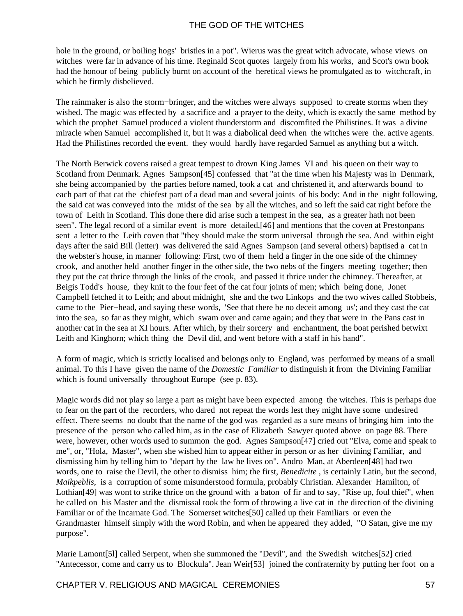hole in the ground, or boiling hogs' bristles in a pot". Wierus was the great witch advocate, whose views on witches were far in advance of his time. Reginald Scot quotes largely from his works, and Scot's own book had the honour of being publicly burnt on account of the heretical views he promulgated as to witchcraft, in which he firmly disbelieved.

The rainmaker is also the storm−bringer, and the witches were always supposed to create storms when they wished. The magic was effected by a sacrifice and a prayer to the deity, which is exactly the same method by which the prophet Samuel produced a violent thunderstorm and discomfited the Philistines. It was a divine miracle when Samuel accomplished it, but it was a diabolical deed when the witches were the. active agents. Had the Philistines recorded the event. they would hardly have regarded Samuel as anything but a witch.

The North Berwick covens raised a great tempest to drown King James VI and his queen on their way to Scotland from Denmark. Agnes Sampson[45] confessed that "at the time when his Majesty was in Denmark, she being accompanied by the parties before named, took a cat and christened it, and afterwards bound to each part of that cat the chiefest part of a dead man and several joints of his body: And in the night following, the said cat was conveyed into the midst of the sea by all the witches, and so left the said cat right before the town of Leith in Scotland. This done there did arise such a tempest in the sea, as a greater hath not been seen". The legal record of a similar event is more detailed,[46] and mentions that the coven at Prestonpans sent a letter to the Leith coven that "they should make the storm universal through the sea. And within eight days after the said Bill (letter) was delivered the said Agnes Sampson (and several others) baptised a cat in the webster's house, in manner following: First, two of them held a finger in the one side of the chimney crook, and another held another finger in the other side, the two nebs of the fingers meeting together; then they put the cat thrice through the links of the crook, and passed it thrice under the chimney. Thereafter, at Beigis Todd's house, they knit to the four feet of the cat four joints of men; which being done, Jonet Campbell fetched it to Leith; and about midnight, she and the two Linkops and the two wives called Stobbeis, came to the Pier−head, and saying these words, 'See that there be no deceit among us'; and they cast the cat into the sea, so far as they might, which swam over and came again; and they that were in the Pans cast in another cat in the sea at XI hours. After which, by their sorcery and enchantment, the boat perished betwixt Leith and Kinghorn; which thing the Devil did, and went before with a staff in his hand".

A form of magic, which is strictly localised and belongs only to England, was performed by means of a small animal. To this I have given the name of the *Domestic Familiar* to distinguish it from the Divining Familiar which is found universally throughout Europe (see p. 83).

Magic words did not play so large a part as might have been expected among the witches. This is perhaps due to fear on the part of the recorders, who dared not repeat the words lest they might have some undesired effect. There seems no doubt that the name of the god was regarded as a sure means of bringing him into the presence of the person who called him, as in the case of Elizabeth Sawyer quoted above on page 88. There were, however, other words used to summon the god. Agnes Sampson[47] cried out "Elva, come and speak to me", or, "Hola, Master", when she wished him to appear either in person or as her divining Familiar, and dismissing him by telling him to "depart by the law he lives on". Andro Man, at Aberdeen[48] had two words, one to raise the Devil, the other to dismiss him; the first, *Benedicite* , is certainly Latin, but the second, *Maikpeblis*, is a corruption of some misunderstood formula, probably Christian. Alexander Hamilton, of Lothian<sup>[49]</sup> was wont to strike thrice on the ground with a baton of fir and to say, "Rise up, foul thief", when he called on his Master and the dismissal took the form of throwing a live cat in the direction of the divining Familiar or of the Incarnate God. The Somerset witches[50] called up their Familiars or even the Grandmaster himself simply with the word Robin, and when he appeared they added, "O Satan, give me my purpose".

Marie Lamont[5l] called Serpent, when she summoned the "Devil", and the Swedish witches[52] cried "Antecessor, come and carry us to Blockula". Jean Weir[53] joined the confraternity by putting her foot on a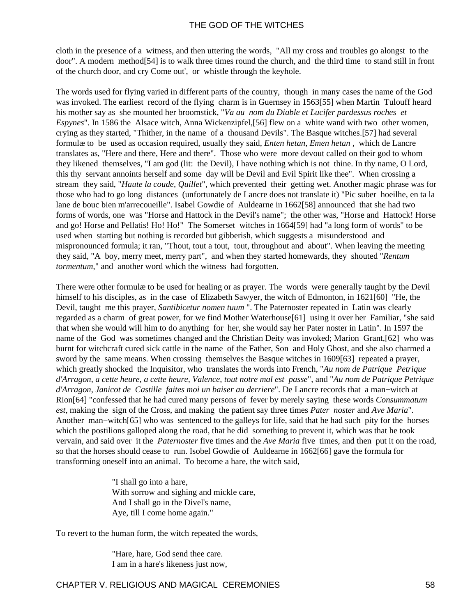cloth in the presence of a witness, and then uttering the words, "All my cross and troubles go alongst to the door". A modern method[54] is to walk three times round the church, and the third time to stand still in front of the church door, and cry Come out', or whistle through the keyhole.

The words used for flying varied in different parts of the country, though in many cases the name of the God was invoked. The earliest record of the flying charm is in Guernsey in 1563[55] when Martin Tulouff heard his mother say as she mounted her broomstick, "*Va au nom du Diable et Lucifer pardessus roches et Espynes*". In 1586 the Alsace witch, Anna Wickenzipfel,[56] flew on a white wand with two other women, crying as they started, "Thither, in the name of a thousand Devils". The Basque witches.[57] had several formulæ to be used as occasion required, usually they said, *Enten hetan, Emen hetan* , which de Lancre translates as, "Here and there, Here and there". Those who were more devout called on their god to whom they likened themselves, "I am god (lit: the Devil), I have nothing which is not thine. In thy name, O Lord, this thy servant annoints herself and some day will be Devil and Evil Spirit like thee". When crossing a stream they said, "*Haute la coude, Quillet*", which prevented their getting wet. Another magic phrase was for those who had to go long distances (unfortunately de Lancre does not translate it) "Pic suber hoeilhe, en ta la lane de bouc bien m'arrecoueille". Isabel Gowdie of Auldearne in 1662[58] announced that she had two forms of words, one was "Horse and Hattock in the Devil's name"; the other was, "Horse and Hattock! Horse and go! Horse and Pellatis! Ho! Ho!" The Somerset witches in 1664[59] had "a long form of words" to be used when starting but nothing is recorded but gibberish, which suggests a misunderstood and mispronounced formula; it ran, "Thout, tout a tout, tout, throughout and about". When leaving the meeting they said, "A boy, merry meet, merry part", and when they started homewards, they shouted "*Rentum tormentum*," and another word which the witness had forgotten.

There were other formulæ to be used for healing or as prayer. The words were generally taught by the Devil himself to his disciples, as in the case of Elizabeth Sawyer, the witch of Edmonton, in 1621[60] "He, the Devil, taught me this prayer, *Santibicetur nomen tuum* ". The Paternoster repeated in Latin was clearly regarded as a charm of great power, for we find Mother Waterhouse[61] using it over her Familiar, "she said that when she would will him to do anything for her, she would say her Pater noster in Latin". In 1597 the name of the God was sometimes changed and the Christian Deity was invoked; Marion Grant,[62] who was burnt for witchcraft cured sick cattle in the name of the Father, Son and Holy Ghost, and she also charmed a sword by the same means. When crossing themselves the Basque witches in 1609[63] repeated a prayer, which greatly shocked the Inquisitor, who translates the words into French, "*Au nom de Patrique Petrique d'Arragon, a cette heure, a cette heure, Valence, tout notre mal est passe*", and "*Au nom de Patrique Petrique d'Arragon, Janicot de Castille faites moi un baiser au derriere*". De Lancre records that a man−witch at Rion[64] "confessed that he had cured many persons of fever by merely saying these words *Consummatum est*, making the sign of the Cross, and making the patient say three times *Pater noster* and *Ave Maria*". Another man−witch[65] who was sentenced to the galleys for life, said that he had such pity for the horses which the postilions galloped along the road, that he did something to prevent it, which was that he took vervain, and said over it the *Paternoster* five times and the *Ave Maria* five times, and then put it on the road, so that the horses should cease to run. Isobel Gowdie of Auldearne in 1662[66] gave the formula for transforming oneself into an animal. To become a hare, the witch said,

> "I shall go into a hare, With sorrow and sighing and mickle care, And I shall go in the Divel's name, Aye, till I come home again."

To revert to the human form, the witch repeated the words,

"Hare, hare, God send thee care. I am in a hare's likeness just now,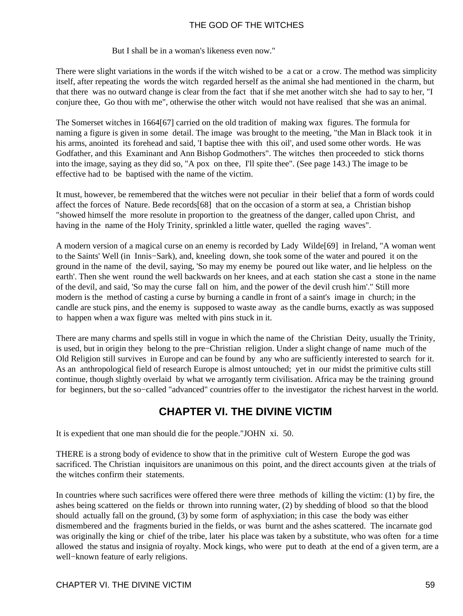#### But I shall be in a woman's likeness even now."

There were slight variations in the words if the witch wished to be a cat or a crow. The method was simplicity itself, after repeating the words the witch regarded herself as the animal she had mentioned in the charm, but that there was no outward change is clear from the fact that if she met another witch she had to say to her, "I conjure thee, Go thou with me", otherwise the other witch would not have realised that she was an animal.

The Somerset witches in 1664[67] carried on the old tradition of making wax figures. The formula for naming a figure is given in some detail. The image was brought to the meeting, "the Man in Black took it in his arms, anointed its forehead and said, 'I baptise thee with this oil', and used some other words. He was Godfather, and this Examinant and Ann Bishop Godmothers". The witches then proceeded to stick thorns into the image, saying as they did so, "A pox on thee, I'll spite thee". (See page 143.) The image to be effective had to be baptised with the name of the victim.

It must, however, be remembered that the witches were not peculiar in their belief that a form of words could affect the forces of Nature. Bede records[68] that on the occasion of a storm at sea, a Christian bishop "showed himself the more resolute in proportion to the greatness of the danger, called upon Christ, and having in the name of the Holy Trinity, sprinkled a little water, quelled the raging waves".

A modern version of a magical curse on an enemy is recorded by Lady Wilde[69] in Ireland, "A woman went to the Saints' Well (in Innis−Sark), and, kneeling down, she took some of the water and poured it on the ground in the name of the devil, saying, 'So may my enemy be poured out like water, and lie helpless on the earth'. Then she went round the well backwards on her knees, and at each station she cast a stone in the name of the devil, and said, 'So may the curse fall on him, and the power of the devil crush him'." Still more modern is the method of casting a curse by burning a candle in front of a saint's image in church; in the candle are stuck pins, and the enemy is supposed to waste away as the candle burns, exactly as was supposed to happen when a wax figure was melted with pins stuck in it.

There are many charms and spells still in vogue in which the name of the Christian Deity, usually the Trinity, is used, but in origin they belong to the pre−Christian religion. Under a slight change of name much of the Old Religion still survives in Europe and can be found by any who are sufficiently interested to search for it. As an anthropological field of research Europe is almost untouched; yet in our midst the primitive cults still continue, though slightly overlaid by what we arrogantly term civilisation. Africa may be the training ground for beginners, but the so−called "advanced" countries offer to the investigator the richest harvest in the world.

## **CHAPTER VI. THE DIVINE VICTIM**

It is expedient that one man should die for the people." JOHN xi. 50.

THERE is a strong body of evidence to show that in the primitive cult of Western Europe the god was sacrificed. The Christian inquisitors are unanimous on this point, and the direct accounts given at the trials of the witches confirm their statements.

In countries where such sacrifices were offered there were three methods of killing the victim: (1) by fire, the ashes being scattered on the fields or thrown into running water, (2) by shedding of blood so that the blood should actually fall on the ground, (3) by some form of asphyxiation; in this case the body was either dismembered and the fragments buried in the fields, or was burnt and the ashes scattered. The incarnate god was originally the king or chief of the tribe, later his place was taken by a substitute, who was often for a time allowed the status and insignia of royalty. Mock kings, who were put to death at the end of a given term, are a well−known feature of early religions.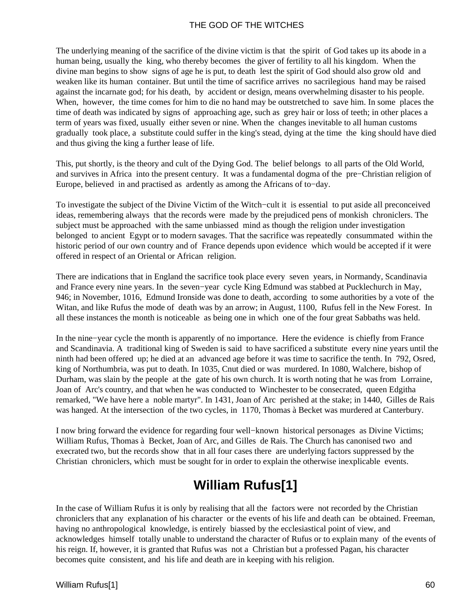The underlying meaning of the sacrifice of the divine victim is that the spirit of God takes up its abode in a human being, usually the king, who thereby becomes the giver of fertility to all his kingdom. When the divine man begins to show signs of age he is put, to death lest the spirit of God should also grow old and weaken like its human container. But until the time of sacrifice arrives no sacrilegious hand may be raised against the incarnate god; for his death, by accident or design, means overwhelming disaster to his people. When, however, the time comes for him to die no hand may be outstretched to save him. In some places the time of death was indicated by signs of approaching age, such as grey hair or loss of teeth; in other places a term of years was fixed, usually either seven or nine. When the changes inevitable to all human customs gradually took place, a substitute could suffer in the king's stead, dying at the time the king should have died and thus giving the king a further lease of life.

This, put shortly, is the theory and cult of the Dying God. The belief belongs to all parts of the Old World, and survives in Africa into the present century. It was a fundamental dogma of the pre−Christian religion of Europe, believed in and practised as ardently as among the Africans of to−day.

To investigate the subject of the Divine Victim of the Witch−cult it is essential to put aside all preconceived ideas, remembering always that the records were made by the prejudiced pens of monkish chroniclers. The subject must be approached with the same unbiassed mind as though the religion under investigation belonged to ancient Egypt or to modern savages. That the sacrifice was repeatedly consummated within the historic period of our own country and of France depends upon evidence which would be accepted if it were offered in respect of an Oriental or African religion.

There are indications that in England the sacrifice took place every seven years, in Normandy, Scandinavia and France every nine years. In the seven−year cycle King Edmund was stabbed at Pucklechurch in May, 946; in November, 1016, Edmund Ironside was done to death, according to some authorities by a vote of the Witan, and like Rufus the mode of death was by an arrow; in August, 1100, Rufus fell in the New Forest. In all these instances the month is noticeable as being one in which one of the four great Sabbaths was held.

In the nine−year cycle the month is apparently of no importance. Here the evidence is chiefly from France and Scandinavia. A traditional king of Sweden is said to have sacrificed a substitute every nine years until the ninth had been offered up; he died at an advanced age before it was time to sacrifice the tenth. In 792, Osred, king of Northumbria, was put to death. In 1035, Cnut died or was murdered. In 1080, Walchere, bishop of Durham, was slain by the people at the gate of his own church. It is worth noting that he was from Lorraine, Joan of Arc's country, and that when he was conducted to Winchester to be consecrated, queen Edgitha remarked, "We have here a noble martyr". In 1431, Joan of Arc perished at the stake; in 1440, Gilles de Rais was hanged. At the intersection of the two cycles, in 1170, Thomas à Becket was murdered at Canterbury.

I now bring forward the evidence for regarding four well−known historical personages as Divine Victims; William Rufus, Thomas à Becket, Joan of Arc, and Gilles de Rais. The Church has canonised two and execrated two, but the records show that in all four cases there are underlying factors suppressed by the Christian chroniclers, which must be sought for in order to explain the otherwise inexplicable events.

# **William Rufus[1]**

In the case of William Rufus it is only by realising that all the factors were not recorded by the Christian chroniclers that any explanation of his character or the events of his life and death can be obtained. Freeman, having no anthropological knowledge, is entirely biassed by the ecclesiastical point of view, and acknowledges himself totally unable to understand the character of Rufus or to explain many of the events of his reign. If, however, it is granted that Rufus was not a Christian but a professed Pagan, his character becomes quite consistent, and his life and death are in keeping with his religion.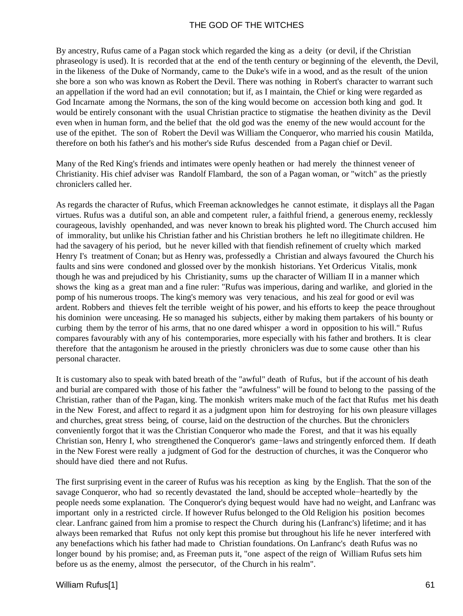By ancestry, Rufus came of a Pagan stock which regarded the king as a deity (or devil, if the Christian phraseology is used). It is recorded that at the end of the tenth century or beginning of the eleventh, the Devil, in the likeness of the Duke of Normandy, came to the Duke's wife in a wood, and as the result of the union she bore a son who was known as Robert the Devil. There was nothing in Robert's character to warrant such an appellation if the word had an evil connotation; but if, as I maintain, the Chief or king were regarded as God Incarnate among the Normans, the son of the king would become on accession both king and god. It would be entirely consonant with the usual Christian practice to stigmatise the heathen divinity as the Devil even when in human form, and the belief that the old god was the enemy of the new would account for the use of the epithet. The son of Robert the Devil was William the Conqueror, who married his cousin Matilda, therefore on both his father's and his mother's side Rufus descended from a Pagan chief or Devil.

Many of the Red King's friends and intimates were openly heathen or had merely the thinnest veneer of Christianity. His chief adviser was Randolf Flambard, the son of a Pagan woman, or "witch" as the priestly chroniclers called her.

As regards the character of Rufus, which Freeman acknowledges he cannot estimate, it displays all the Pagan virtues. Rufus was a dutiful son, an able and competent ruler, a faithful friend, a generous enemy, recklessly courageous, lavishly openhanded, and was never known to break his plighted word. The Church accused him of immorality, but unlike his Christian father and his Christian brothers he left no illegitimate children. He had the savagery of his period, but he never killed with that fiendish refinement of cruelty which marked Henry I's treatment of Conan; but as Henry was, professedly a Christian and always favoured the Church his faults and sins were condoned and glossed over by the monkish historians. Yet Ordericus Vitalis, monk though he was and prejudiced by his Christianity, sums up the character of William II in a manner which shows the king as a great man and a fine ruler: "Rufus was imperious, daring and warlike, and gloried in the pomp of his numerous troops. The king's memory was very tenacious, and his zeal for good or evil was ardent. Robbers and thieves felt the terrible weight of his power, and his efforts to keep the peace throughout his dominion were unceasing. He so managed his subjects, either by making them partakers of his bounty or curbing them by the terror of his arms, that no one dared whisper a word in opposition to his will." Rufus compares favourably with any of his contemporaries, more especially with his father and brothers. It is clear therefore that the antagonism he aroused in the priestly chroniclers was due to some cause other than his personal character.

It is customary also to speak with bated breath of the "awful" death of Rufus, but if the account of his death and burial are compared with those of his father the "awfulness" will be found to belong to the passing of the Christian, rather than of the Pagan, king. The monkish writers make much of the fact that Rufus met his death in the New Forest, and affect to regard it as a judgment upon him for destroying for his own pleasure villages and churches, great stress being, of course, laid on the destruction of the churches. But the chroniclers conveniently forgot that it was the Christian Conqueror who made the Forest, and that it was his equally Christian son, Henry I, who strengthened the Conqueror's game−laws and stringently enforced them. If death in the New Forest were really a judgment of God for the destruction of churches, it was the Conqueror who should have died there and not Rufus.

The first surprising event in the career of Rufus was his reception as king by the English. That the son of the savage Conqueror, who had so recently devastated the land, should be accepted whole−heartedly by the people needs some explanation. The Conqueror's dying bequest would have had no weight, and Lanfranc was important only in a restricted circle. If however Rufus belonged to the Old Religion his position becomes clear. Lanfranc gained from him a promise to respect the Church during his (Lanfranc's) lifetime; and it has always been remarked that Rufus not only kept this promise but throughout his life he never interfered with any benefactions which his father had made to Christian foundations. On Lanfranc's death Rufus was no longer bound by his promise; and, as Freeman puts it, "one aspect of the reign of William Rufus sets him before us as the enemy, almost the persecutor, of the Church in his realm".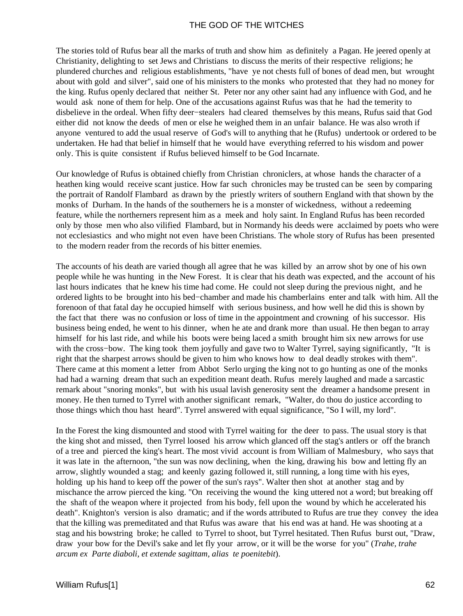The stories told of Rufus bear all the marks of truth and show him as definitely a Pagan. He jeered openly at Christianity, delighting to set Jews and Christians to discuss the merits of their respective religions; he plundered churches and religious establishments, "have ye not chests full of bones of dead men, but wrought about with gold and silver", said one of his ministers to the monks who protested that they had no money for the king. Rufus openly declared that neither St. Peter nor any other saint had any influence with God, and he would ask none of them for help. One of the accusations against Rufus was that he had the temerity to disbelieve in the ordeal. When fifty deer−stealers had cleared themselves by this means, Rufus said that God either did not know the deeds of men or else he weighed them in an unfair balance. He was also wroth if anyone ventured to add the usual reserve of God's will to anything that he (Rufus) undertook or ordered to be undertaken. He had that belief in himself that he would have everything referred to his wisdom and power only. This is quite consistent if Rufus believed himself to be God Incarnate.

Our knowledge of Rufus is obtained chiefly from Christian chroniclers, at whose hands the character of a heathen king would receive scant justice. How far such chronicles may be trusted can be seen by comparing the portrait of Randolf Flambard as drawn by the priestly writers of southern England with that shown by the monks of Durham. In the hands of the southerners he is a monster of wickedness, without a redeeming feature, while the northerners represent him as a meek and holy saint. In England Rufus has been recorded only by those men who also vilified Flambard, but in Normandy his deeds were acclaimed by poets who were not ecclesiastics and who might not even have been Christians. The whole story of Rufus has been presented to the modern reader from the records of his bitter enemies.

The accounts of his death are varied though all agree that he was killed by an arrow shot by one of his own people while he was hunting in the New Forest. It is clear that his death was expected, and the account of his last hours indicates that he knew his time had come. He could not sleep during the previous night, and he ordered lights to be brought into his bed−chamber and made his chamberlains enter and talk with him. All the forenoon of that fatal day he occupied himself with serious business, and how well he did this is shown by the fact that there was no confusion or loss of time in the appointment and crowning of his successor. His business being ended, he went to his dinner, when he ate and drank more than usual. He then began to array himself for his last ride, and while his boots were being laced a smith brought him six new arrows for use with the cross–bow. The king took them joyfully and gave two to Walter Tyrrel, saying significantly, "It is right that the sharpest arrows should be given to him who knows how to deal deadly strokes with them". There came at this moment a letter from Abbot Serlo urging the king not to go hunting as one of the monks had had a warning dream that such an expedition meant death. Rufus merely laughed and made a sarcastic remark about "snoring monks", but with his usual lavish generosity sent the dreamer a handsome present in money. He then turned to Tyrrel with another significant remark, "Walter, do thou do justice according to those things which thou hast heard". Tyrrel answered with equal significance, "So I will, my lord".

In the Forest the king dismounted and stood with Tyrrel waiting for the deer to pass. The usual story is that the king shot and missed, then Tyrrel loosed his arrow which glanced off the stag's antlers or off the branch of a tree and pierced the king's heart. The most vivid account is from William of Malmesbury, who says that it was late in the afternoon, "the sun was now declining, when the king, drawing his bow and letting fly an arrow, slightly wounded a stag; and keenly gazing followed it, still running, a long time with his eyes, holding up his hand to keep off the power of the sun's rays". Walter then shot at another stag and by mischance the arrow pierced the king. "On receiving the wound the king uttered not a word; but breaking off the shaft of the weapon where it projected from his body, fell upon the wound by which he accelerated his death". Knighton's version is also dramatic; and if the words attributed to Rufus are true they convey the idea that the killing was premeditated and that Rufus was aware that his end was at hand. He was shooting at a stag and his bowstring broke; he called to Tyrrel to shoot, but Tyrrel hesitated. Then Rufus burst out, "Draw, draw your bow for the Devil's sake and let fly your arrow, or it will be the worse for you" (*Trahe, trahe arcum ex Parte diaboli, et extende sagittam, alias te poenitebit*).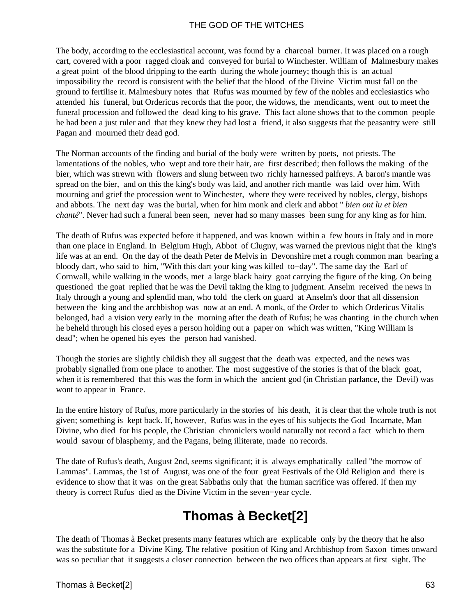The body, according to the ecclesiastical account, was found by a charcoal burner. It was placed on a rough cart, covered with a poor ragged cloak and conveyed for burial to Winchester. William of Malmesbury makes a great point of the blood dripping to the earth during the whole journey; though this is an actual impossibility the record is consistent with the belief that the blood of the Divine Victim must fall on the ground to fertilise it. Malmesbury notes that Rufus was mourned by few of the nobles and ecclesiastics who attended his funeral, but Ordericus records that the poor, the widows, the mendicants, went out to meet the funeral procession and followed the dead king to his grave. This fact alone shows that to the common people he had been a just ruler and that they knew they had lost a friend, it also suggests that the peasantry were still Pagan and mourned their dead god.

The Norman accounts of the finding and burial of the body were written by poets, not priests. The lamentations of the nobles, who wept and tore their hair, are first described; then follows the making of the bier, which was strewn with flowers and slung between two richly harnessed palfreys. A baron's mantle was spread on the bier, and on this the king's body was laid, and another rich mantle was laid over him. With mourning and grief the procession went to Winchester, where they were received by nobles, clergy, bishops and abbots. The next day was the burial, when for him monk and clerk and abbot " *bien ont lu et bien chanté*". Never had such a funeral been seen, never had so many masses been sung for any king as for him.

The death of Rufus was expected before it happened, and was known within a few hours in Italy and in more than one place in England. In Belgium Hugh, Abbot of Clugny, was warned the previous night that the king's life was at an end. On the day of the death Peter de Melvis in Devonshire met a rough common man bearing a bloody dart, who said to him, "With this dart your king was killed to−day". The same day the Earl of Cornwall, while walking in the woods, met a large black hairy goat carrying the figure of the king. On being questioned the goat replied that he was the Devil taking the king to judgment. Anselm received the news in Italy through a young and splendid man, who told the clerk on guard at Anselm's door that all dissension between the king and the archbishop was now at an end. A monk, of the Order to which Ordericus Vitalis belonged, had a vision very early in the morning after the death of Rufus; he was chanting in the church when he beheld through his closed eyes a person holding out a paper on which was written, "King William is dead"; when he opened his eyes the person had vanished.

Though the stories are slightly childish they all suggest that the death was expected, and the news was probably signalled from one place to another. The most suggestive of the stories is that of the black goat, when it is remembered that this was the form in which the ancient god (in Christian parlance, the Devil) was wont to appear in France.

In the entire history of Rufus, more particularly in the stories of his death, it is clear that the whole truth is not given; something is kept back. If, however, Rufus was in the eyes of his subjects the God Incarnate, Man Divine, who died for his people, the Christian chroniclers would naturally not record a fact which to them would savour of blasphemy, and the Pagans, being illiterate, made no records.

The date of Rufus's death, August 2nd, seems significant; it is always emphatically called "the morrow of Lammas". Lammas, the 1st of August, was one of the four great Festivals of the Old Religion and there is evidence to show that it was on the great Sabbaths only that the human sacrifice was offered. If then my theory is correct Rufus died as the Divine Victim in the seven−year cycle.

# **Thomas à Becket[2]**

The death of Thomas à Becket presents many features which are explicable only by the theory that he also was the substitute for a Divine King. The relative position of King and Archbishop from Saxon times onward was so peculiar that it suggests a closer connection between the two offices than appears at first sight. The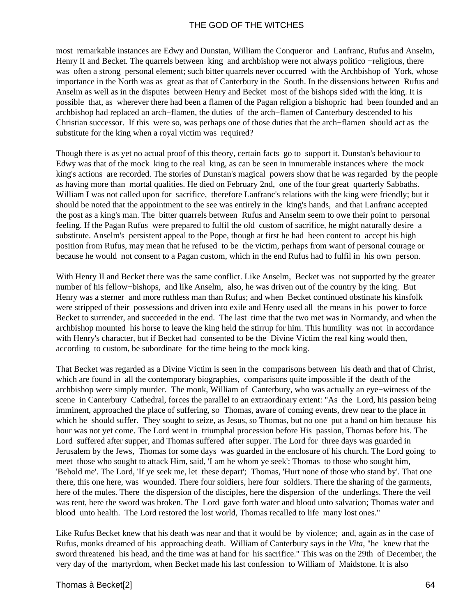most remarkable instances are Edwy and Dunstan, William the Conqueror and Lanfranc, Rufus and Anselm, Henry II and Becket. The quarrels between king and archbishop were not always politico −religious, there was often a strong personal element; such bitter quarrels never occurred with the Archbishop of York, whose importance in the North was as great as that of Canterbury in the South. In the dissensions between Rufus and Anselm as well as in the disputes between Henry and Becket most of the bishops sided with the king. It is possible that, as wherever there had been a flamen of the Pagan religion a bishopric had been founded and an archbishop had replaced an arch−flamen, the duties of the arch−flamen of Canterbury descended to his Christian successor. If this were so, was perhaps one of those duties that the arch−flamen should act as the substitute for the king when a royal victim was required?

Though there is as yet no actual proof of this theory, certain facts go to support it. Dunstan's behaviour to Edwy was that of the mock king to the real king, as can be seen in innumerable instances where the mock king's actions are recorded. The stories of Dunstan's magical powers show that he was regarded by the people as having more than mortal qualities. He died on February 2nd, one of the four great quarterly Sabbaths. William I was not called upon for sacrifice, therefore Lanfranc's relations with the king were friendly; but it should be noted that the appointment to the see was entirely in the king's hands, and that Lanfranc accepted the post as a king's man. The bitter quarrels between Rufus and Anselm seem to owe their point to personal feeling. If the Pagan Rufus were prepared to fulfil the old custom of sacrifice, he might naturally desire a substitute. Anselm's persistent appeal to the Pope, though at first he had been content to accept his high position from Rufus, may mean that he refused to be the victim, perhaps from want of personal courage or because he would not consent to a Pagan custom, which in the end Rufus had to fulfil in his own person.

With Henry II and Becket there was the same conflict. Like Anselm, Becket was not supported by the greater number of his fellow−bishops, and like Anselm, also, he was driven out of the country by the king. But Henry was a sterner and more ruthless man than Rufus; and when Becket continued obstinate his kinsfolk were stripped of their possessions and driven into exile and Henry used all the means in his power to force Becket to surrender, and succeeded in the end. The last time that the two met was in Normandy, and when the archbishop mounted his horse to leave the king held the stirrup for him. This humility was not in accordance with Henry's character, but if Becket had consented to be the Divine Victim the real king would then, according to custom, be subordinate for the time being to the mock king.

That Becket was regarded as a Divine Victim is seen in the comparisons between his death and that of Christ, which are found in all the contemporary biographies, comparisons quite impossible if the death of the archbishop were simply murder. The monk, William of Canterbury, who was actually an eye−witness of the scene in Canterbury Cathedral, forces the parallel to an extraordinary extent: "As the Lord, his passion being imminent, approached the place of suffering, so Thomas, aware of coming events, drew near to the place in which he should suffer. They sought to seize, as Jesus, so Thomas, but no one put a hand on him because his hour was not yet come. The Lord went in triumphal procession before His passion, Thomas before his. The Lord suffered after supper, and Thomas suffered after supper. The Lord for three days was guarded in Jerusalem by the Jews, Thomas for some days was guarded in the enclosure of his church. The Lord going to meet those who sought to attack Him, said, 'I am he whom ye seek': Thomas to those who sought him, 'Behold me'. The Lord, 'If ye seek me, let these depart'; Thomas, 'Hurt none of those who stand by'. That one there, this one here, was wounded. There four soldiers, here four soldiers. There the sharing of the garments, here of the mules. There the dispersion of the disciples, here the dispersion of the underlings. There the veil was rent, here the sword was broken. The Lord gave forth water and blood unto salvation; Thomas water and blood unto health. The Lord restored the lost world, Thomas recalled to life many lost ones."

Like Rufus Becket knew that his death was near and that it would be by violence; and, again as in the case of Rufus, monks dreamed of his approaching death. William of Canterbury says in the *Vita*, "he knew that the sword threatened his head, and the time was at hand for his sacrifice." This was on the 29th of December, the very day of the martyrdom, when Becket made his last confession to William of Maidstone. It is also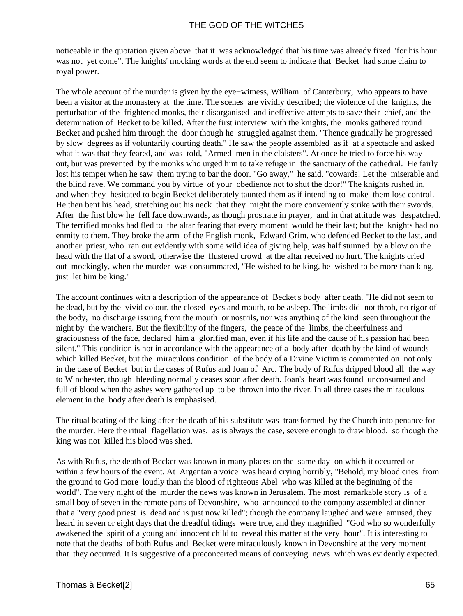noticeable in the quotation given above that it was acknowledged that his time was already fixed "for his hour was not yet come". The knights' mocking words at the end seem to indicate that Becket had some claim to royal power.

The whole account of the murder is given by the eye−witness, William of Canterbury, who appears to have been a visitor at the monastery at the time. The scenes are vividly described; the violence of the knights, the perturbation of the frightened monks, their disorganised and ineffective attempts to save their chief, and the determination of Becket to be killed. After the first interview with the knights, the monks gathered round Becket and pushed him through the door though he struggled against them. "Thence gradually he progressed by slow degrees as if voluntarily courting death." He saw the people assembled as if at a spectacle and asked what it was that they feared, and was told, "Armed men in the cloisters". At once he tried to force his way out, but was prevented by the monks who urged him to take refuge in the sanctuary of the cathedral. He fairly lost his temper when he saw them trying to bar the door. "Go away," he said, "cowards! Let the miserable and the blind rave. We command you by virtue of your obedience not to shut the door!" The knights rushed in, and when they hesitated to begin Becket deliberately taunted them as if intending to make them lose control. He then bent his head, stretching out his neck that they might the more conveniently strike with their swords. After the first blow he fell face downwards, as though prostrate in prayer, and in that attitude was despatched. The terrified monks had fled to the altar fearing that every moment would be their last; but the knights had no enmity to them. They broke the arm of the English monk, Edward Grim, who defended Becket to the last, and another priest, who ran out evidently with some wild idea of giving help, was half stunned by a blow on the head with the flat of a sword, otherwise the flustered crowd at the altar received no hurt. The knights cried out mockingly, when the murder was consummated, "He wished to be king, he wished to be more than king, just let him be king."

The account continues with a description of the appearance of Becket's body after death. "He did not seem to be dead, but by the vivid colour, the closed eyes and mouth, to be asleep. The limbs did not throb, no rigor of the body, no discharge issuing from the mouth or nostrils, nor was anything of the kind seen throughout the night by the watchers. But the flexibility of the fingers, the peace of the limbs, the cheerfulness and graciousness of the face, declared him a glorified man, even if his life and the cause of his passion had been silent." This condition is not in accordance with the appearance of a body after death by the kind of wounds which killed Becket, but the miraculous condition of the body of a Divine Victim is commented on not only in the case of Becket but in the cases of Rufus and Joan of Arc. The body of Rufus dripped blood all the way to Winchester, though bleeding normally ceases soon after death. Joan's heart was found unconsumed and full of blood when the ashes were gathered up to be thrown into the river. In all three cases the miraculous element in the body after death is emphasised.

The ritual beating of the king after the death of his substitute was transformed by the Church into penance for the murder. Here the ritual flagellation was, as is always the case, severe enough to draw blood, so though the king was not killed his blood was shed.

As with Rufus, the death of Becket was known in many places on the same day on which it occurred or within a few hours of the event. At Argentan a voice was heard crying horribly, "Behold, my blood cries from the ground to God more loudly than the blood of righteous Abel who was killed at the beginning of the world". The very night of the murder the news was known in Jerusalem. The most remarkable story is of a small boy of seven in the remote parts of Devonshire, who announced to the company assembled at dinner that a "very good priest is dead and is just now killed"; though the company laughed and were amused, they heard in seven or eight days that the dreadful tidings were true, and they magnified "God who so wonderfully awakened the spirit of a young and innocent child to reveal this matter at the very hour". It is interesting to note that the deaths of both Rufus and Becket were miraculously known in Devonshire at the very moment that they occurred. It is suggestive of a preconcerted means of conveying news which was evidently expected.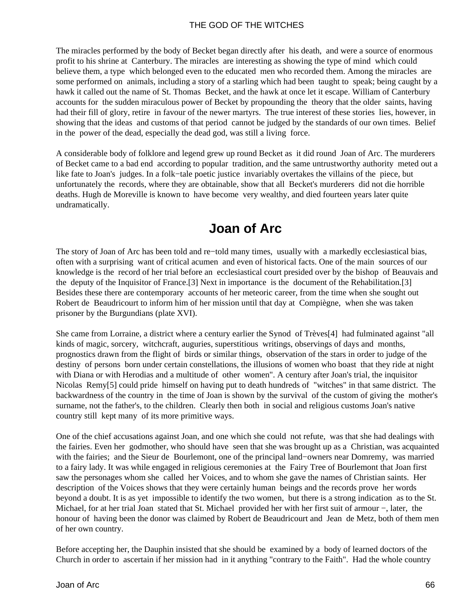The miracles performed by the body of Becket began directly after his death, and were a source of enormous profit to his shrine at Canterbury. The miracles are interesting as showing the type of mind which could believe them, a type which belonged even to the educated men who recorded them. Among the miracles are some performed on animals, including a story of a starling which had been taught to speak; being caught by a hawk it called out the name of St. Thomas Becket, and the hawk at once let it escape. William of Canterbury accounts for the sudden miraculous power of Becket by propounding the theory that the older saints, having had their fill of glory, retire in favour of the newer martyrs. The true interest of these stories lies, however, in showing that the ideas and customs of that period cannot be judged by the standards of our own times. Belief in the power of the dead, especially the dead god, was still a living force.

A considerable body of folklore and legend grew up round Becket as it did round Joan of Arc. The murderers of Becket came to a bad end according to popular tradition, and the same untrustworthy authority meted out a like fate to Joan's judges. In a folk−tale poetic justice invariably overtakes the villains of the piece, but unfortunately the records, where they are obtainable, show that all Becket's murderers did not die horrible deaths. Hugh de Moreville is known to have become very wealthy, and died fourteen years later quite undramatically.

# **Joan of Arc**

The story of Joan of Arc has been told and re−told many times, usually with a markedly ecclesiastical bias, often with a surprising want of critical acumen and even of historical facts. One of the main sources of our knowledge is the record of her trial before an ecclesiastical court presided over by the bishop of Beauvais and the deputy of the Inquisitor of France.[3] Next in importance is the document of the Rehabilitation.[3] Besides these there are contemporary accounts of her meteoric career, from the time when she sought out Robert de Beaudricourt to inform him of her mission until that day at Compiègne, when she was taken prisoner by the Burgundians (plate XVI).

She came from Lorraine, a district where a century earlier the Synod of Trèves[4] had fulminated against "all kinds of magic, sorcery, witchcraft, auguries, superstitious writings, observings of days and months, prognostics drawn from the flight of birds or similar things, observation of the stars in order to judge of the destiny of persons born under certain constellations, the illusions of women who boast that they ride at night with Diana or with Herodias and a multitude of other women". A century after Joan's trial, the inquisitor Nicolas Remy[5] could pride himself on having put to death hundreds of "witches" in that same district. The backwardness of the country in the time of Joan is shown by the survival of the custom of giving the mother's surname, not the father's, to the children. Clearly then both in social and religious customs Joan's native country still kept many of its more primitive ways.

One of the chief accusations against Joan, and one which she could not refute, was that she had dealings with the fairies. Even her godmother, who should have seen that she was brought up as a Christian, was acquainted with the fairies; and the Sieur de Bourlemont, one of the principal land−owners near Domremy, was married to a fairy lady. It was while engaged in religious ceremonies at the Fairy Tree of Bourlemont that Joan first saw the personages whom she called her Voices, and to whom she gave the names of Christian saints. Her description of the Voices shows that they were certainly human beings and the records prove her words beyond a doubt. It is as yet impossible to identify the two women, but there is a strong indication as to the St. Michael, for at her trial Joan stated that St. Michael provided her with her first suit of armour −, later, the honour of having been the donor was claimed by Robert de Beaudricourt and Jean de Metz, both of them men of her own country.

Before accepting her, the Dauphin insisted that she should be examined by a body of learned doctors of the Church in order to ascertain if her mission had in it anything "contrary to the Faith". Had the whole country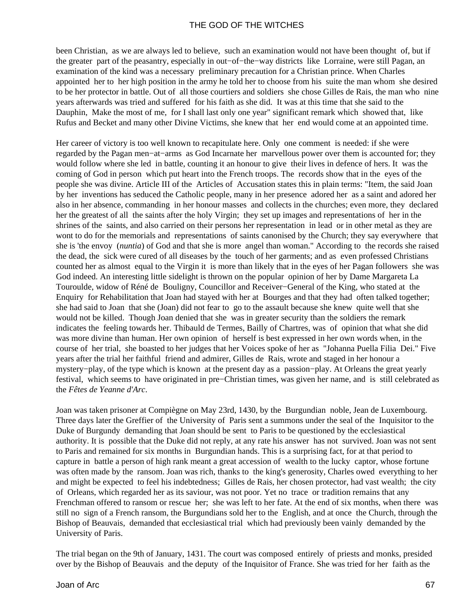been Christian, as we are always led to believe, such an examination would not have been thought of, but if the greater part of the peasantry, especially in out−of−the−way districts like Lorraine, were still Pagan, an examination of the kind was a necessary preliminary precaution for a Christian prince. When Charles appointed her to her high position in the army he told her to choose from his suite the man whom she desired to be her protector in battle. Out of all those courtiers and soldiers she chose Gilles de Rais, the man who nine years afterwards was tried and suffered for his faith as she did. It was at this time that she said to the Dauphin, Make the most of me, for I shall last only one year" significant remark which showed that, like Rufus and Becket and many other Divine Victims, she knew that her end would come at an appointed time.

Her career of victory is too well known to recapitulate here. Only one comment is needed: if she were regarded by the Pagan men−at−arms as God Incarnate her marvellous power over them is accounted for; they would follow where she led in battle, counting it an honour to give their lives in defence of hers. It was the coming of God in person which put heart into the French troops. The records show that in the eyes of the people she was divine. Article III of the Articles of Accusation states this in plain terms: "Item, the said Joan by her inventions has seduced the Catholic people, many in her presence adored her as a saint and adored her also in her absence, commanding in her honour masses and collects in the churches; even more, they declared her the greatest of all the saints after the holy Virgin; they set up images and representations of her in the shrines of the saints, and also carried on their persons her representation in lead or in other metal as they are wont to do for the memorials and representations of saints canonised by the Church; they say everywhere that she is 'the envoy (*nuntia*) of God and that she is more angel than woman." According to the records she raised the dead, the sick were cured of all diseases by the touch of her garments; and as even professed Christians counted her as almost equal to the Virgin it is more than likely that in the eyes of her Pagan followers she was God indeed. An interesting little sidelight is thrown on the popular opinion of her by Dame Margareta La Touroulde, widow of Réné de Bouligny, Councillor and Receiver−General of the King, who stated at the Enquiry for Rehabilitation that Joan had stayed with her at Bourges and that they had often talked together; she had said to Joan that she (Joan) did not fear to go to the assault because she knew quite well that she would not be killed. Though Joan denied that she was in greater security than the soldiers the remark indicates the feeling towards her. Thibauld de Termes, Bailly of Chartres, was of opinion that what she did was more divine than human. Her own opinion of herself is best expressed in her own words when, in the course of her trial, she boasted to her judges that her Voices spoke of her as "Johanna Puella Filia Dei." Five years after the trial her faithful friend and admirer, Gilles de Rais, wrote and staged in her honour a mystery−play, of the type which is known at the present day as a passion−play. At Orleans the great yearly festival, which seems to have originated in pre−Christian times, was given her name, and is still celebrated as the *Fêtes de Yeanne d'Arc*.

Joan was taken prisoner at Compiègne on May 23rd, 1430, by the Burgundian noble, Jean de Luxembourg. Three days later the Greffier of the University of Paris sent a summons under the seal of the Inquisitor to the Duke of Burgundy demanding that Joan should be sent to Paris to be questioned by the ecclesiastical authority. It is possible that the Duke did not reply, at any rate his answer has not survived. Joan was not sent to Paris and remained for six months in Burgundian hands. This is a surprising fact, for at that period to capture in battle a person of high rank meant a great accession of wealth to the lucky captor, whose fortune was often made by the ransom. Joan was rich, thanks to the king's generosity, Charles owed everything to her and might be expected to feel his indebtedness; Gilles de Rais, her chosen protector, had vast wealth; the city of Orleans, which regarded her as its saviour, was not poor. Yet no trace or tradition remains that any Frenchman offered to ransom or rescue her; she was left to her fate. At the end of six months, when there was still no sign of a French ransom, the Burgundians sold her to the English, and at once the Church, through the Bishop of Beauvais, demanded that ecclesiastical trial which had previously been vainly demanded by the University of Paris.

The trial began on the 9th of January, 1431. The court was composed entirely of priests and monks, presided over by the Bishop of Beauvais and the deputy of the Inquisitor of France. She was tried for her faith as the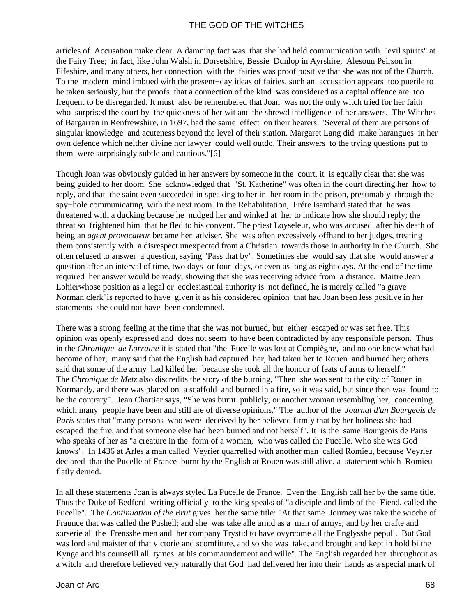articles of Accusation make clear. A damning fact was that she had held communication with "evil spirits" at the Fairy Tree; in fact, like John Walsh in Dorsetshire, Bessie Dunlop in Ayrshire, Alesoun Peirson in Fifeshire, and many others, her connection with the fairies was proof positive that she was not of the Church. To the modern mind imbued with the present−day ideas of fairies, such an accusation appears too puerile to be taken seriously, but the proofs that a connection of the kind was considered as a capital offence are too frequent to be disregarded. It must also be remembered that Joan was not the only witch tried for her faith who surprised the court by the quickness of her wit and the shrewd intelligence of her answers. The Witches of Bargarran in Renfrewshire, in 1697, had the same effect on their hearers. "Several of them are persons of singular knowledge and acuteness beyond the level of their station. Margaret Lang did make harangues in her own defence which neither divine nor lawyer could well outdo. Their answers to the trying questions put to them were surprisingly subtle and cautious."[6]

Though Joan was obviously guided in her answers by someone in the court, it is equally clear that she was being guided to her doom. She acknowledged that "St. Katherine" was often in the court directing her how to reply, and that the saint even succeeded in speaking to her in her room in the prison, presumably through the spy–hole communicating with the next room. In the Rehabilitation, Frére Isambard stated that he was threatened with a ducking because he nudged her and winked at her to indicate how she should reply; the threat so frightened him that he fled to his convent. The priest Loyseleur, who was accused after his death of being an *agent provocateur* became her adviser. She was often excessively offhand to her judges, treating them consistently with a disrespect unexpected from a Christian towards those in authority in the Church. She often refused to answer a question, saying "Pass that by". Sometimes she would say that she would answer a question after an interval of time, two days or four days, or even as long as eight days. At the end of the time required her answer would be ready, showing that she was receiving advice from a distance. Maitre Jean Lohier whose position as a legal or ecclesiastical authority is not defined, he is merely called "a grave Norman clerk" is reported to have given it as his considered opinion that had Joan been less positive in her statements she could not have been condemned.

There was a strong feeling at the time that she was not burned, but either escaped or was set free. This opinion was openly expressed and does not seem to have been contradicted by any responsible person. Thus in the *Chronique de Lorraine* it is stated that "the Pucelle was lost at Compiègne, and no one knew what had become of her; many said that the English had captured her, had taken her to Rouen and burned her; others said that some of the army had killed her because she took all the honour of feats of arms to herself." The *Chronique de Metz* also discredits the story of the burning, "Then she was sent to the city of Rouen in Normandy, and there was placed on a scaffold and burned in a fire, so it was said, but since then was found to be the contrary". Jean Chartier says, "She was burnt publicly, or another woman resembling her; concerning which many people have been and still are of diverse opinions." The author of the *Journal d'un Bourgeois de Paris* states that "many persons who were deceived by her believed firmly that by her holiness she had escaped the fire, and that someone else had been burned and not herself". It is the same Bourgeois de Paris who speaks of her as "a creature in the form of a woman, who was called the Pucelle. Who she was God knows". In 1436 at Arles a man called Veyrier quarrelled with another man called Romieu, because Veyrier declared that the Pucelle of France burnt by the English at Rouen was still alive, a statement which Romieu flatly denied.

In all these statements Joan is always styled La Pucelle de France. Even the English call her by the same title. Thus the Duke of Bedford writing officially to the king speaks of "a disciple and limb of the Fiend, called the Pucelle". The *Continuation of the Brut* gives her the same title: "At that same Journey was take the wicche of Fraunce that was called the Pushell; and she was take alle armd as a man of armys; and by her crafte and sorserie all the Frensshe men and her company Trystid to have ovyrcome all the Englysshe pepull. But God was lord and maister of that victorie and scomfiture, and so she was take, and brought and kept in hold bi the Kynge and his counseill all tymes at his commaundement and wille". The English regarded her throughout as a witch and therefore believed very naturally that God had delivered her into their hands as a special mark of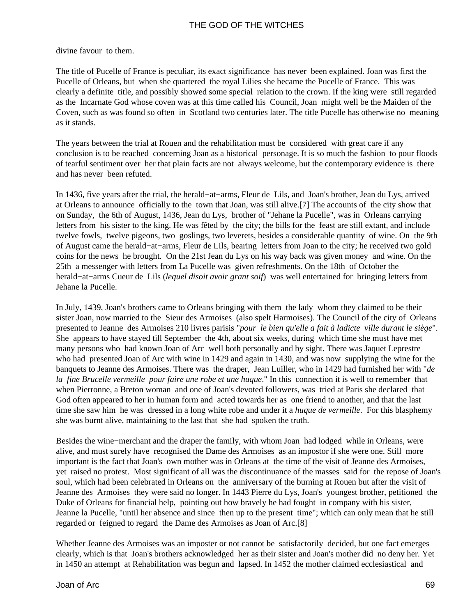divine favour to them.

The title of Pucelle of France is peculiar, its exact significance has never been explained. Joan was first the Pucelle of Orleans, but when she quartered the royal Lilies she became the Pucelle of France. This was clearly a definite title, and possibly showed some special relation to the crown. If the king were still regarded as the Incarnate God whose coven was at this time called his Council, Joan might well be the Maiden of the Coven, such as was found so often in Scotland two centuries later. The title Pucelle has otherwise no meaning as it stands.

The years between the trial at Rouen and the rehabilitation must be considered with great care if any conclusion is to be reached concerning Joan as a historical personage. It is so much the fashion to pour floods of tearful sentiment over her that plain facts are not always welcome, but the contemporary evidence is there and has never been refuted.

In 1436, five years after the trial, the herald−at−arms, Fleur de Lils, and Joan's brother, Jean du Lys, arrived at Orleans to announce officially to the town that Joan, was still alive.[7] The accounts of the city show that on Sunday, the 6th of August, 1436, Jean du Lys, brother of "Jehane la Pucelle", was in Orleans carrying letters from his sister to the king. He was fêted by the city; the bills for the feast are still extant, and include twelve fowls, twelve pigeons, two goslings, two leverets, besides a considerable quantity of wine. On the 9th of August came the herald−at−arms, Fleur de Lils, bearing letters from Joan to the city; he received two gold coins for the news he brought. On the 21st Jean du Lys on his way back was given money and wine. On the 25th a messenger with letters from La Pucelle was given refreshments. On the 18th of October the herald−at−arms Cueur de Lils (*lequel disoit avoir grant soif*) was well entertained for bringing letters from Jehane la Pucelle.

In July, 1439, Joan's brothers came to Orleans bringing with them the lady whom they claimed to be their sister Joan, now married to the Sieur des Armoises (also spelt Harmoises). The Council of the city of Orleans presented to Jeanne des Armoises 210 livres parisis "*pour le bien qu'elle a fait à ladicte ville durant le siège*". She appears to have stayed till September the 4th, about six weeks, during which time she must have met many persons who had known Joan of Arc well both personally and by sight. There was Jaquet Leprestre who had presented Joan of Arc with wine in 1429 and again in 1430, and was now supplying the wine for the banquets to Jeanne des Armoises. There was the draper, Jean Luiller, who in 1429 had furnished her with "*de la fine Brucelle vermeille pour faire une robe et une huque*." In this connection it is well to remember that when Pierronne, a Breton woman and one of Joan's devoted followers, was tried at Paris she declared that God often appeared to her in human form and acted towards her as one friend to another, and that the last time she saw him he was dressed in a long white robe and under it a *huque de vermeille*. For this blasphemy she was burnt alive, maintaining to the last that she had spoken the truth.

Besides the wine−merchant and the draper the family, with whom Joan had lodged while in Orleans, were alive, and must surely have recognised the Dame des Armoises as an impostor if she were one. Still more important is the fact that Joan's own mother was in Orleans at the time of the visit of Jeanne des Armoises, yet raised no protest. Most significant of all was the discontinuance of the masses said for the repose of Joan's soul, which had been celebrated in Orleans on the anniversary of the burning at Rouen but after the visit of Jeanne des Armoises they were said no longer. In 1443 Pierre du Lys, Joan's youngest brother, petitioned the Duke of Orleans for financial help, pointing out how bravely he had fought in company with his sister, Jeanne la Pucelle, "until her absence and since then up to the present time"; which can only mean that he still regarded or feigned to regard the Dame des Armoises as Joan of Arc.[8]

Whether Jeanne des Armoises was an imposter or not cannot be satisfactorily decided, but one fact emerges clearly, which is that Joan's brothers acknowledged her as their sister and Joan's mother did no deny her. Yet in 1450 an attempt at Rehabilitation was begun and lapsed. In 1452 the mother claimed ecclesiastical and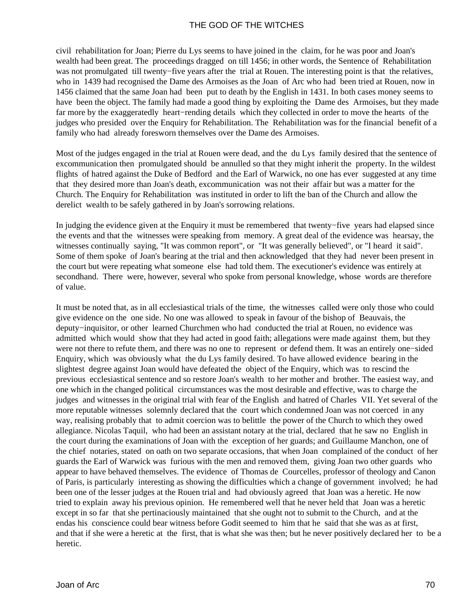civil rehabilitation for Joan; Pierre du Lys seems to have joined in the claim, for he was poor and Joan's wealth had been great. The proceedings dragged on till 1456; in other words, the Sentence of Rehabilitation was not promulgated till twenty−five years after the trial at Rouen. The interesting point is that the relatives, who in 1439 had recognised the Dame des Armoises as the Joan of Arc who had been tried at Rouen, now in 1456 claimed that the same Joan had been put to death by the English in 1431. In both cases money seems to have been the object. The family had made a good thing by exploiting the Dame des Armoises, but they made far more by the exaggeratedly heart−rending details which they collected in order to move the hearts of the judges who presided over the Enquiry for Rehabilitation. The Rehabilitation was for the financial benefit of a family who had already foresworn themselves over the Dame des Armoises.

Most of the judges engaged in the trial at Rouen were dead, and the du Lys family desired that the sentence of excommunication then promulgated should be annulled so that they might inherit the property. In the wildest flights of hatred against the Duke of Bedford and the Earl of Warwick, no one has ever suggested at any time that they desired more than Joan's death, excommunication was not their affair but was a matter for the Church. The Enquiry for Rehabilitation was instituted in order to lift the ban of the Church and allow the derelict wealth to be safely gathered in by Joan's sorrowing relations.

In judging the evidence given at the Enquiry it must be remembered that twenty−five years had elapsed since the events and that the witnesses were speaking from memory. A great deal of the evidence was hearsay, the witnesses continually saying, "It was common report", or "It was generally believed", or "I heard it said". Some of them spoke of Joan's bearing at the trial and then acknowledged that they had never been present in the court but were repeating what someone else had told them. The executioner's evidence was entirely at secondhand. There were, however, several who spoke from personal knowledge, whose words are therefore of value.

It must be noted that, as in all ecclesiastical trials of the time, the witnesses called were only those who could give evidence on the one side. No one was allowed to speak in favour of the bishop of Beauvais, the deputy−inquisitor, or other learned Churchmen who had conducted the trial at Rouen, no evidence was admitted which would show that they had acted in good faith; allegations were made against them, but they were not there to refute them, and there was no one to represent or defend them. It was an entirely one−sided Enquiry, which was obviously what the du Lys family desired. To have allowed evidence bearing in the slightest degree against Joan would have defeated the object of the Enquiry, which was to rescind the previous ecclesiastical sentence and so restore Joan's wealth to her mother and brother. The easiest way, and one which in the changed political circumstances was the most desirable and effective, was to charge the judges and witnesses in the original trial with fear of the English and hatred of Charles VII. Yet several of the more reputable witnesses solemnly declared that the court which condemned Joan was not coerced in any way, realising probably that to admit coercion was to belittle the power of the Church to which they owed allegiance. Nicolas Taquil, who had been an assistant notary at the trial, declared that he saw no English in the court during the examinations of Joan with the exception of her guards; and Guillaume Manchon, one of the chief notaries, stated on oath on two separate occasions, that when Joan complained of the conduct of her guards the Earl of Warwick was furious with the men and removed them, giving Joan two other guards who appear to have behaved themselves. The evidence of Thomas de Courcelles, professor of theology and Canon of Paris, is particularly interesting as showing the difficulties which a change of government involved; he had been one of the lesser judges at the Rouen trial and had obviously agreed that Joan was a heretic. He now tried to explain away his previous opinion. He remembered well that he never held that Joan was a heretic except in so far that she pertinaciously maintained that she ought not to submit to the Church, and at the end as his conscience could bear witness before God it seemed to him that he said that she was as at first, and that if she were a heretic at the first, that is what she was then; but he never positively declared her to be a heretic.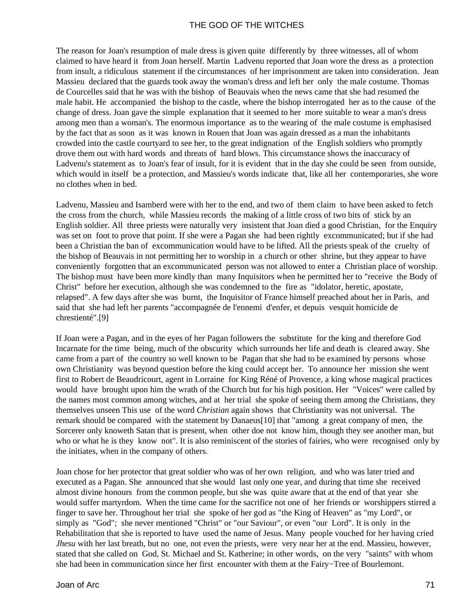The reason for Joan's resumption of male dress is given quite differently by three witnesses, all of whom claimed to have heard it from Joan herself. Martin Ladvenu reported that Joan wore the dress as a protection from insult, a ridiculous statement if the circumstances of her imprisonment are taken into consideration. Jean Massieu declared that the guards took away the woman's dress and left her only the male costume. Thomas de Courcelles said that he was with the bishop of Beauvais when the news came that she had resumed the male habit. He accompanied the bishop to the castle, where the bishop interrogated her as to the cause of the change of dress. Joan gave the simple explanation that it seemed to her more suitable to wear a man's dress among men than a woman's. The enormous importance as to the wearing of the male costume is emphasised by the fact that as soon as it was known in Rouen that Joan was again dressed as a man the inhabitants crowded into the castle courtyard to see her, to the great indignation of the English soldiers who promptly drove them out with hard words and threats of hard blows. This circumstance shows the inaccuracy of Ladvenu's statement as to Joan's fear of insult, for it is evident that in the day she could be seen from outside, which would in itself be a protection, and Massieu's words indicate that, like all her contemporaries, she wore no clothes when in bed.

Ladvenu, Massieu and Isamberd were with her to the end, and two of them claim to have been asked to fetch the cross from the church, while Massieu records the making of a little cross of two bits of stick by an English soldier. All three priests were naturally very insistent that Joan died a good Christian, for the Enquiry was set on foot to prove that point. If she were a Pagan she had been rightly excommunicated; but if she had been a Christian the ban of excommunication would have to be lifted. All the priests speak of the cruelty of the bishop of Beauvais in not permitting her to worship in a church or other shrine, but they appear to have conveniently forgotten that an excommunicated person was not allowed to enter a Christian place of worship. The bishop must have been more kindly than many Inquisitors when he permitted her to "receive the Body of Christ" before her execution, although she was condemned to the fire as "idolator, heretic, apostate, relapsed". A few days after she was burnt, the Inquisitor of France himself preached about her in Paris, and said that she had left her parents "accompagnée de l'ennemi d'enfer, et depuis vesquit homicide de chrestienté".[9]

If Joan were a Pagan, and in the eyes of her Pagan followers the substitute for the king and therefore God Incarnate for the time being, much of the obscurity which surrounds her life and death is cleared away. She came from a part of the country so well known to be Pagan that she had to be examined by persons whose own Christianity was beyond question before the king could accept her. To announce her mission she went first to Robert de Beaudricourt, agent in Lorraine for King Réné of Provence, a king whose magical practices would have brought upon him the wrath of the Church but for his high position. Her "Voices" were called by the names most common among witches, and at her trial she spoke of seeing them among the Christians, they themselves unseen This use of the word *Christian* again shows that Christianity was not universal. The remark should be compared with the statement by Danaeus[10] that "among a great company of men, the Sorcerer only knoweth Satan that is present, when other doe not know him, though they see another man, but who or what he is they know not". It is also reminiscent of the stories of fairies, who were recognised only by the initiates, when in the company of others.

Joan chose for her protector that great soldier who was of her own religion, and who was later tried and executed as a Pagan. She announced that she would last only one year, and during that time she received almost divine honours from the common people, but she was quite aware that at the end of that year she would suffer martyrdom. When the time came for the sacrifice not one of her friends or worshippers stirred a finger to save her. Throughout her trial she spoke of her god as "the King of Heaven" as "my Lord", or simply as "God"; she never mentioned "Christ" or "our Saviour", or even "our Lord". It is only in the Rehabilitation that she is reported to have used the name of Jesus. Many people vouched for her having cried *Jhesu* with her last breath, but no one, not even the priests, were very near her at the end. Massieu, however, stated that she called on God, St. Michael and St. Katherine; in other words, on the very "saints" with whom she had been in communication since her first encounter with them at the Fairy−Tree of Bourlemont.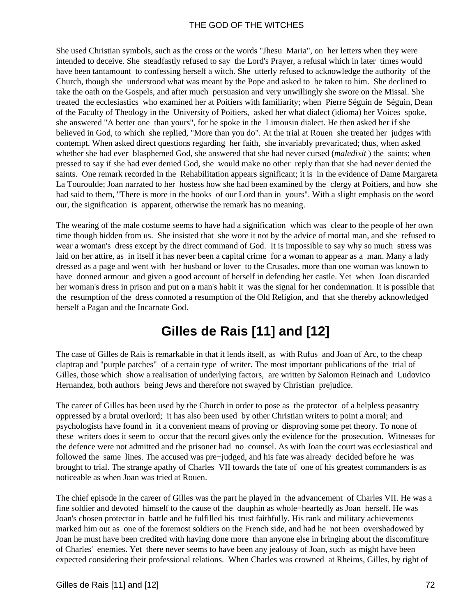She used Christian symbols, such as the cross or the words "Jhesu Maria", on her letters when they were intended to deceive. She steadfastly refused to say the Lord's Prayer, a refusal which in later times would have been tantamount to confessing herself a witch. She utterly refused to acknowledge the authority of the Church, though she understood what was meant by the Pope and asked to be taken to him. She declined to take the oath on the Gospels, and after much persuasion and very unwillingly she swore on the Missal. She treated the ecclesiastics who examined her at Poitiers with familiarity; when Pierre Séguin de Séguin, Dean of the Faculty of Theology in the University of Poitiers, asked her what dialect (idioma) her Voices spoke, she answered "A better one than yours", for he spoke in the Limousin dialect. He then asked her if she believed in God, to which she replied, "More than you do". At the trial at Rouen she treated her judges with contempt. When asked direct questions regarding her faith, she invariably prevaricated; thus, when asked whether she had ever blasphemed God, she answered that she had never cursed (*maledixit* ) the saints; when pressed to say if she had ever denied God, she would make no other reply than that she had never denied the saints. One remark recorded in the Rehabilitation appears significant; it is in the evidence of Dame Margareta La Touroulde; Joan narrated to her hostess how she had been examined by the clergy at Poitiers, and how she had said to them, "There is more in the books of our Lord than in yours". With a slight emphasis on the word our, the signification is apparent, otherwise the remark has no meaning.

The wearing of the male costume seems to have had a signification which was clear to the people of her own time though hidden from us. She insisted that she wore it not by the advice of mortal man, and she refused to wear a woman's dress except by the direct command of God. It is impossible to say why so much stress was laid on her attire, as in itself it has never been a capital crime for a woman to appear as a man. Many a lady dressed as a page and went with her husband or lover to the Crusades, more than one woman was known to have donned armour and given a good account of herself in defending her castle. Yet when Joan discarded her woman's dress in prison and put on a man's habit it was the signal for her condemnation. It is possible that the resumption of the dress connoted a resumption of the Old Religion, and that she thereby acknowledged herself a Pagan and the Incarnate God.

# **Gilles de Rais [11] and [12]**

The case of Gilles de Rais is remarkable in that it lends itself, as with Rufus and Joan of Arc, to the cheap claptrap and "purple patches" of a certain type of writer. The most important publications of the trial of Gilles, those which show a realisation of underlying factors, are written by Salomon Reinach and Ludovico Hernandez, both authors being Jews and therefore not swayed by Christian prejudice.

The career of Gilles has been used by the Church in order to pose as the protector of a helpless peasantry oppressed by a brutal overlord; it has also been used by other Christian writers to point a moral; and psychologists have found in it a convenient means of proving or disproving some pet theory. To none of these writers does it seem to occur that the record gives only the evidence for the prosecution. Witnesses for the defence were not admitted and the prisoner had no counsel. As with Joan the court was ecclesiastical and followed the same lines. The accused was pre−judged, and his fate was already decided before he was brought to trial. The strange apathy of Charles VII towards the fate of one of his greatest commanders is as noticeable as when Joan was tried at Rouen.

The chief episode in the career of Gilles was the part he played in the advancement of Charles VII. He was a fine soldier and devoted himself to the cause of the dauphin as whole−heartedly as Joan herself. He was Joan's chosen protector in battle and he fulfilled his trust faithfully. His rank and military achievements marked him out as one of the foremost soldiers on the French side, and had he not been overshadowed by Joan he must have been credited with having done more than anyone else in bringing about the discomfiture of Charles' enemies. Yet there never seems to have been any jealousy of Joan, such as might have been expected considering their professional relations. When Charles was crowned at Rheims, Gilles, by right of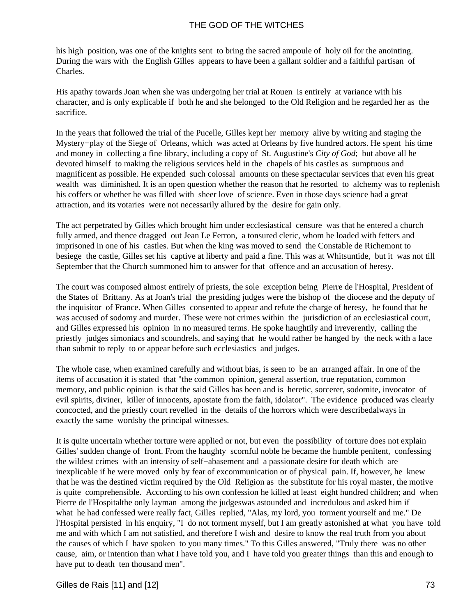his high position, was one of the knights sent to bring the sacred ampoule of holy oil for the anointing. During the wars with the English Gilles appears to have been a gallant soldier and a faithful partisan of Charles.

His apathy towards Joan when she was undergoing her trial at Rouen is entirely at variance with his character, and is only explicable if both he and she belonged to the Old Religion and he regarded her as the sacrifice.

In the years that followed the trial of the Pucelle, Gilles kept her memory alive by writing and staging the Mystery−play of the Siege of Orleans, which was acted at Orleans by five hundred actors. He spent his time and money in collecting a fine library, including a copy of St. Augustine's *City of God*; but above all he devoted himself to making the religious services held in the chapels of his castles as sumptuous and magnificent as possible. He expended such colossal amounts on these spectacular services that even his great wealth was diminished. It is an open question whether the reason that he resorted to alchemy was to replenish his coffers or whether he was filled with sheer love of science. Even in those days science had a great attraction, and its votaries were not necessarily allured by the desire for gain only.

The act perpetrated by Gilles which brought him under ecclesiastical censure was that he entered a church fully armed, and thence dragged out Jean Le Ferron, a tonsured cleric, whom he loaded with fetters and imprisoned in one of his castles. But when the king was moved to send the Constable de Richemont to besiege the castle, Gilles set his captive at liberty and paid a fine. This was at Whitsuntide, but it was not till September that the Church summoned him to answer for that offence and an accusation of heresy.

The court was composed almost entirely of priests, the sole exception being Pierre de l'Hospital, President of the States of Brittany. As at Joan's trial the presiding judges were the bishop of the diocese and the deputy of the inquisitor of France. When Gilles consented to appear and refute the charge of heresy, he found that he was accused of sodomy and murder. These were not crimes within the jurisdiction of an ecclesiastical court, and Gilles expressed his opinion in no measured terms. He spoke haughtily and irreverently, calling the priestly judges simoniacs and scoundrels, and saying that he would rather be hanged by the neck with a lace than submit to reply to or appear before such ecclesiastics and judges.

The whole case, when examined carefully and without bias, is seen to be an arranged affair. In one of the items of accusation it is stated that "the common opinion, general assertion, true reputation, common memory, and public opinion is that the said Gilles has been and is heretic, sorcerer, sodomite, invocator of evil spirits, diviner, killer of innocents, apostate from the faith, idolator". The evidence produced was clearly concocted, and the priestly court revelled in the details of the horrors which were described always in exactly the same words by the principal witnesses.

It is quite uncertain whether torture were applied or not, but even the possibility of torture does not explain Gilles' sudden change of front. From the haughty scornful noble he became the humble penitent, confessing the wildest crimes with an intensity of self−abasement and a passionate desire for death which are inexplicable if he were moved only by fear of excommunication or of physical pain. If, however, he knew that he was the destined victim required by the Old Religion as the substitute for his royal master, the motive is quite comprehensible. According to his own confession he killed at least eight hundred children; and when Pierre de l'Hospital the only layman among the judges was astounded and incredulous and asked him if what he had confessed were really fact, Gilles replied, "Alas, my lord, you torment yourself and me." De l'Hospital persisted in his enquiry, "I do not torment myself, but I am greatly astonished at what you have told me and with which I am not satisfied, and therefore I wish and desire to know the real truth from you about the causes of which I have spoken to you many times." To this Gilles answered, "Truly there was no other cause, aim, or intention than what I have told you, and I have told you greater things than this and enough to have put to death ten thousand men".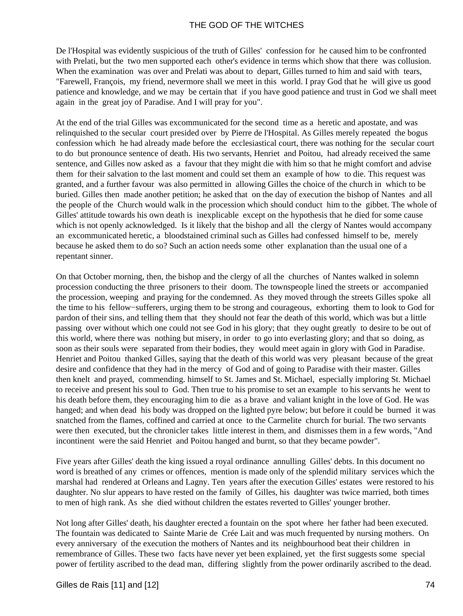De l'Hospital was evidently suspicious of the truth of Gilles' confession for he caused him to be confronted with Prelati, but the two men supported each other's evidence in terms which show that there was collusion. When the examination was over and Prelati was about to depart, Gilles turned to him and said with tears, "Farewell, François, my friend, nevermore shall we meet in this world. I pray God that he will give us good patience and knowledge, and we may be certain that if you have good patience and trust in God we shall meet again in the great joy of Paradise. And I will pray for you".

At the end of the trial Gilles was excommunicated for the second time as a heretic and apostate, and was relinquished to the secular court presided over by Pierre de l'Hospital. As Gilles merely repeated the bogus confession which he had already made before the ecclesiastical court, there was nothing for the secular court to do but pronounce sentence of death. His two servants, Henriet and Poitou, had already received the same sentence, and Gilles now asked as a favour that they might die with him so that he might comfort and advise them for their salvation to the last moment and could set them an example of how to die. This request was granted, and a further favour was also permitted in allowing Gilles the choice of the church in which to be buried. Gilles then made another petition; he asked that on the day of execution the bishop of Nantes and all the people of the Church would walk in the procession which should conduct him to the gibbet. The whole of Gilles' attitude towards his own death is inexplicable except on the hypothesis that he died for some cause which is not openly acknowledged. Is it likely that the bishop and all the clergy of Nantes would accompany an excommunicated heretic, a bloodstained criminal such as Gilles had confessed himself to be, merely because he asked them to do so? Such an action needs some other explanation than the usual one of a repentant sinner.

On that October morning, then, the bishop and the clergy of all the churches of Nantes walked in solemn procession conducting the three prisoners to their doom. The townspeople lined the streets or accompanied the procession, weeping and praying for the condemned. As they moved through the streets Gilles spoke all the time to his fellow−sufferers, urging them to be strong and courageous, exhorting them to look to God for pardon of their sins, and telling them that they should not fear the death of this world, which was but a little passing over without which one could not see God in his glory; that they ought greatly to desire to be out of this world, where there was nothing but misery, in order to go into everlasting glory; and that so doing, as soon as their souls were separated from their bodies, they would meet again in glory with God in Paradise. Henriet and Poitou thanked Gilles, saying that the death of this world was very pleasant because of the great desire and confidence that they had in the mercy of God and of going to Paradise with their master. Gilles then knelt and prayed, commending. himself to St. James and St. Michael, especially imploring St. Michael to receive and present his soul to God. Then true to his promise to set an example to his servants he went to his death before them, they encouraging him to die as a brave and valiant knight in the love of God. He was hanged; and when dead his body was dropped on the lighted pyre below; but before it could be burned it was snatched from the flames, coffined and carried at once to the Carmelite church for burial. The two servants were then executed, but the chronicler takes little interest in them, and dismisses them in a few words, "And incontinent were the said Henriet and Poitou hanged and burnt, so that they became powder".

Five years after Gilles' death the king issued a royal ordinance annulling Gilles' debts. In this document no word is breathed of any crimes or offences, mention is made only of the splendid military services which the marshal had rendered at Orleans and Lagny. Ten years after the execution Gilles' estates were restored to his daughter. No slur appears to have rested on the family of Gilles, his daughter was twice married, both times to men of high rank. As she died without children the estates reverted to Gilles' younger brother.

Not long after Gilles' death, his daughter erected a fountain on the spot where her father had been executed. The fountain was dedicated to Sainte Marie de Crée Lait and was much frequented by nursing mothers. On every anniversary of the execution the mothers of Nantes and its neighbourhood beat their children in remembrance of Gilles. These two facts have never yet been explained, yet the first suggests some special power of fertility ascribed to the dead man, differing slightly from the power ordinarily ascribed to the dead.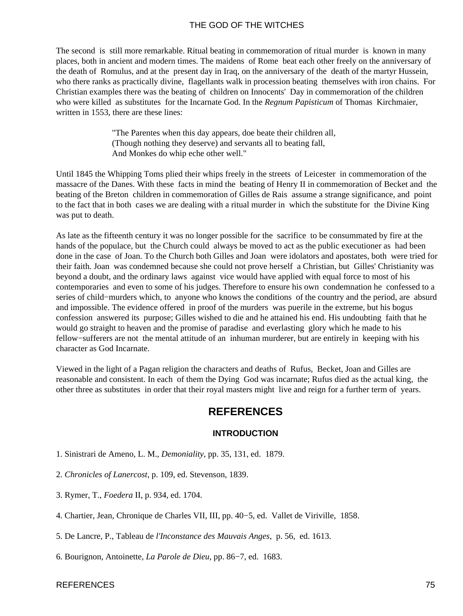The second is still more remarkable. Ritual beating in commemoration of ritual murder is known in many places, both in ancient and modern times. The maidens of Rome beat each other freely on the anniversary of the death of Romulus, and at the present day in Iraq, on the anniversary of the death of the martyr Hussein, who there ranks as practically divine, flagellants walk in procession beating themselves with iron chains. For Christian examples there was the beating of children on Innocents' Day in commemoration of the children who were killed as substitutes for the Incarnate God. In the *Regnum Papisticum* of Thomas Kirchmaier, written in 1553, there are these lines:

> "The Parentes when this day appears, doe beate their children all, (Though nothing they deserve) and servants all to beating fall, And Monkes do whip eche other well."

Until 1845 the Whipping Toms plied their whips freely in the streets of Leicester in commemoration of the massacre of the Danes. With these facts in mind the beating of Henry II in commemoration of Becket and the beating of the Breton children in commemoration of Gilles de Rais assume a strange significance, and point to the fact that in both cases we are dealing with a ritual murder in which the substitute for the Divine King was put to death.

As late as the fifteenth century it was no longer possible for the sacrifice to be consummated by fire at the hands of the populace, but the Church could always be moved to act as the public executioner as had been done in the case of Joan. To the Church both Gilles and Joan were idolators and apostates, both were tried for their faith. Joan was condemned because she could not prove herself a Christian, but Gilles' Christianity was beyond a doubt, and the ordinary laws against vice would have applied with equal force to most of his contemporaries and even to some of his judges. Therefore to ensure his own condemnation he confessed to a series of child−murders which, to anyone who knows the conditions of the country and the period, are absurd and impossible. The evidence offered in proof of the murders was puerile in the extreme, but his bogus confession answered its purpose; Gilles wished to die and he attained his end. His undoubting faith that he would go straight to heaven and the promise of paradise and everlasting glory which he made to his fellow−sufferers are not the mental attitude of an inhuman murderer, but are entirely in keeping with his character as God Incarnate.

Viewed in the light of a Pagan religion the characters and deaths of Rufus, Becket, Joan and Gilles are reasonable and consistent. In each of them the Dying God was incarnate; Rufus died as the actual king, the other three as substitutes in order that their royal masters might live and reign for a further term of years.

## **REFERENCES**

## **INTRODUCTION**

- 1. Sinistrari de Ameno, L. M., *Demoniality*, pp. 35, 131, ed. 1879.
- 2. *Chronicles of Lanercost*, p. 109, ed. Stevenson, 1839.
- 3. Rymer, T., *Foedera* II, p. 934, ed. 1704.
- 4. Chartier, Jean, Chronique de Charles VII, III, pp. 40−5, ed. Vallet de Viriville, 1858.
- 5. De Lancre, P., Tableau de *l'Inconstance des Mauvais Anges*, p. 56, ed. 1613.
- 6. Bourignon, Antoinette, *La Parole de Dieu*, pp. 86−7, ed. 1683.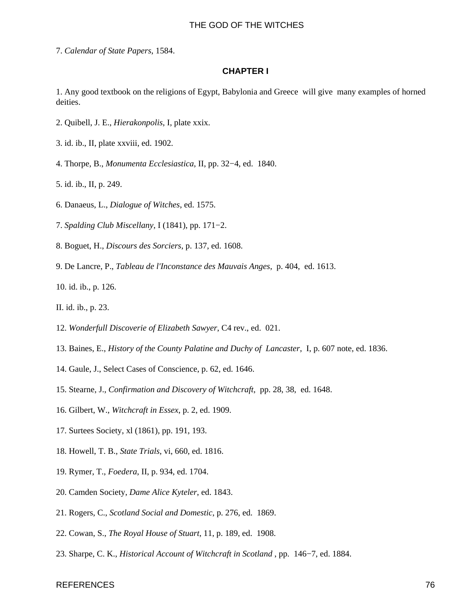7. *Calendar of State Papers*, 1584.

#### **CHAPTER I**

1. Any good textbook on the religions of Egypt, Babylonia and Greece will give many examples of horned deities.

- 2. Quibell, J. E., *Hierakonpolis*, I, plate xxix.
- 3. id. ib., II, plate xxviii, ed. 1902.
- 4. Thorpe, B., *Monumenta Ecclesiastica*, II, pp. 32−4, ed. 1840.
- 5. id. ib., II, p. 249.
- 6. Danaeus, L., *Dialogue of Witches*, ed. 1575.
- 7. *Spalding Club Miscellany*, I (1841), pp. 171−2.
- 8. Boguet, H., *Discours des Sorciers*, p. 137, ed. 1608.
- 9. De Lancre, P., *Tableau de l'Inconstance des Mauvais Anges*, p. 404, ed. 1613.
- 10. id. ib., p. 126.
- II. id. ib., p. 23.
- 12. *Wonderfull Discoverie of Elizabeth Sawyer*, C4 rev., ed. 021.
- 13. Baines, E., *History of the County Palatine and Duchy of Lancaster*, I, p. 607 note, ed. 1836.
- 14. Gaule, J., Select Cases of Conscience, p. 62, ed. 1646.
- 15. Stearne, J., *Confirmation and Discovery of Witchcraft*, pp. 28, 38, ed. 1648.
- 16. Gilbert, W., *Witchcraft in Essex*, p. 2, ed. 1909.
- 17. Surtees Society, xl (1861), pp. 191, 193.
- 18. Howell, T. B., *State Trials*, vi, 660, ed. 1816.
- 19. Rymer, T., *Foedera*, II, p. 934, ed. 1704.
- 20. Camden Society, *Dame Alice Kyteler*, ed. 1843.
- 21. Rogers, C., *Scotland Social and Domestic*, p. 276, ed. 1869.
- 22. Cowan, S., *The Royal House of Stuart*, 11, p. 189, ed. 1908.
- 23. Sharpe, C. K., *Historical Account of Witchcraft in Scotland* , pp. 146−7, ed. 1884.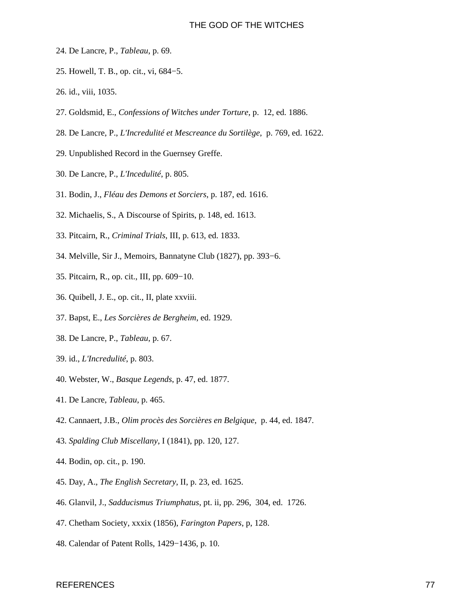- 24. De Lancre, P., *Tableau*, p. 69.
- 25. Howell, T. B., op. cit., vi, 684−5.
- 26. id., viii, 1035.
- 27. Goldsmid, E., *Confessions of Witches under Torture*, p. 12, ed. 1886.
- 28. De Lancre, P., *L'Incredulité et Mescreance du Sortilège*, p. 769, ed. 1622.
- 29. Unpublished Record in the Guernsey Greffe.
- 30. De Lancre, P., *L'Incedulité*, p. 805.
- 31. Bodin, J., *Fléau des Demons et Sorciers*, p. 187, ed. 1616.
- 32. Michaelis, S., A Discourse of Spirits, p. 148, ed. 1613.
- 33. Pitcairn, R., *Criminal Trials*, III, p. 613, ed. 1833.
- 34. Melville, Sir J., Memoirs, Bannatyne Club (1827), pp. 393−6.
- 35. Pitcairn, R., op. cit., III, pp. 609−10.
- 36. Quibell, J. E., op. cit., II, plate xxviii.
- 37. Bapst, E., *Les Sorcières de Bergheim*, ed. 1929.
- 38. De Lancre, P., *Tableau*, p. 67.
- 39. id., *L'Incredulité*, p. 803.
- 40. Webster, W., *Basque Legends*, p. 47, ed. 1877.
- 41. De Lancre, *Tableau*, p. 465.
- 42. Cannaert, J.B., *Olim procès des Sorcières en Belgique*, p. 44, ed. 1847.
- 43. *Spalding Club Miscellany*, I (1841), pp. 120, 127.
- 44. Bodin, op. cit., p. 190.
- 45. Day, A., *The English Secretary*, II, p. 23, ed. 1625.
- 46. Glanvil, J., *Sadducismus Triumphatus*, pt. ii, pp. 296, 304, ed. 1726.
- 47. Chetham Society, xxxix (1856), *Farington Papers*, p, 128.
- 48. Calendar of Patent Rolls, 1429−1436, p. 10.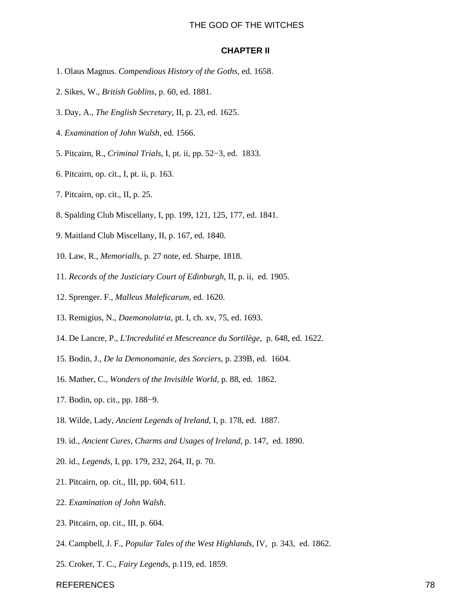## **CHAPTER II**

- 1. Olaus Magnus. *Compendious History of the Goths*, ed. 1658.
- 2. Sikes, W., *British Goblins*, p. 60, ed. 1881.
- 3. Day, A., *The English Secretary*, II, p. 23, ed. 1625.
- 4. *Examination of John Walsh*, ed. 1566.
- 5. Pitcairn, R., *Criminal Trials*, I, pt. ii, pp. 52−3, ed. 1833.
- 6. Pitcairn, op. cit., I, pt. ii, p. 163.
- 7. Pitcairn, op. cit., II, p. 25.
- 8. Spalding Club Miscellany, I, pp. 199, 121, 125, 177, ed. 1841.
- 9. Maitland Club Miscellany, II, p. 167, ed. 1840.
- 10. Law, R., *Memorialls*, p. 27 note, ed. Sharpe, 1818.
- 11. *Records of the Justiciary Court of Edinburgh*, II, p. ii, ed. 1905.
- 12. Sprenger. F., *Malleus Maleficarum*, ed. 1620.
- 13. Remigius, N., *Daemonolatria*, pt. I, ch. xv, 75, ed. 1693.
- 14. De Lancre, P., *L'Incredulité et Mescreance du Sortilège*, p. 648, ed. 1622.
- 15. Bodin, J., *De la Demonomanie, des Sorciers*, p. 239B, ed. 1604.
- 16. Mather, C., *Wonders of the Invisible World*, p. 88, ed. 1862.
- 17. Bodin, op. cit., pp. 188−9.
- 18. Wilde, Lady, *Ancient Legends of Ireland*, I, p. 178, ed. 1887.
- 19. id., *Ancient Cures, Charms and Usages of Ireland*, p. 147, ed. 1890.
- 20. id., *Legends*, I, pp. 179, 232, 264, II, p. 70.
- 21. Pitcairn, op. cit., III, pp. 604, 611.
- 22. *Examination of John Walsh*.
- 23. Pitcairn, op. cit., III, p. 604.
- 24. Campbell, J. F., *Popular Tales of the West Highlands*, IV, p. 343, ed. 1862.
- 25. Croker, T. C., *Fairy Legends*, p.119, ed. 1859.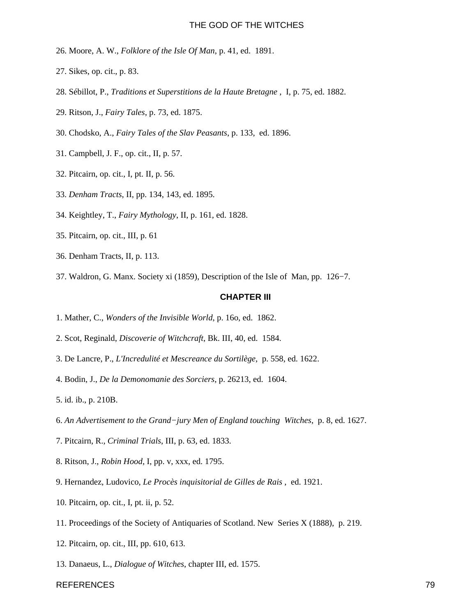- 26. Moore, A. W., *Folklore of the Isle Of Man*, p. 41, ed. 1891.
- 27. Sikes, op. cit., p. 83.
- 28. Sébillot, P., *Traditions et Superstitions de la Haute Bretagne* , I, p. 75, ed. 1882.
- 29. Ritson, J., *Fairy Tales*, p. 73, ed. 1875.
- 30. Chodsko, A., *Fairy Tales of the Slav Peasants*, p. 133, ed. 1896.
- 31. Campbell, J. F., op. cit., II, p. 57.
- 32. Pitcairn, op. cit., I, pt. II, p. 56.
- 33. *Denham Tracts*, II, pp. 134, 143, ed. 1895.
- 34. Keightley, T., *Fairy Mythology*, II, p. 161, ed. 1828.
- 35. Pitcairn, op. cit., III, p. 61
- 36. Denham Tracts, II, p. 113.
- 37. Waldron, G. Manx. Society xi (1859), Description of the Isle of Man, pp. 126−7.

#### **CHAPTER III**

- 1. Mather, C., *Wonders of the Invisible World*, p. 16o, ed. 1862.
- 2. Scot, Reginald, *Discoverie of Witchcraft*, Bk. III, 40, ed. 1584.
- 3. De Lancre, P., *L'Incredulité et Mescreance du Sortilège*, p. 558, ed. 1622.
- 4. Bodin, J., *De la Demonomanie des Sorciers*, p. 26213, ed. 1604.
- 5. id. ib., p. 210B.
- 6. *An Advertisement to the Grand−jury Men of England touching Witches*, p. 8, ed. 1627.
- 7. Pitcairn, R., *Criminal Trials*, III, p. 63, ed. 1833.
- 8. Ritson, J., *Robin Hood*, I, pp. v, xxx, ed. 1795.
- 9. Hernandez, Ludovico, *Le Procès inquisitorial de Gilles de Rais* , ed. 1921.
- 10. Pitcairn, op. cit., I, pt. ii, p. 52.
- 11. Proceedings of the Society of Antiquaries of Scotland. New Series X (1888), p. 219.
- 12. Pitcairn, op. cit., III, pp. 610, 613.
- 13. Danaeus, L., *Dialogue of Witches*, chapter III, ed. 1575.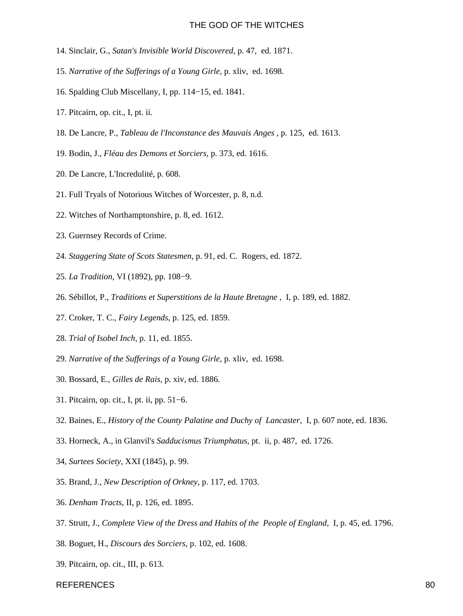- 14. Sinclair, G., *Satan's Invisible World Discovered*, p. 47, ed. 1871.
- 15. *Narrative of the Sufferings of a Young Girle*, p. xliv, ed. 1698.
- 16. Spalding Club Miscellany, I, pp. 114−15, ed. 1841.
- 17. Pitcairn, op. cit., I, pt. ii.
- 18. De Lancre, P., *Tableau de l'Inconstance des Mauvais Anges* , p. 125, ed. 1613.
- 19. Bodin, J., *Fléau des Demons et Sorciers*, p. 373, ed. 1616.
- 20. De Lancre, L'Incredulité, p. 608.
- 21. Full Tryals of Notorious Witches of Worcester, p. 8, n.d.
- 22. Witches of Northamptonshire, p. 8, ed. 1612.
- 23. Guernsey Records of Crime.
- 24. *Staggering State of Scots Statesmen*, p. 91, ed. C. Rogers, ed. 1872.
- 25. *La Tradition*, VI (1892), pp. 108−9.
- 26. Sébillot, P., *Traditions et Superstitions de la Haute Bretagne* , I, p. 189, ed. 1882.
- 27. Croker, T. C., *Fairy Legends*, p. 125, ed. 1859.
- 28. *Trial of Isobel Inch*, p. 11, ed. 1855.
- 29. *Narrative of the Sufferings of a Young Girle*, p. xliv, ed. 1698.
- 30. Bossard, E., *Gilles de Rais*, p. xiv, ed. 1886.
- 31. Pitcairn, op. cit., I, pt. ii, pp. 51−6.
- 32. Baines, E., *History of the County Palatine and Duchy of Lancaster*, I, p. 607 note, ed. 1836.
- 33. Horneck, A., in Glanvil's *Sadducismus Triumphatus*, pt. ii, p. 487, ed. 1726.
- 34, *Surtees Society*, XXI (1845), p. 99.
- 35. Brand, J., *New Description of Orkney,* p. 117, ed. 1703.
- 36. *Denham Tracts*, II, p. 126, ed. 1895.
- 37. Strutt, J., *Complete View of the Dress and Habits of the People of England*, I, p. 45, ed. 1796.
- 38. Boguet, H., *Discours des Sorciers*, p. 102, ed. 1608.
- 39. Pitcairn, op. cit., III, p. 613.
- REFERENCES 80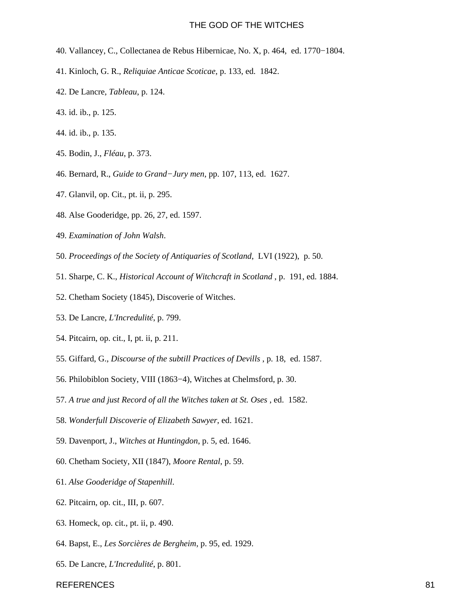- 40. Vallancey, C., Collectanea de Rebus Hibernicae, No. X, p. 464, ed. 1770−1804.
- 41. Kinloch, G. R., *Reliquiae Anticae Scoticae*, p. 133, ed. 1842.
- 42. De Lancre, *Tableau*, p. 124.
- 43. id. ib., p. 125.
- 44. id. ib., p. 135.
- 45. Bodin, J., *Fléau*, p. 373.
- 46. Bernard, R., *Guide to Grand−Jury men*, pp. 107, 113, ed. 1627.
- 47. Glanvil, op. Cit., pt. ii, p. 295.
- 48. Alse Gooderidge, pp. 26, 27, ed. 1597.
- 49. *Examination of John Walsh*.
- 50. *Proceedings of the Society of Antiquaries of Scotland*, LVI (1922), p. 50.
- 51. Sharpe, C. K., *Historical Account of Witchcraft in Scotland* , p. 191, ed. 1884.
- 52. Chetham Society (1845), Discoverie of Witches.
- 53. De Lancre, *L'Incredulité*, p. 799.
- 54. Pitcairn, op. cit., I, pt. ii, p. 211.
- 55. Giffard, G., *Discourse of the subtill Practices of Devills* , p. 18, ed. 1587.
- 56. Philobiblon Society, VIII (1863−4), Witches at Chelmsford, p. 30.
- 57. *A true and just Record of all the Witches taken at St. Oses* , ed. 1582.
- 58. *Wonderfull Discoverie of Elizabeth Sawyer*, ed. 1621.
- 59. Davenport, J., *Witches at Huntingdon*, p. 5, ed. 1646.
- 60. Chetham Society, XII (1847), *Moore Rental*, p. 59.
- 61. *Alse Gooderidge of Stapenhill*.
- 62. Pitcairn, op. cit., III, p. 607.
- 63. Homeck, op. cit., pt. ii, p. 490.
- 64. Bapst, E., *Les Sorcières de Bergheim*, p. 95, ed. 1929.
- 65. De Lancre, *L'Incredulité*, p. 801.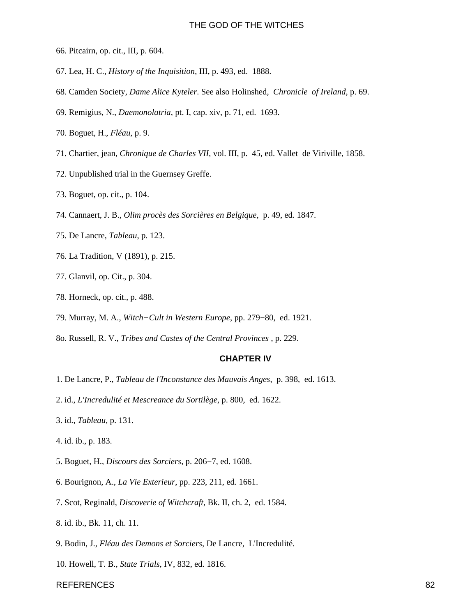- 66. Pitcairn, op. cit., III, p. 604.
- 67. Lea, H. C., *History of the Inquisition*, III, p. 493, ed. 1888.
- 68. Camden Society, *Dame Alice Kyteler*. See also Holinshed, *Chronicle of Ireland*, p. 69.
- 69. Remigius, N., *Daemonolatria*, pt. I, cap. xiv, p. 71, ed. 1693.
- 70. Boguet, H., *Fléau*, p. 9.
- 71. Chartier, jean, *Chronique de Charles VII*, vol. III, p. 45, ed. Vallet de Viriville, 1858.
- 72. Unpublished trial in the Guernsey Greffe.
- 73. Boguet, op. cit., p. 104.
- 74. Cannaert, J. B., *Olim procès des Sorcières en Belgique*, p. 49, ed. 1847.
- 75. De Lancre, *Tableau*, p. 123.
- 76. La Tradition, V (1891), p. 215.
- 77. Glanvil, op. Cit., p. 304.
- 78. Horneck, op. cit., p. 488.
- 79. Murray, M. A., *Witch−Cult in Western Europe*, pp. 279−80, ed. 1921.
- 8o. Russell, R. V., *Tribes and Castes of the Central Provinces* , p. 229.

#### **CHAPTER IV**

- 1. De Lancre, P., *Tableau de l'Inconstance des Mauvais Anges*, p. 398, ed. 1613.
- 2. id., *L'Incredulité et Mescreance du Sortilège*, p. 800, ed. 1622.
- 3. id., *Tableau*, p. 131.
- 4. id. ib., p. 183.
- 5. Boguet, H., *Discours des Sorciers*, p. 206−7, ed. 1608.
- 6. Bourignon, A., *La Vie Exterieur*, pp. 223, 211, ed. 1661.
- 7. Scot, Reginald, *Discoverie of Witchcraft*, Bk. II, ch. 2, ed. 1584.
- 8. id. ib., Bk. 11, ch. 11.
- 9. Bodin, J., *Fléau des Demons et Sorciers*, De Lancre, L'Incredulité.
- 10. Howell, T. B., *State Trials*, IV, 832, ed. 1816.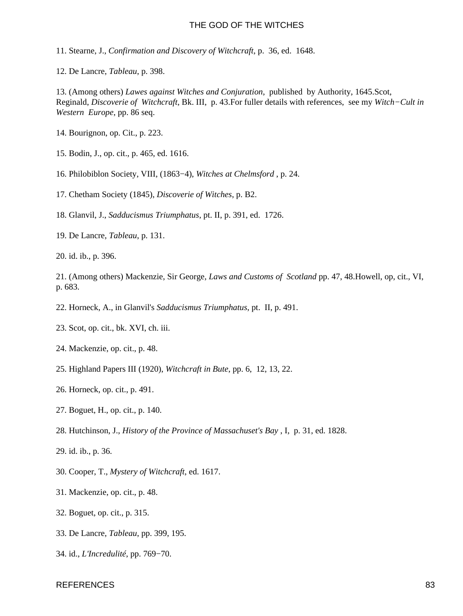- 11. Stearne, J., *Confirmation and Discovery of Witchcraft*, p. 36, ed. 1648.
- 12. De Lancre, *Tableau*, p. 398.

13. (Among others) *Lawes against Witches and Conjuration*, published by Authority, 1645.Scot, Reginald, *Discoverie of Witchcraft*, Bk. III, p. 43.For fuller details with references, see my *Witch−Cult in Western Europe*, pp. 86 seq.

- 14. Bourignon, op. Cit., p. 223.
- 15. Bodin, J., op. cit., p. 465, ed. 1616.
- 16. Philobiblon Society, VIII, (1863−4), *Witches at Chelmsford* , p. 24.
- 17. Chetham Society (1845), *Discoverie of Witches*, p. B2.
- 18. Glanvil, J., *Sadducismus Triumphatus*, pt. II, p. 391, ed. 1726.
- 19. De Lancre, *Tableau*, p. 131.
- 20. id. ib., p. 396.

21. (Among others) Mackenzie, Sir George, *Laws and Customs of Scotland* pp. 47, 48.Howell, op, cit., VI, p. 683.

- 22. Horneck, A., in Glanvil's *Sadducismus Triumphatus*, pt. II, p. 491.
- 23. Scot, op. cit., bk. XVI, ch. iii.
- 24. Mackenzie, op. cit., p. 48.
- 25. Highland Papers III (1920), *Witchcraft in Bute*, pp. 6, 12, 13, 22.
- 26. Horneck, op. cit., p. 491.
- 27. Boguet, H., op. cit., p. 140.
- 28. Hutchinson, J., *History of the Province of Massachuset's Bay* , I, p. 31, ed. 1828.
- 29. id. ib., p. 36.
- 30. Cooper, T., *Mystery of Witchcraft*, ed. 1617.
- 31. Mackenzie, op. cit., p. 48.
- 32. Boguet, op. cit., p. 315.
- 33. De Lancre, *Tableau*, pp. 399, 195.
- 34. id., *L'Incredulité*, pp. 769−70.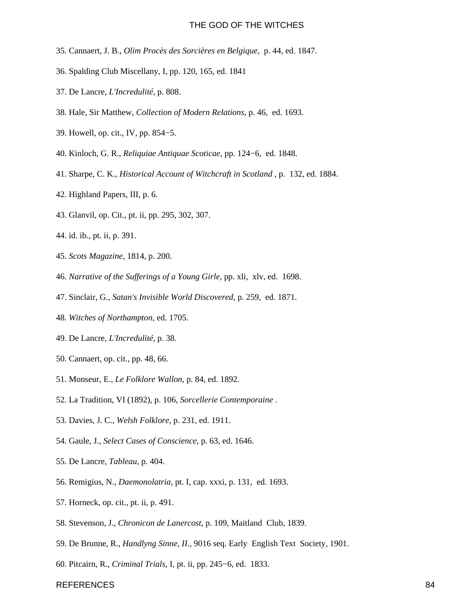- 35. Cannaert, J. B., *Olim Procès des Sorcières en Belgique*, p. 44, ed. 1847.
- 36. Spalding Club Miscellany, I, pp. 120, 165, ed. 1841
- 37. De Lancre, *L'Incredulité*, p. 808.
- 38. Hale, Sir Matthew, *Collection of Modern Relations*, p. 46, ed. 1693.
- 39. Howell, op. cit., IV, pp. 854−5.
- 40. Kinloch, G. R., *Reliquiae Antiquae Scoticae*, pp. 124−6, ed. 1848.
- 41. Sharpe, C. K., *Historical Account of Witchcraft in Scotland* , p. 132, ed. 1884.
- 42. Highland Papers, III, p. 6.
- 43. Glanvil, op. Cit., pt. ii, pp. 295, 302, 307.
- 44. id. ib., pt. ii, p. 391.
- 45. *Scots Magazine*, 1814, p. 200.
- 46. *Narrative of the Sufferings of a Young Girle*, pp. xli, xlv, ed. 1698.
- 47. Sinclair, G., *Satan's Invisible World Discovered*, p. 259, ed. 1871.
- 48. *Witches of Northampton*, ed. 1705.
- 49. De Lancre, *L'Incredulité*, p. 38.
- 50. Cannaert, op. cit., pp. 48, 66.
- 51. Monseur, E., *Le Folklore Wallon*, p. 84, ed. 1892.
- 52. La Tradition, VI (1892), p. 106, *Sorcellerie Contemporaine* .
- 53. Davies, J. C., *Welsh Folklore*, p. 231, ed. 1911.
- 54. Gaule, J., *Select Cases of Conscience*, p. 63, ed. 1646.
- 55. De Lancre, *Tableau*, p. 404.
- 56. Remigius, N., *Daemonolatria*, pt. I, cap. xxxi, p. 131, ed. 1693.
- 57. Horneck, op. cit., pt. ii, p. 491.
- 58. Stevenson, J., *Chronicon de Lanercost*, p. 109, Maitland Club, 1839.
- 59. De Brunne, R., *Handlyng Sinne, II.*, 9016 seq. Early English Text Society, 1901.
- 60. Pitcairn, R., *Criminal Trials*, I, pt. ii, pp. 245−6, ed. 1833.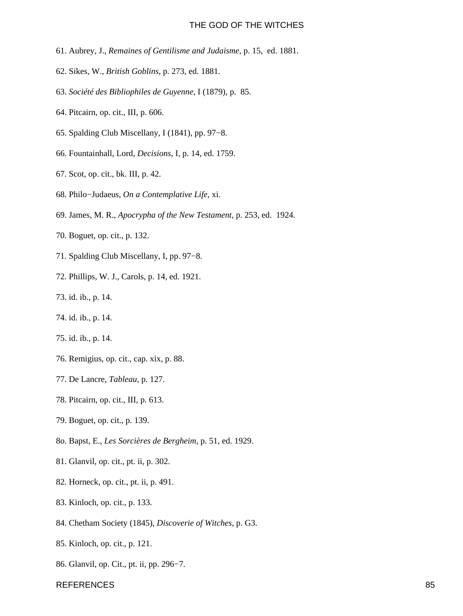- 61. Aubrey, J., *Remaines of Gentilisme and Judaisme*, p. 15, ed. 1881.
- 62. Sikes, W., *British Goblins*, p. 273, ed. 1881.
- 63. *Société des Bibliophiles de Guyenne*, I (1879), p. 85.
- 64. Pitcairn, op. cit., III, p. 606.
- 65. Spalding Club Miscellany, I (1841), pp. 97−8.
- 66. Fountainhall, Lord, *Decisions*, I, p. 14, ed. 1759.
- 67. Scot, op. cit., bk. III, p. 42.
- 68. Philo−Judaeus, *On a Contemplative Life*, xi.
- 69. James, M. R., *Apocrypha of the New Testament*, p. 253, ed. 1924.
- 70. Boguet, op. cit., p. 132.
- 71. Spalding Club Miscellany, I, pp. 97−8.
- 72. Phillips, W. J., Carols, p. 14, ed. 1921.
- 73. id. ib., p. 14.
- 74. id. ib., p. 14.
- 75. id. ib., p. 14.
- 76. Remigius, op. cit., cap. xix, p. 88.
- 77. De Lancre, *Tableau*, p. 127.
- 78. Pitcairn, op. cit., III, p. 613.
- 79. Boguet, op. cit., p. 139.
- 8o. Bapst, E., *Les Sorcières de Bergheim*, p. 51, ed. 1929.
- 81. Glanvil, op. cit., pt. ii, p. 302.
- 82. Horneck, op. cit., pt. ii, p. 491.
- 83. Kinloch, op. cit., p. 133.
- 84. Chetham Society (1845), *Discoverie of Witches*, p. G3.
- 85. Kinloch, op. cit., p. 121.
- 86. Glanvil, op. Cit., pt. ii, pp. 296−7.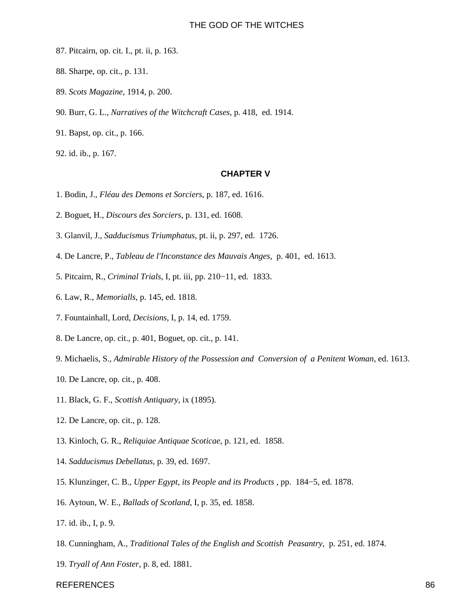- 87. Pitcairn, op. cit. I., pt. ii, p. 163.
- 88. Sharpe, op. cit., p. 131.
- 89. *Scots Magazine*, 1914, p. 200.
- 90. Burr, G. L., *Narratives of the Witchcraft Cases*, p. 418, ed. 1914.
- 91. Bapst, op. cit., p. 166.
- 92. id. ib., p. 167.

#### **CHAPTER V**

- 1. Bodin, J., *Fléau des Demons et Sorciers*, p. 187, ed. 1616.
- 2. Boguet, H., *Discours des Sorciers*, p. 131, ed. 1608.
- 3. Glanvil, J., *Sadducismus Triumphatus*, pt. ii, p. 297, ed. 1726.
- 4. De Lancre, P., *Tableau de l'Inconstance des Mauvais Anges*, p. 401, ed. 1613.
- 5. Pitcairn, R., *Criminal Trials*, I, pt. iii, pp. 210−11, ed. 1833.
- 6. Law, R., *Memorialls*, p. 145, ed. 1818.
- 7. Fountainhall, Lord, *Decisions*, I, p. 14, ed. 1759.
- 8. De Lancre, op. cit., p. 401, Boguet, op. cit., p. 141.
- 9. Michaelis, S., *Admirable History of the Possession and Conversion of a Penitent Woman*, ed. 1613.
- 10. De Lancre, op. cit., p. 408.
- 11. Black, G. F., *Scottish Antiquary*, ix (1895).
- 12. De Lancre, op. cit., p. 128.
- 13. Kinloch, G. R., *Reliquiae Antiquae Scoticae*, p. 121, ed. 1858.
- 14. *Sadducismus Debellatus*, p. 39, ed. 1697.
- 15. Klunzinger, C. B., *Upper Egypt, its People and its Products* , pp. 184−5, ed. 1878.
- 16. Aytoun, W. E., *Ballads of Scotland*, I, p. 35, ed. 1858.
- 17. id. ib., I, p. 9.
- 18. Cunningham, A., *Traditional Tales of the English and Scottish Peasantry*, p. 251, ed. 1874.
- 19. *Tryall of Ann Foster*, p. 8, ed. 1881.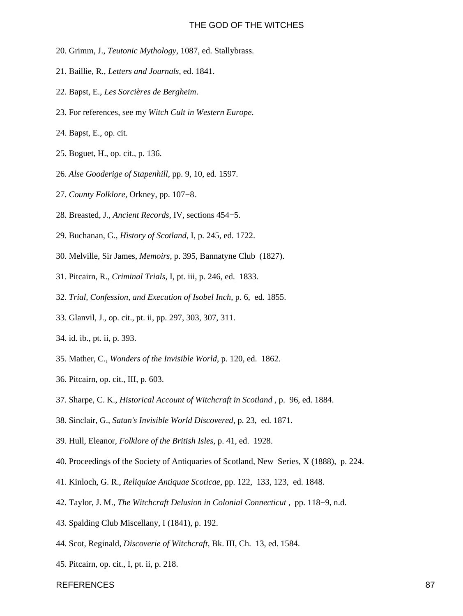- 20. Grimm, J., *Teutonic Mythology*, 1087, ed. Stallybrass.
- 21. Baillie, R., *Letters and Journals*, ed. 1841.
- 22. Bapst, E., *Les Sorcières de Bergheim*.
- 23. For references, see my *Witch Cult in Western Europe*.
- 24. Bapst, E., op. cit.
- 25. Boguet, H., op. cit., p. 136.
- 26. *Alse Gooderige of Stapenhill*, pp. 9, 10, ed. 1597.
- 27. *County Folklore*, Orkney, pp. 107−8.
- 28. Breasted, J., *Ancient Records*, IV, sections 454−5.
- 29. Buchanan, G., *History of Scotland*, I, p. 245, ed. 1722.
- 30. Melville, Sir James, *Memoirs*, p. 395, Bannatyne Club (1827).
- 31. Pitcairn, R., *Criminal Trials*, I, pt. iii, p. 246, ed. 1833.
- 32. *Trial, Confession, and Execution of Isobel Inch*, p. 6, ed. 1855.
- 33. Glanvil, J., op. cit., pt. ii, pp. 297, 303, 307, 311.
- 34. id. ib., pt. ii, p. 393.
- 35. Mather, C., *Wonders of the Invisible World*, p. 120, ed. 1862.
- 36. Pitcairn, op. cit., III, p. 603.
- 37. Sharpe, C. K., *Historical Account of Witchcraft in Scotland* , p. 96, ed. 1884.
- 38. Sinclair, G., *Satan's Invisible World Discovered*, p. 23, ed. 1871.
- 39. Hull, Eleanor, *Folklore of the British Isles*, p. 41, ed. 1928.
- 40. Proceedings of the Society of Antiquaries of Scotland, New Series, X (1888), p. 224.
- 41. Kinloch, G. R., *Reliquiae Antiquae Scoticae*, pp. 122, 133, 123, ed. 1848.
- 42. Taylor, J. M., *The Witchcraft Delusion in Colonial Connecticut* , pp. 118−9, n.d.
- 43. Spalding Club Miscellany, I (1841), p. 192.
- 44. Scot, Reginald, *Discoverie of Witchcraft*, Bk. III, Ch. 13, ed. 1584.
- 45. Pitcairn, op. cit., I, pt. ii, p. 218.
- REFERENCES 87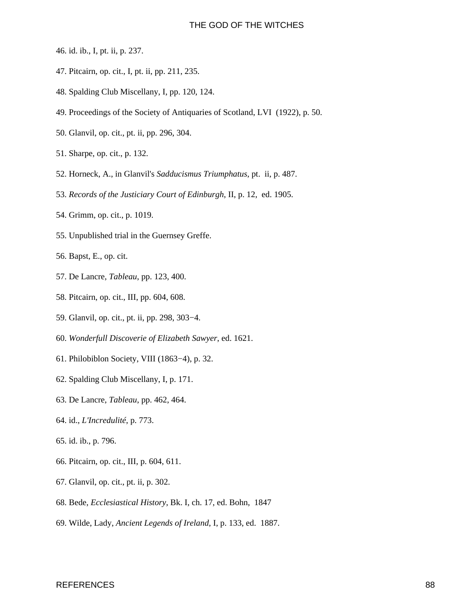- 46. id. ib., I, pt. ii, p. 237.
- 47. Pitcairn, op. cit., I, pt. ii, pp. 211, 235.
- 48. Spalding Club Miscellany, I, pp. 120, 124.
- 49. Proceedings of the Society of Antiquaries of Scotland, LVI (1922), p. 50.
- 50. Glanvil, op. cit., pt. ii, pp. 296, 304.
- 51. Sharpe, op. cit., p. 132.
- 52. Horneck, A., in Glanvil's *Sadducismus Triumphatus*, pt. ii, p. 487.
- 53. *Records of the Justiciary Court of Edinburgh*, II, p. 12, ed. 1905.
- 54. Grimm, op. cit., p. 1019.
- 55. Unpublished trial in the Guernsey Greffe.
- 56. Bapst, E., op. cit.
- 57. De Lancre, *Tableau*, pp. 123, 400.
- 58. Pitcairn, op. cit., III, pp. 604, 608.
- 59. Glanvil, op. cit., pt. ii, pp. 298, 303−4.
- 60. *Wonderfull Discoverie of Elizabeth Sawyer*, ed. 1621.
- 61. Philobiblon Society, VIII (1863−4), p. 32.
- 62. Spalding Club Miscellany, I, p. 171.
- 63. De Lancre, *Tableau*, pp. 462, 464.
- 64. id., *L'Incredulité*, p. 773.
- 65. id. ib., p. 796.
- 66. Pitcairn, op. cit., III, p. 604, 611.
- 67. Glanvil, op. cit., pt. ii, p. 302.
- 68. Bede, *Ecclesiastical History*, Bk. I, ch. 17, ed. Bohn, 1847
- 69. Wilde, Lady, *Ancient Legends of Ireland*, I, p. 133, ed. 1887.